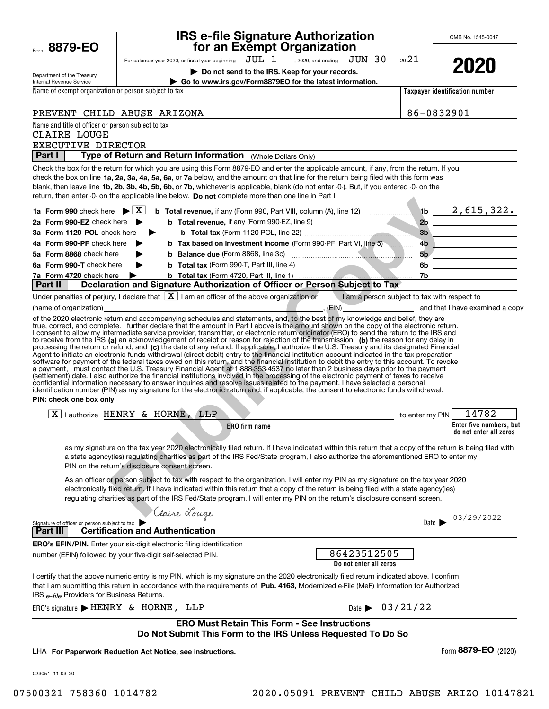| Department of the Treasury                                                       | Do not send to the IRS. Keep for your records.                                                                                                                                                                                                                                                                                                                                                                   |                                              | LULU                                          |  |  |  |
|----------------------------------------------------------------------------------|------------------------------------------------------------------------------------------------------------------------------------------------------------------------------------------------------------------------------------------------------------------------------------------------------------------------------------------------------------------------------------------------------------------|----------------------------------------------|-----------------------------------------------|--|--|--|
| Internal Revenue Service<br>Name of exempt organization or person subject to tax | Go to www.irs.gov/Form8879EO for the latest information.                                                                                                                                                                                                                                                                                                                                                         |                                              | Taxpayer identification number                |  |  |  |
|                                                                                  |                                                                                                                                                                                                                                                                                                                                                                                                                  |                                              |                                               |  |  |  |
|                                                                                  | PREVENT CHILD ABUSE ARIZONA                                                                                                                                                                                                                                                                                                                                                                                      |                                              | 86-0832901                                    |  |  |  |
| Name and title of officer or person subject to tax                               |                                                                                                                                                                                                                                                                                                                                                                                                                  |                                              |                                               |  |  |  |
| <b>CLAIRE LOUGE</b>                                                              |                                                                                                                                                                                                                                                                                                                                                                                                                  |                                              |                                               |  |  |  |
| EXECUTIVE DIRECTOR<br><b>Part I</b>                                              | Type of Return and Return Information (Whole Dollars Only)                                                                                                                                                                                                                                                                                                                                                       |                                              |                                               |  |  |  |
|                                                                                  | Check the box for the return for which you are using this Form 8879-EO and enter the applicable amount, if any, from the return. If you                                                                                                                                                                                                                                                                          |                                              |                                               |  |  |  |
|                                                                                  | check the box on line 1a, 2a, 3a, 4a, 5a, 6a, or 7a below, and the amount on that line for the return being filed with this form was<br>blank, then leave line 1b, 2b, 3b, 4b, 5b, 6b, or 7b, whichever is applicable, blank (do not enter -0-). But, if you entered -0- on the<br>return, then enter -0- on the applicable line below. Do not complete more than one line in Part I.                            |                                              |                                               |  |  |  |
| 1a Form 990 check here $\blacktriangleright$ $\mid$ X $\mid$                     | <b>b</b> Total revenue, if any (Form 990, Part VIII, column (A), line 12) $\ldots$ 1b $\ldots$ 1b $\ldots$ 1, 615, 322.                                                                                                                                                                                                                                                                                          |                                              |                                               |  |  |  |
| 2a Form 990-EZ check here $\blacktriangleright$                                  |                                                                                                                                                                                                                                                                                                                                                                                                                  |                                              |                                               |  |  |  |
| 3a Form 1120-POL check here                                                      | ▶                                                                                                                                                                                                                                                                                                                                                                                                                |                                              | 3b                                            |  |  |  |
| 4a Form 990-PF check here                                                        | b Tax based on investment income (Form 990-PF, Part VI, line 5)                                                                                                                                                                                                                                                                                                                                                  |                                              | 4b                                            |  |  |  |
| 5a Form 8868 check here                                                          |                                                                                                                                                                                                                                                                                                                                                                                                                  | 5 <sub>b</sub>                               | <u> 1980 - Johann Stein, fransk politik (</u> |  |  |  |
| 6a Form 990-T check here                                                         |                                                                                                                                                                                                                                                                                                                                                                                                                  |                                              | 6b ____________________                       |  |  |  |
| 7a Form 4720 check here                                                          |                                                                                                                                                                                                                                                                                                                                                                                                                  |                                              |                                               |  |  |  |
| <b>Part II</b>                                                                   | Declaration and Signature Authorization of Officer or Person Subject to Tax                                                                                                                                                                                                                                                                                                                                      |                                              |                                               |  |  |  |
|                                                                                  | Under penalties of perjury, I declare that $\boxed{\text{X}}$ I am an officer of the above organization or                                                                                                                                                                                                                                                                                                       | I am a person subject to tax with respect to |                                               |  |  |  |
| (name of organization)                                                           | of the 2020 electronic return and accompanying schedules and statements, and, to the best of my knowledge and belief, they are                                                                                                                                                                                                                                                                                   |                                              | (EIN) and that I have examined a copy         |  |  |  |
| PIN: check one box only                                                          | (settlement) date. I also authorize the financial institutions involved in the processing of the electronic payment of taxes to receive<br>confidential information necessary to answer inquiries and resolve issues related to the payment. I have selected a personal<br>identification number (PIN) as my signature for the electronic return and, if applicable, the consent to electronic funds withdrawal. |                                              |                                               |  |  |  |
|                                                                                  | $\boxed{X}$ authorize HENRY & HORNE, LLP<br><b>ERO</b> firm name                                                                                                                                                                                                                                                                                                                                                 | to enter my PIN                              | 14782<br>Enter five numbers, but              |  |  |  |
|                                                                                  |                                                                                                                                                                                                                                                                                                                                                                                                                  |                                              | do not enter all zeros                        |  |  |  |
|                                                                                  | as my signature on the tax year 2020 electronically filed return. If I have indicated within this return that a copy of the return is being filed with<br>a state agency(ies) regulating charities as part of the IRS Fed/State program, I also authorize the aforementioned ERO to enter my<br>PIN on the return's disclosure consent screen.                                                                   |                                              |                                               |  |  |  |
|                                                                                  | As an officer or person subject to tax with respect to the organization, I will enter my PIN as my signature on the tax year 2020<br>electronically filed return. If I have indicated within this return that a copy of the return is being filed with a state agency(ies)<br>regulating charities as part of the IRS Fed/State program, I will enter my PIN on the return's disclosure consent screen.          |                                              |                                               |  |  |  |
|                                                                                  | Claire Louge                                                                                                                                                                                                                                                                                                                                                                                                     |                                              |                                               |  |  |  |
| Signature of officer or person subject to tax                                    |                                                                                                                                                                                                                                                                                                                                                                                                                  |                                              | 03/29/2022<br>Date $\blacktriangleright$      |  |  |  |
| <b>Part III</b>                                                                  | <b>Certification and Authentication</b>                                                                                                                                                                                                                                                                                                                                                                          |                                              |                                               |  |  |  |
|                                                                                  | <b>ERO's EFIN/PIN.</b> Enter your six-digit electronic filing identification<br>86423512505<br>number (EFIN) followed by your five-digit self-selected PIN.<br>Do not enter all zeros                                                                                                                                                                                                                            |                                              |                                               |  |  |  |
| IRS e-file Providers for Business Returns.                                       | I certify that the above numeric entry is my PIN, which is my signature on the 2020 electronically filed return indicated above. I confirm<br>that I am submitting this return in accordance with the requirements of Pub. 4163, Modernized e-File (MeF) Information for Authorized                                                                                                                              |                                              |                                               |  |  |  |
|                                                                                  | ERO's signature $\blacktriangleright$ HENRY & HORNE, LLP                                                                                                                                                                                                                                                                                                                                                         | Date $\triangleright$ 03/21/22               |                                               |  |  |  |
|                                                                                  | <b>ERO Must Retain This Form - See Instructions</b>                                                                                                                                                                                                                                                                                                                                                              |                                              |                                               |  |  |  |
|                                                                                  | Do Not Submit This Form to the IRS Unless Requested To Do So                                                                                                                                                                                                                                                                                                                                                     |                                              |                                               |  |  |  |
|                                                                                  | LHA For Paperwork Reduction Act Notice, see instructions.                                                                                                                                                                                                                                                                                                                                                        |                                              | Form 8879-EO (2020)                           |  |  |  |
|                                                                                  |                                                                                                                                                                                                                                                                                                                                                                                                                  |                                              |                                               |  |  |  |
| 023051 11-03-20                                                                  |                                                                                                                                                                                                                                                                                                                                                                                                                  |                                              |                                               |  |  |  |

For calendar year 2020, or fiscal year beginning  $\rm\,JUL~$   $1$   $\rm\,$  , 2020, and ending  $\rm\,JUN~$   $30$   $\rm\,$  , 20 $21$ 

**IRS e-file Signature Authorization for an Exempt Organization** 

Form 8879-EO

OMB No. 1545-0047

**2020**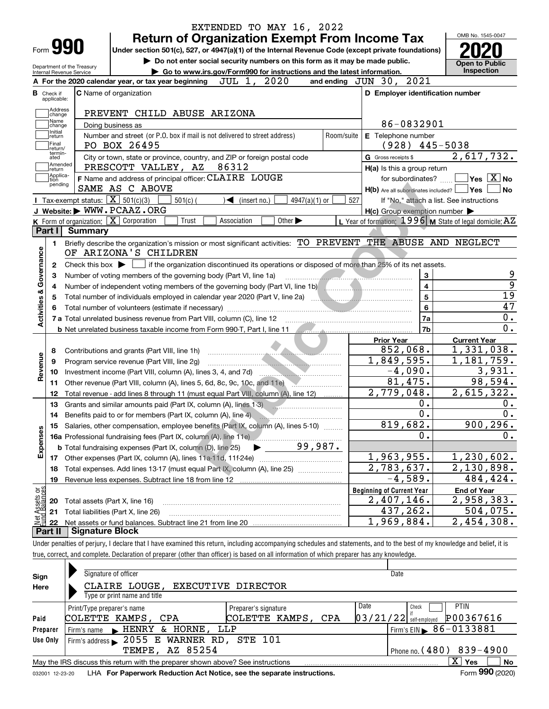|                                  |                                                   | <b>Return of Organization Exempt From Income Tax</b>                                                                                                                                                                                 |                             |            |                                                                                                                                                                                                                                           | OMB No. 1545-0047                                                               |
|----------------------------------|---------------------------------------------------|--------------------------------------------------------------------------------------------------------------------------------------------------------------------------------------------------------------------------------------|-----------------------------|------------|-------------------------------------------------------------------------------------------------------------------------------------------------------------------------------------------------------------------------------------------|---------------------------------------------------------------------------------|
| Form <b>990</b>                  |                                                   | Under section 501(c), 527, or 4947(a)(1) of the Internal Revenue Code (except private foundations)                                                                                                                                   |                             |            |                                                                                                                                                                                                                                           |                                                                                 |
|                                  | Department of the Treasury                        | Do not enter social security numbers on this form as it may be made public.                                                                                                                                                          |                             |            |                                                                                                                                                                                                                                           | <b>Open to Public</b>                                                           |
| Internal Revenue Service         |                                                   | Go to www.irs.gov/Form990 for instructions and the latest information.                                                                                                                                                               |                             |            |                                                                                                                                                                                                                                           | <b>Inspection</b>                                                               |
|                                  |                                                   | JUL 1, 2020<br>A For the 2020 calendar year, or tax year beginning                                                                                                                                                                   |                             |            | 2021<br>and ending $JUN$ 30,                                                                                                                                                                                                              |                                                                                 |
| <b>B</b> Check if<br>applicable: |                                                   | <b>C</b> Name of organization                                                                                                                                                                                                        |                             |            | D Employer identification number                                                                                                                                                                                                          |                                                                                 |
| Address                          |                                                   |                                                                                                                                                                                                                                      |                             |            |                                                                                                                                                                                                                                           |                                                                                 |
| change<br>Name                   |                                                   | PREVENT CHILD ABUSE ARIZONA                                                                                                                                                                                                          |                             |            | 86-0832901                                                                                                                                                                                                                                |                                                                                 |
| change<br>Initial                |                                                   | Doing business as                                                                                                                                                                                                                    |                             |            |                                                                                                                                                                                                                                           |                                                                                 |
| return<br> Final                 |                                                   | Number and street (or P.O. box if mail is not delivered to street address)<br>PO BOX 26495                                                                                                                                           |                             | Room/suite | E Telephone number<br>$(928)$ 445-5038                                                                                                                                                                                                    |                                                                                 |
| return/<br>termin-<br>ated       |                                                   | City or town, state or province, country, and ZIP or foreign postal code                                                                                                                                                             |                             |            | G Gross receipts \$                                                                                                                                                                                                                       | 2,617,732.                                                                      |
| Amended                          |                                                   | PRESCOTT VALLEY, AZ 86312                                                                                                                                                                                                            |                             |            | H(a) Is this a group return                                                                                                                                                                                                               |                                                                                 |
| ∣return<br> Applica-             |                                                   | F Name and address of principal officer: CLAIRE LOUGE                                                                                                                                                                                |                             |            | for subordinates?                                                                                                                                                                                                                         | $ {\mathsf Y}{\mathsf e}{\mathsf s} \: \mid \! \underline{{\mathsf X}} \:  $ No |
| tion<br>pending                  |                                                   | SAME AS C ABOVE                                                                                                                                                                                                                      |                             |            | $H(b)$ Are all subordinates included? $\Box$ Yes                                                                                                                                                                                          |                                                                                 |
|                                  | Tax-exempt status: $\boxed{\mathbf{X}}$ 501(c)(3) | $501(c)$ (<br>$\triangleleft$ (insert no.)                                                                                                                                                                                           | $4947(a)(1)$ or             | 527        |                                                                                                                                                                                                                                           | If "No," attach a list. See instructions                                        |
|                                  |                                                   | J Website: WWW.PCAAZ.ORG                                                                                                                                                                                                             |                             |            | $H(c)$ Group exemption number $\blacktriangleright$                                                                                                                                                                                       |                                                                                 |
|                                  |                                                   | K Form of organization: $\boxed{\mathbf{X}}$ Corporation<br>Trust<br>Association                                                                                                                                                     | Other $\blacktriangleright$ |            | L Year of formation: $1996$ M State of legal domicile: $AZ$                                                                                                                                                                               |                                                                                 |
| Part I                           | Summary                                           |                                                                                                                                                                                                                                      |                             |            |                                                                                                                                                                                                                                           |                                                                                 |
| 1.                               |                                                   | Briefly describe the organization's mission or most significant activities: TO PREVENT THE ABUSE AND NEGLECT                                                                                                                         |                             |            |                                                                                                                                                                                                                                           |                                                                                 |
|                                  |                                                   | OF ARIZONA'S CHILDREN                                                                                                                                                                                                                |                             |            |                                                                                                                                                                                                                                           |                                                                                 |
| Governance<br>2                  |                                                   | Check this box $\blacktriangleright$ $\blacksquare$ if the organization discontinued its operations or disposed of more than 25% of its net assets.                                                                                  |                             |            |                                                                                                                                                                                                                                           |                                                                                 |
| З                                |                                                   | Number of voting members of the governing body (Part VI, line 1a)                                                                                                                                                                    |                             |            | <u> Estados de Antonio de Antonio de Antonio de Antonio de Antonio de Antonio de Antonio de Antonio de Antonio de Antonio de Antonio de Antonio de Antonio de Antonio de Antonio de Antonio de Antonio de Antonio de Antonio de </u><br>3 |                                                                                 |
| 4                                |                                                   | Number of independent voting members of the governing body (Part VI, line 1b) [[[[[[[[[[[[[[[[[[[[[[[[[[[]]]]]                                                                                                                       |                             |            | $\overline{\mathbf{4}}$                                                                                                                                                                                                                   |                                                                                 |
| 5                                |                                                   |                                                                                                                                                                                                                                      |                             |            | $\overline{5}$                                                                                                                                                                                                                            |                                                                                 |
|                                  |                                                   |                                                                                                                                                                                                                                      |                             |            | 6                                                                                                                                                                                                                                         |                                                                                 |
| <b>Activities &amp;</b>          |                                                   | 7 a Total unrelated business revenue from Part VIII, column (C), line 12 [100] [100] [100] [100] [100] [100] [100] [100] [100] [100] [100] [100] [100] [100] [100] [100] [100] [100] [100] [100] [100] [100] [100] [100] [100]       |                             |            | 7a                                                                                                                                                                                                                                        |                                                                                 |
|                                  |                                                   | b Net unrelated business taxable income from Form 990-T, Part I, line 11 [[[[[[[[[[[[[[[[[[[[[[[[[[[[[[[[]]]]]                                                                                                                       |                             |            | 7b                                                                                                                                                                                                                                        |                                                                                 |
|                                  |                                                   |                                                                                                                                                                                                                                      |                             |            | <b>Prior Year</b>                                                                                                                                                                                                                         | <b>Current Year</b>                                                             |
| 8                                |                                                   | Contributions and grants (Part VIII, line 1h)                                                                                                                                                                                        |                             |            | 852,068.                                                                                                                                                                                                                                  | 1,331,038.                                                                      |
| 9                                |                                                   | Program service revenue (Part VIII, line 2g)                                                                                                                                                                                         |                             |            | 1,849,595.                                                                                                                                                                                                                                | 1,181,759.                                                                      |
| Revenue<br>10                    |                                                   |                                                                                                                                                                                                                                      |                             |            | $-4,090.$                                                                                                                                                                                                                                 | 3,931.                                                                          |
| 11                               |                                                   | Other revenue (Part VIII, column (A), lines 5, 6d, 8c, 9c, 10c, and 11e)                                                                                                                                                             |                             |            | 81,475.                                                                                                                                                                                                                                   | 98,594.                                                                         |
| 12                               |                                                   | Total revenue - add lines 8 through 11 (must equal Part VIII, column (A), line 12)                                                                                                                                                   |                             |            | 2,779,048.                                                                                                                                                                                                                                | 2,615,322.                                                                      |
| 13                               |                                                   | Grants and similar amounts paid (Part IX, column (A), lines 1-3)                                                                                                                                                                     |                             |            | 0.                                                                                                                                                                                                                                        |                                                                                 |
| 14                               |                                                   | Benefits paid to or for members (Part IX, column (A), line 4) <b>Constanting the Constantine Constantine Constantine Constantine Constantine Constantine Constantine Constantine Constantine Constantine Constantine Constantine</b> |                             |            | 0.                                                                                                                                                                                                                                        |                                                                                 |
|                                  |                                                   | 15 Salaries, other compensation, employee benefits (Part IX, column (A), lines 5-10)                                                                                                                                                 |                             |            | 819,682.                                                                                                                                                                                                                                  | 900, 296.                                                                       |
|                                  |                                                   |                                                                                                                                                                                                                                      |                             |            | 0.                                                                                                                                                                                                                                        |                                                                                 |
| Expenses                         |                                                   | <b>b</b> Total fundraising expenses (Part IX, column (D), line 25)                                                                                                                                                                   | 99,987.                     |            |                                                                                                                                                                                                                                           |                                                                                 |
| 17                               |                                                   |                                                                                                                                                                                                                                      |                             |            | 1,963,955.                                                                                                                                                                                                                                | 1,230,602.                                                                      |
| 18                               |                                                   | Total expenses. Add lines 13-17 (must equal Part IX, column (A), line 25)                                                                                                                                                            |                             |            | 2,783,637.                                                                                                                                                                                                                                | 2,130,898.                                                                      |
| 19                               |                                                   |                                                                                                                                                                                                                                      |                             |            | $-4,589.$                                                                                                                                                                                                                                 | 484,424.                                                                        |
|                                  |                                                   |                                                                                                                                                                                                                                      |                             |            | <b>Beginning of Current Year</b>                                                                                                                                                                                                          | <b>End of Year</b>                                                              |
| t Assets or<br>d Balances<br>20  | Total assets (Part X, line 16)                    |                                                                                                                                                                                                                                      |                             |            | 2,407,146.                                                                                                                                                                                                                                | 2,958,383.                                                                      |
| 21                               |                                                   | Total liabilities (Part X, line 26)                                                                                                                                                                                                  |                             |            | 437, 262.                                                                                                                                                                                                                                 | 504,075.                                                                        |
| 혏<br>22                          |                                                   |                                                                                                                                                                                                                                      |                             |            | 1,969,884.                                                                                                                                                                                                                                | 2,454,308.                                                                      |
|                                  |                                                   |                                                                                                                                                                                                                                      |                             |            |                                                                                                                                                                                                                                           |                                                                                 |

|  | true, correct, and complete. Declaration of preparer (other than officer) is based on all information of which preparer has any knowledge. |  |  |  |  |  |
|--|--------------------------------------------------------------------------------------------------------------------------------------------|--|--|--|--|--|
|  |                                                                                                                                            |  |  |  |  |  |

| Sign     | Signature of officer                                                                                           |                      | Date                                   |  |  |  |  |  |  |  |  |  |
|----------|----------------------------------------------------------------------------------------------------------------|----------------------|----------------------------------------|--|--|--|--|--|--|--|--|--|
| Here     | CLAIRE LOUGE,<br><b>EXECUTIVE DIRECTOR</b>                                                                     |                      |                                        |  |  |  |  |  |  |  |  |  |
|          | Type or print name and title                                                                                   |                      |                                        |  |  |  |  |  |  |  |  |  |
|          | Print/Type preparer's name                                                                                     | Preparer's signature | Date<br><b>PTIN</b><br>Check           |  |  |  |  |  |  |  |  |  |
| Paid     | COLETTE KAMPS, CPA                                                                                             | COLETTE KAMPS, CPA   | P00367616<br>$03/21/22$ self-employed  |  |  |  |  |  |  |  |  |  |
| Preparer | & HORNE, LLP<br>Firm's name EHENRY                                                                             |                      | Firm's EIN $\triangleright$ 86-0133881 |  |  |  |  |  |  |  |  |  |
| Use Only | Firm's address > 2055 E WARNER RD, STE 101                                                                     |                      |                                        |  |  |  |  |  |  |  |  |  |
|          | <b>TEMPE, AZ 85254</b><br>Phone no. $(480)$ 839-4900                                                           |                      |                                        |  |  |  |  |  |  |  |  |  |
|          | $X \vert Y$ es<br><b>No</b><br>May the IRS discuss this return with the preparer shown above? See instructions |                      |                                        |  |  |  |  |  |  |  |  |  |
|          | Form 990 (2020)<br>LHA For Paperwork Reduction Act Notice, see the separate instructions.<br>032001 12-23-20   |                      |                                        |  |  |  |  |  |  |  |  |  |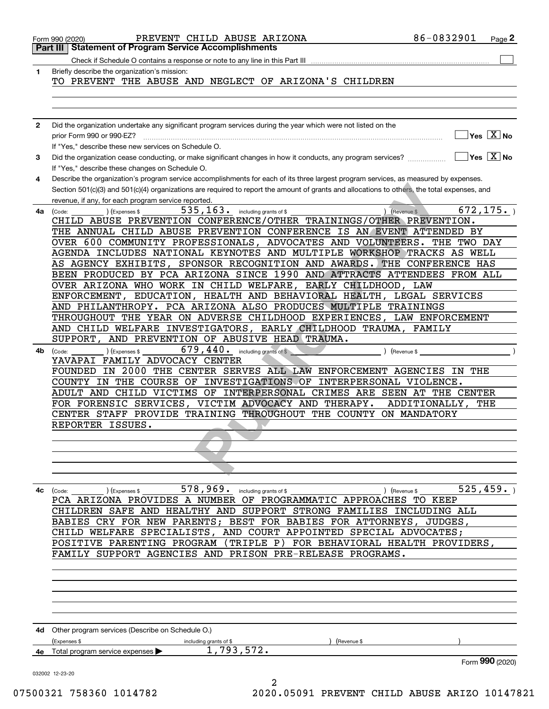|              | PREVENT CHILD ABUSE ARIZONA<br>Form 990 (2020)<br><b>Statement of Program Service Accomplishments</b><br>Part III I                          | 86-0832901        | Page 2                                           |
|--------------|----------------------------------------------------------------------------------------------------------------------------------------------|-------------------|--------------------------------------------------|
|              | Check if Schedule O contains a response or note to any line in this Part III                                                                 |                   |                                                  |
|              |                                                                                                                                              |                   |                                                  |
| 1            | Briefly describe the organization's mission:<br>TO PREVENT THE ABUSE AND NEGLECT OF ARIZONA'S CHILDREN                                       |                   |                                                  |
|              |                                                                                                                                              |                   |                                                  |
|              |                                                                                                                                              |                   |                                                  |
|              |                                                                                                                                              |                   |                                                  |
|              |                                                                                                                                              |                   |                                                  |
| $\mathbf{2}$ | Did the organization undertake any significant program services during the year which were not listed on the                                 |                   |                                                  |
|              | prior Form 990 or 990-EZ?                                                                                                                    |                   | $\overline{\ }$ Yes $\overline{\phantom{a}X}$ No |
|              | If "Yes," describe these new services on Schedule O.                                                                                         |                   |                                                  |
| 3            | Did the organization cease conducting, or make significant changes in how it conducts, any program services?                                 |                   | $\exists$ Yes $\boxed{\text{X}}$ No              |
|              | If "Yes," describe these changes on Schedule O.                                                                                              |                   |                                                  |
| 4            | Describe the organization's program service accomplishments for each of its three largest program services, as measured by expenses.         |                   |                                                  |
|              | Section 501(c)(3) and 501(c)(4) organizations are required to report the amount of grants and allocations to others, the total expenses, and |                   |                                                  |
|              | revenue, if any, for each program service reported.                                                                                          |                   |                                                  |
| 4a           | $535, 163$ $\cdot$ including grants of \$<br>(Expenses \$<br>) (Revenue \$<br>(Code:                                                         |                   | 672, 175.                                        |
|              | CHILD ABUSE PREVENTION CONFERENCE/OTHER TRAININGS/OTHER PREVENTION.                                                                          |                   |                                                  |
|              | THE ANNUAL CHILD ABUSE PREVENTION CONFERENCE IS AN EVENT ATTENDED BY                                                                         |                   |                                                  |
|              | OVER 600 COMMUNITY PROFESSIONALS, ADVOCATES AND VOLUNTEERS.                                                                                  | THE TWO DAY       |                                                  |
|              | AGENDA INCLUDES NATIONAL KEYNOTES AND MULTIPLE WORKSHOP TRACKS AS WELL                                                                       |                   |                                                  |
|              |                                                                                                                                              |                   |                                                  |
|              | AS AGENCY EXHIBITS, SPONSOR RECOGNITION AND AWARDS. THE CONFERENCE HAS                                                                       |                   |                                                  |
|              | BEEN PRODUCED BY PCA ARIZONA SINCE 1990 AND ATTRACTS ATTENDEES FROM ALL                                                                      |                   |                                                  |
|              | OVER ARIZONA WHO WORK IN CHILD WELFARE, EARLY CHILDHOOD, LAW                                                                                 |                   |                                                  |
|              | ENFORCEMENT, EDUCATION, HEALTH AND BEHAVIORAL HEALTH, LEGAL SERVICES                                                                         |                   |                                                  |
|              | AND PHILANTHROPY. PCA ARIZONA ALSO PRODUCES MULTIPLE TRAININGS                                                                               |                   |                                                  |
|              | THROUGHOUT THE YEAR ON ADVERSE CHILDHOOD EXPERIENCES, LAW ENFORCEMENT                                                                        |                   |                                                  |
|              | AND CHILD WELFARE INVESTIGATORS, EARLY CHILDHOOD TRAUMA, FAMILY                                                                              |                   |                                                  |
|              | SUPPORT,<br>AND PREVENTION OF ABUSIVE HEAD TRAUMA.                                                                                           |                   |                                                  |
| 4b           | $679,440$ . including grants of \$<br>(Expenses \$<br>Revenue \$<br>(Code:                                                                   |                   |                                                  |
|              | YAVAPAI FAMILY ADVOCACY CENTER                                                                                                               |                   |                                                  |
|              | FOUNDED IN 2000 THE CENTER SERVES ALL LAW ENFORCEMENT AGENCIES IN THE                                                                        |                   |                                                  |
|              | COUNTY IN THE COURSE OF INVESTIGATIONS OF INTERPERSONAL VIOLENCE.                                                                            |                   |                                                  |
|              | ADULT AND CHILD VICTIMS OF INTERPERSONAL CRIMES ARE SEEN AT THE CENTER                                                                       |                   |                                                  |
|              | FOR FORENSIC SERVICES, VICTIM ADVOCACY AND THERAPY.                                                                                          | ADDITIONALLY, THE |                                                  |
|              | CENTER STAFF PROVIDE TRAINING THROUGHOUT THE COUNTY ON MANDATORY                                                                             |                   |                                                  |
|              | REPORTER ISSUES.                                                                                                                             |                   |                                                  |
|              |                                                                                                                                              |                   |                                                  |
|              |                                                                                                                                              |                   |                                                  |
|              |                                                                                                                                              |                   |                                                  |
|              |                                                                                                                                              |                   |                                                  |
|              |                                                                                                                                              |                   |                                                  |
| 4c           | 578, 969. including grants of \$<br>) (Revenue \$<br>(Code:                                                                                  |                   | 525, 459.                                        |
|              | ) (Expenses \$<br>PCA ARIZONA PROVIDES A NUMBER OF PROGRAMMATIC APPROACHES TO KEEP                                                           |                   |                                                  |
|              | SAFE AND HEALTHY AND SUPPORT STRONG FAMILIES<br>CHILDREN                                                                                     | INCLUDING ALL     |                                                  |
|              |                                                                                                                                              |                   |                                                  |
|              | CRY FOR NEW PARENTS; BEST FOR BABIES FOR ATTORNEYS, JUDGES,<br>BABIES                                                                        |                   |                                                  |
|              | CHILD WELFARE SPECIALISTS,<br>AND COURT APPOINTED SPECIAL ADVOCATES;                                                                         |                   |                                                  |
|              | (TRIPLE P)<br>FOR BEHAVIORAL HEALTH PROVIDERS,<br>POSITIVE<br>PARENTING PROGRAM                                                              |                   |                                                  |
|              | FAMILY SUPPORT AGENCIES AND PRISON PRE-RELEASE PROGRAMS.                                                                                     |                   |                                                  |
|              |                                                                                                                                              |                   |                                                  |
|              |                                                                                                                                              |                   |                                                  |
|              |                                                                                                                                              |                   |                                                  |
|              |                                                                                                                                              |                   |                                                  |
|              |                                                                                                                                              |                   |                                                  |
|              |                                                                                                                                              |                   |                                                  |
|              | 4d Other program services (Describe on Schedule O.)                                                                                          |                   |                                                  |
|              | (Expenses \$<br>including grants of \$<br>(Revenue \$                                                                                        |                   |                                                  |
|              | 1,793,572.<br>4e Total program service expenses >                                                                                            |                   |                                                  |
|              |                                                                                                                                              |                   |                                                  |
|              |                                                                                                                                              |                   | Form 990 (2020)                                  |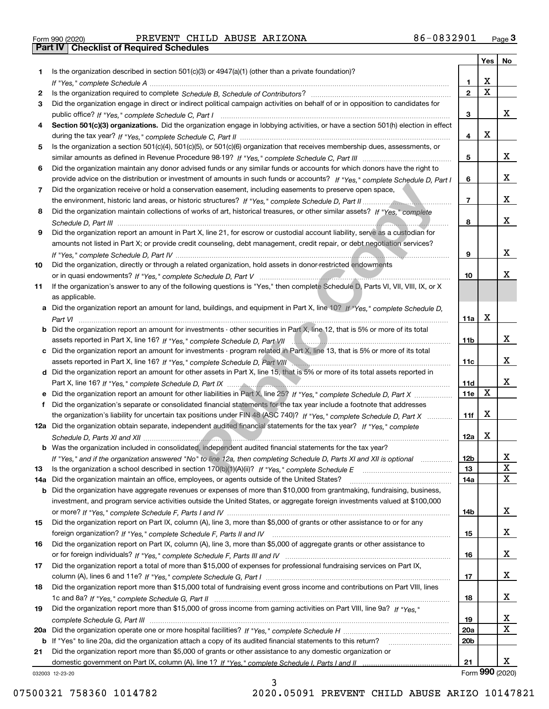|  | Form 990 (2020) |  |
|--|-----------------|--|

Form 990 (2020) PREVENT CHILD ABUSE ARI ZONA 8 6-0 8 3 2 9 01 <sub>Page</sub> 3<br>**Part IV | Checklist of Required Schedules** 

|     |                                                                                                                                                  |                         | Yes                     | No |
|-----|--------------------------------------------------------------------------------------------------------------------------------------------------|-------------------------|-------------------------|----|
| 1.  | Is the organization described in section $501(c)(3)$ or $4947(a)(1)$ (other than a private foundation)?                                          |                         |                         |    |
|     |                                                                                                                                                  | 1.                      | X                       |    |
| 2   |                                                                                                                                                  | $\overline{\mathbf{2}}$ | $\overline{\mathbf{x}}$ |    |
| 3   | Did the organization engage in direct or indirect political campaign activities on behalf of or in opposition to candidates for                  |                         |                         |    |
|     |                                                                                                                                                  | 3                       |                         | x  |
| 4   | Section 501(c)(3) organizations. Did the organization engage in lobbying activities, or have a section 501(h) election in effect                 |                         |                         |    |
|     |                                                                                                                                                  | 4                       | X                       |    |
| 5   | Is the organization a section 501(c)(4), 501(c)(5), or 501(c)(6) organization that receives membership dues, assessments, or                     |                         |                         |    |
|     |                                                                                                                                                  | 5                       |                         | x  |
| 6   | Did the organization maintain any donor advised funds or any similar funds or accounts for which donors have the right to                        |                         |                         |    |
|     | provide advice on the distribution or investment of amounts in such funds or accounts? If "Yes," complete Schedule D, Part I                     | 6                       |                         | X. |
| 7   | Did the organization receive or hold a conservation easement, including easements to preserve open space,                                        |                         |                         |    |
|     |                                                                                                                                                  | $\overline{7}$          |                         | X. |
| 8   | Did the organization maintain collections of works of art, historical treasures, or other similar assets? If "Yes," complete                     |                         |                         |    |
|     |                                                                                                                                                  | 8                       |                         | X. |
| 9   | Did the organization report an amount in Part X, line 21, for escrow or custodial account liability, serve as a custodian for                    |                         |                         |    |
|     | amounts not listed in Part X; or provide credit counseling, debt management, credit repair, or debt negotiation services?                        |                         |                         | X. |
|     |                                                                                                                                                  | 9                       |                         |    |
| 10  | Did the organization, directly or through a related organization, hold assets in donor-restricted endowments                                     |                         |                         | x  |
|     |                                                                                                                                                  | 10                      |                         |    |
| 11  | If the organization's answer to any of the following questions is "Yes," then complete Schedule D, Parts VI, VII, VIII, IX, or X                 |                         |                         |    |
|     | as applicable.<br>a Did the organization report an amount for land, buildings, and equipment in Part X, line 10? If "Yes," complete Schedule D,  |                         |                         |    |
|     |                                                                                                                                                  | 11a                     | X                       |    |
|     | Part VI<br><b>b</b> Did the organization report an amount for investments - other securities in Part X, line 12, that is 5% or more of its total |                         |                         |    |
|     |                                                                                                                                                  | 11b                     |                         | x  |
|     | c Did the organization report an amount for investments - program related in Part X, line 13, that is 5% or more of its total                    |                         |                         |    |
|     |                                                                                                                                                  | 11c                     |                         | X. |
|     | d Did the organization report an amount for other assets in Part X, line 15, that is 5% or more of its total assets reported in                  |                         |                         |    |
|     |                                                                                                                                                  | 11d                     |                         | X. |
|     | e Did the organization report an amount for other liabilities in Part X, line 25? If "Yes," complete Schedule D, Part X                          | 11e                     | $\mathbf X$             |    |
| f   | Did the organization's separate or consolidated financial statements for the tax year include a footnote that addresses                          |                         |                         |    |
|     | the organization's liability for uncertain tax positions under FIN 48 (ASC 740)? If "Yes," complete Schedule D, Part X                           | 11f                     | X                       |    |
|     | 12a Did the organization obtain separate, independent audited financial statements for the tax year? If "Yes," complete                          |                         |                         |    |
|     |                                                                                                                                                  | 12a                     | X                       |    |
|     | <b>b</b> Was the organization included in consolidated, independent audited financial statements for the tax year?                               |                         |                         |    |
|     | If "Yes," and if the organization answered "No" to line 12a, then completing Schedule D, Parts XI and XII is optional                            | 12b                     |                         | A  |
| 13  |                                                                                                                                                  | 13                      |                         | X  |
| 14a | Did the organization maintain an office, employees, or agents outside of the United States?                                                      | 14a                     |                         | X  |
| b   | Did the organization have aggregate revenues or expenses of more than \$10,000 from grantmaking, fundraising, business,                          |                         |                         |    |
|     | investment, and program service activities outside the United States, or aggregate foreign investments valued at \$100,000                       |                         |                         |    |
|     |                                                                                                                                                  | 14b                     |                         | x  |
| 15  | Did the organization report on Part IX, column (A), line 3, more than \$5,000 of grants or other assistance to or for any                        |                         |                         |    |
|     |                                                                                                                                                  | 15                      |                         | x  |
| 16  | Did the organization report on Part IX, column (A), line 3, more than \$5,000 of aggregate grants or other assistance to                         |                         |                         |    |
|     |                                                                                                                                                  | 16                      |                         | x  |
| 17  | Did the organization report a total of more than \$15,000 of expenses for professional fundraising services on Part IX,                          |                         |                         |    |
|     |                                                                                                                                                  | 17                      |                         | x  |
| 18  | Did the organization report more than \$15,000 total of fundraising event gross income and contributions on Part VIII, lines                     |                         |                         |    |
|     |                                                                                                                                                  | 18                      |                         | x  |
| 19  | Did the organization report more than \$15,000 of gross income from gaming activities on Part VIII, line 9a? If "Yes."                           |                         |                         |    |
|     |                                                                                                                                                  | 19                      |                         | x  |
| 20a |                                                                                                                                                  | 20a                     |                         | х  |
|     | b If "Yes" to line 20a, did the organization attach a copy of its audited financial statements to this return?                                   | 20 <sub>b</sub>         |                         |    |
| 21  | Did the organization report more than \$5,000 of grants or other assistance to any domestic organization or                                      |                         |                         |    |
|     |                                                                                                                                                  | 21                      |                         | X. |
|     | 032003 12-23-20                                                                                                                                  |                         | Form 990 (2020)         |    |

3

032003 12-23-20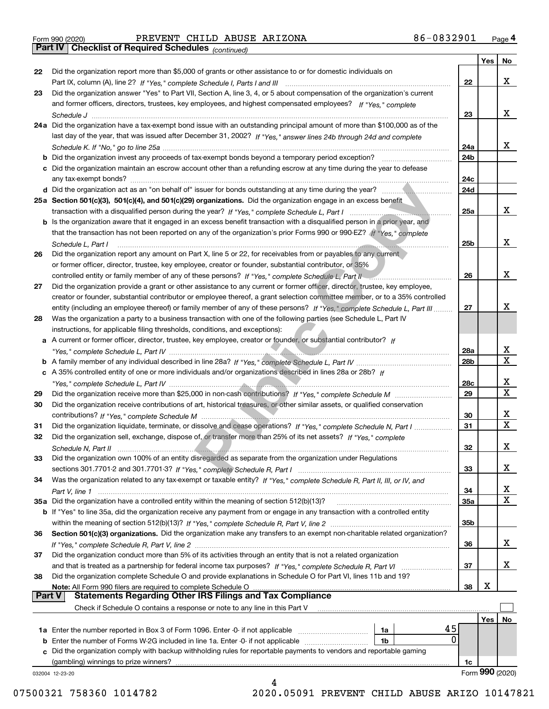|  | Form 990 (2020) |
|--|-----------------|
|  |                 |

# Form 990 (2020) PREVENT CHILD ABUSE ARIZONA 86-0832901 <sub>Page</sub> 4<br>**Part IV | Checklist of Required Schedules** <sub>(continued)</sub>

*(continued)*

|               |                                                                                                                                                                           |     | Yes | No               |
|---------------|---------------------------------------------------------------------------------------------------------------------------------------------------------------------------|-----|-----|------------------|
| 22            | Did the organization report more than \$5,000 of grants or other assistance to or for domestic individuals on                                                             |     |     |                  |
|               |                                                                                                                                                                           | 22  |     | x                |
| 23            | Did the organization answer "Yes" to Part VII, Section A, line 3, 4, or 5 about compensation of the organization's current                                                |     |     |                  |
|               | and former officers, directors, trustees, key employees, and highest compensated employees? If "Yes," complete                                                            |     |     |                  |
|               |                                                                                                                                                                           | 23  |     | x                |
|               | 24a Did the organization have a tax-exempt bond issue with an outstanding principal amount of more than \$100,000 as of the                                               |     |     |                  |
|               | last day of the year, that was issued after December 31, 2002? If "Yes," answer lines 24b through 24d and complete                                                        |     |     |                  |
|               |                                                                                                                                                                           | 24a |     | x                |
|               | <b>b</b> Did the organization invest any proceeds of tax-exempt bonds beyond a temporary period exception?                                                                | 24b |     |                  |
|               | c Did the organization maintain an escrow account other than a refunding escrow at any time during the year to defease                                                    |     |     |                  |
|               | any tax-exempt bonds?                                                                                                                                                     | 24c |     |                  |
|               |                                                                                                                                                                           | 24d |     |                  |
|               | 25a Section 501(c)(3), 501(c)(4), and 501(c)(29) organizations. Did the organization engage in an excess benefit                                                          |     |     |                  |
|               | transaction with a disqualified person during the year? If "Yes," complete Schedule L, Part I manufactured and containing the year? If "Yes," complete Schedule L, Part I | 25a |     | х                |
|               | b Is the organization aware that it engaged in an excess benefit transaction with a disqualified person in a prior year, and                                              |     |     |                  |
|               | that the transaction has not been reported on any of the organization's prior Forms 990 or 990-EZ? If "Yes," complete                                                     |     |     |                  |
|               | Schedule L, Part I                                                                                                                                                        | 25b |     | х                |
| 26            | Did the organization report any amount on Part X, line 5 or 22, for receivables from or payables to any current                                                           |     |     |                  |
|               | or former officer, director, trustee, key employee, creator or founder, substantial contributor, or 35%                                                                   |     |     |                  |
|               | controlled entity or family member of any of these persons? If "Yes," complete Schedule L, Part II                                                                        | 26  |     | х                |
| 27            | Did the organization provide a grant or other assistance to any current or former officer, director, trustee, key employee,                                               |     |     |                  |
|               | creator or founder, substantial contributor or employee thereof, a grant selection committee member, or to a 35% controlled                                               |     |     |                  |
|               | entity (including an employee thereof) or family member of any of these persons? If "Yes," complete Schedule L, Part III                                                  | 27  |     | x                |
|               |                                                                                                                                                                           |     |     |                  |
| 28            | Was the organization a party to a business transaction with one of the following parties (see Schedule L, Part IV                                                         |     |     |                  |
|               | instructions, for applicable filing thresholds, conditions, and exceptions):                                                                                              |     |     |                  |
|               | a A current or former officer, director, trustee, key employee, creator or founder, or substantial contributor? If                                                        |     |     |                  |
|               |                                                                                                                                                                           | 28a |     | x<br>$\mathbf x$ |
|               |                                                                                                                                                                           | 28b |     |                  |
|               | c A 35% controlled entity of one or more individuals and/or organizations described in lines 28a or 28b? If                                                               |     |     |                  |
|               |                                                                                                                                                                           | 28c |     | x<br>$\mathbf X$ |
| 29            |                                                                                                                                                                           | 29  |     |                  |
| 30            | Did the organization receive contributions of art, historical treasures, or other similar assets, or qualified conservation                                               |     |     |                  |
|               |                                                                                                                                                                           | 30  |     | х<br>$\mathbf x$ |
| 31            | Did the organization liquidate, terminate, or dissolve and cease operations? If "Yes," complete Schedule N, Part I                                                        | 31  |     |                  |
| 32            | Did the organization sell, exchange, dispose of, or transfer more than 25% of its net assets? If "Yes," complete                                                          |     |     |                  |
|               | Schedule N, Part II                                                                                                                                                       | 32  |     | х                |
| 33            | Did the organization own 100% of an entity disregarded as separate from the organization under Regulations                                                                |     |     |                  |
|               |                                                                                                                                                                           | 33  |     | х                |
| 34            | Was the organization related to any tax-exempt or taxable entity? If "Yes," complete Schedule R, Part II, III, or IV, and                                                 |     |     |                  |
|               |                                                                                                                                                                           | 34  |     | х                |
|               | 35a Did the organization have a controlled entity within the meaning of section 512(b)(13)?                                                                               | 35a |     | X                |
|               | b If "Yes" to line 35a, did the organization receive any payment from or engage in any transaction with a controlled entity                                               |     |     |                  |
|               |                                                                                                                                                                           | 35b |     |                  |
| 36            | Section 501(c)(3) organizations. Did the organization make any transfers to an exempt non-charitable related organization?                                                |     |     |                  |
|               |                                                                                                                                                                           | 36  |     | х                |
| 37            | Did the organization conduct more than 5% of its activities through an entity that is not a related organization                                                          |     |     |                  |
|               | and that is treated as a partnership for federal income tax purposes? If "Yes," complete Schedule R, Part VI                                                              | 37  |     | х                |
| 38            | Did the organization complete Schedule O and provide explanations in Schedule O for Part VI, lines 11b and 19?                                                            |     |     |                  |
|               | Note: All Form 990 filers are required to complete Schedule O                                                                                                             | 38  | х   |                  |
| <b>Part V</b> | <b>Statements Regarding Other IRS Filings and Tax Compliance</b>                                                                                                          |     |     |                  |
|               | Check if Schedule O contains a response or note to any line in this Part V                                                                                                |     |     |                  |
|               |                                                                                                                                                                           |     | Yes | No               |
|               | 45<br>1a                                                                                                                                                                  |     |     |                  |
|               | 0<br>1b                                                                                                                                                                   |     |     |                  |
|               | c Did the organization comply with backup withholding rules for reportable payments to vendors and reportable gaming                                                      |     |     |                  |
|               | (gambling) winnings to prize winners?                                                                                                                                     | 1c  |     |                  |
|               | 032004 12-23-20                                                                                                                                                           |     |     | Form 990 (2020)  |
|               |                                                                                                                                                                           |     |     |                  |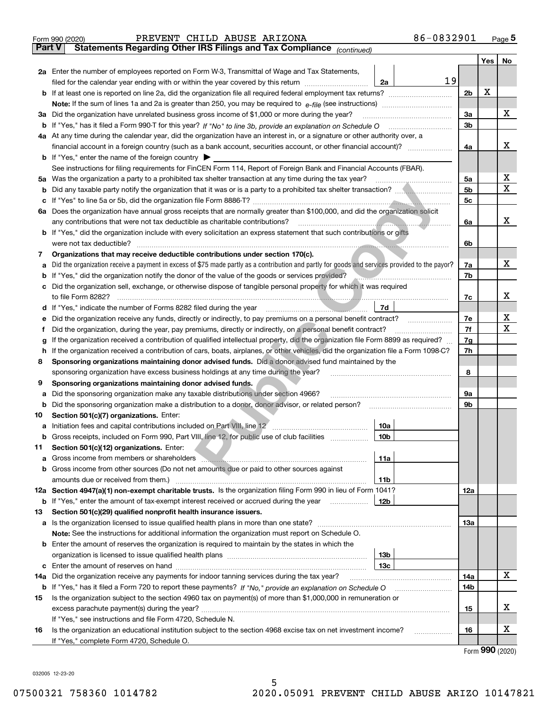| <b>Part V</b><br>Yes<br>No<br>2a Enter the number of employees reported on Form W-3, Transmittal of Wage and Tax Statements,<br>19<br>filed for the calendar year ending with or within the year covered by this return <i>manumumumum</i><br>2a<br>x<br>2b<br>b<br>х<br>3a<br>3a Did the organization have unrelated business gross income of \$1,000 or more during the year?<br>3b<br>4a At any time during the calendar year, did the organization have an interest in, or a signature or other authority over, a<br>х<br>4a<br><b>b</b> If "Yes," enter the name of the foreign country $\blacktriangleright$<br>See instructions for filing requirements for FinCEN Form 114, Report of Foreign Bank and Financial Accounts (FBAR).<br>х<br>Was the organization a party to a prohibited tax shelter transaction at any time during the tax year?<br>5a<br>5а<br>X<br>5b<br>b<br>5c<br>c<br>6a Does the organization have annual gross receipts that are normally greater than \$100,000, and did the organization solicit<br>x<br><u> Expansion de la propincia de la propincia de la propincia de la propincia de la propincia de la propincia de la propincia de la propincia de la propincia de la propincia de la propincia de la propincia de la propincia de</u><br>any contributions that were not tax deductible as charitable contributions?<br>6a<br><b>b</b> If "Yes," did the organization include with every solicitation an express statement that such contributions or gifts<br>were not tax deductible?<br>6b<br>Organizations that may receive deductible contributions under section 170(c).<br>7<br>х<br>Did the organization receive a payment in excess of \$75 made partly as a contribution and partly for goods and services provided to the payor?<br>7a<br>а<br>If "Yes," did the organization notify the donor of the value of the goods or services provided?<br>7b<br>b<br>Did the organization sell, exchange, or otherwise dispose of tangible personal property for which it was required<br>с<br>х<br>7c<br>d If "Yes," indicate the number of Forms 8282 filed during the year manufactured in the set of the set of the set of the set of the set of the set of the set of the set of the set of the set of the set of the set of the se<br>7d<br>х<br>7e<br>Did the organization receive any funds, directly or indirectly, to pay premiums on a personal benefit contract?<br>е<br>х<br>7f<br>Did the organization, during the year, pay premiums, directly or indirectly, on a personal benefit contract?<br>f<br>If the organization received a contribution of qualified intellectual property, did the organization file Form 8899 as required?<br>7g<br>g<br>If the organization received a contribution of cars, boats, airplanes, or other vehicles, did the organization file a Form 1098-C?<br>7h<br>h.<br>Sponsoring organizations maintaining donor advised funds. Did a donor advised fund maintained by the<br>8<br>sponsoring organization have excess business holdings at any time during the year?<br>8<br>Sponsoring organizations maintaining donor advised funds.<br>9<br>Did the sponsoring organization make any taxable distributions under section 4966?<br>9а<br>а<br>Did the sponsoring organization make a distribution to a donor, donor advisor, or related person?<br>9b<br>b<br>Section 501(c)(7) organizations. Enter:<br>10<br>10a<br>10 <sub>b</sub><br>Gross receipts, included on Form 990, Part VIII, line 12, for public use of club facilities<br>Section 501(c)(12) organizations. Enter:<br>11<br>Gross income from members or shareholders <b>www.communities.communities</b> contains a series of the state of the state of the state of the state of the state of the state of the state of the state of the state of the state of<br>11a<br>а<br>Gross income from other sources (Do not net amounts due or paid to other sources against<br>b<br>11b<br>12a Section 4947(a)(1) non-exempt charitable trusts. Is the organization filing Form 990 in lieu of Form 1041?<br>12a<br>12b<br><b>b</b> If "Yes," enter the amount of tax-exempt interest received or accrued during the year <i>manument</i> of the set of the set of the set of the set of the set of the set of the set of the set of the set of the set of the set<br>Section 501(c)(29) qualified nonprofit health insurance issuers.<br>13<br>13a<br>a Is the organization licensed to issue qualified health plans in more than one state?<br>Note: See the instructions for additional information the organization must report on Schedule O.<br>Enter the amount of reserves the organization is required to maintain by the states in which the<br>b<br>13 <sub>b</sub><br>13c<br>c<br>X<br>Did the organization receive any payments for indoor tanning services during the tax year?<br>14a<br>14a<br>14b<br><b>b</b> If "Yes," has it filed a Form 720 to report these payments? If "No," provide an explanation on Schedule O<br>Is the organization subject to the section 4960 tax on payment(s) of more than \$1,000,000 in remuneration or<br>15<br>х<br>excess parachute payment(s) during the year?<br>15<br>If "Yes," see instructions and file Form 4720, Schedule N.<br>х<br>Is the organization an educational institution subject to the section 4968 excise tax on net investment income?<br>16<br>16<br>If "Yes," complete Form 4720, Schedule O.<br>$000 \; \text{const}$ | 86-0832901<br>PREVENT CHILD ABUSE ARIZONA<br>Form 990 (2020)          |  |  | $_{\text{Page}}$ 5 |  |  |  |  |  |
|------------------------------------------------------------------------------------------------------------------------------------------------------------------------------------------------------------------------------------------------------------------------------------------------------------------------------------------------------------------------------------------------------------------------------------------------------------------------------------------------------------------------------------------------------------------------------------------------------------------------------------------------------------------------------------------------------------------------------------------------------------------------------------------------------------------------------------------------------------------------------------------------------------------------------------------------------------------------------------------------------------------------------------------------------------------------------------------------------------------------------------------------------------------------------------------------------------------------------------------------------------------------------------------------------------------------------------------------------------------------------------------------------------------------------------------------------------------------------------------------------------------------------------------------------------------------------------------------------------------------------------------------------------------------------------------------------------------------------------------------------------------------------------------------------------------------------------------------------------------------------------------------------------------------------------------------------------------------------------------------------------------------------------------------------------------------------------------------------------------------------------------------------------------------------------------------------------------------------------------------------------------------------------------------------------------------------------------------------------------------------------------------------------------------------------------------------------------------------------------------------------------------------------------------------------------------------------------------------------------------------------------------------------------------------------------------------------------------------------------------------------------------------------------------------------------------------------------------------------------------------------------------------------------------------------------------------------------------------------------------------------------------------------------------------------------------------------------------------------------------------------------------------------------------------------------------------------------------------------------------------------------------------------------------------------------------------------------------------------------------------------------------------------------------------------------------------------------------------------------------------------------------------------------------------------------------------------------------------------------------------------------------------------------------------------------------------------------------------------------------------------------------------------------------------------------------------------------------------------------------------------------------------------------------------------------------------------------------------------------------------------------------------------------------------------------------------------------------------------------------------------------------------------------------------------------------------------------------------------------------------------------------------------------------------------------------------------------------------------------------------------------------------------------------------------------------------------------------------------------------------------------------------------------------------------------------------------------------------------------------------------------------------------------------------------------------------------------------------------------------------------------------------------------------------------------------------------------------------------------------------------------------------------------------------------------------------------------------------------------------------------------------------------------------------------------------------------------------------------------------------------------------------------------------------------------------------------------------------------------------------------------------------------------------------------------------------------------------------------------------------------------------------------------------------------------------------------|-----------------------------------------------------------------------|--|--|--------------------|--|--|--|--|--|
|                                                                                                                                                                                                                                                                                                                                                                                                                                                                                                                                                                                                                                                                                                                                                                                                                                                                                                                                                                                                                                                                                                                                                                                                                                                                                                                                                                                                                                                                                                                                                                                                                                                                                                                                                                                                                                                                                                                                                                                                                                                                                                                                                                                                                                                                                                                                                                                                                                                                                                                                                                                                                                                                                                                                                                                                                                                                                                                                                                                                                                                                                                                                                                                                                                                                                                                                                                                                                                                                                                                                                                                                                                                                                                                                                                                                                                                                                                                                                                                                                                                                                                                                                                                                                                                                                                                                                                                                                                                                                                                                                                                                                                                                                                                                                                                                                                                                                                                                                                                                                                                                                                                                                                                                                                                                                                                                                                                                                                                            | Statements Regarding Other IRS Filings and Tax Compliance (continued) |  |  |                    |  |  |  |  |  |
|                                                                                                                                                                                                                                                                                                                                                                                                                                                                                                                                                                                                                                                                                                                                                                                                                                                                                                                                                                                                                                                                                                                                                                                                                                                                                                                                                                                                                                                                                                                                                                                                                                                                                                                                                                                                                                                                                                                                                                                                                                                                                                                                                                                                                                                                                                                                                                                                                                                                                                                                                                                                                                                                                                                                                                                                                                                                                                                                                                                                                                                                                                                                                                                                                                                                                                                                                                                                                                                                                                                                                                                                                                                                                                                                                                                                                                                                                                                                                                                                                                                                                                                                                                                                                                                                                                                                                                                                                                                                                                                                                                                                                                                                                                                                                                                                                                                                                                                                                                                                                                                                                                                                                                                                                                                                                                                                                                                                                                                            |                                                                       |  |  |                    |  |  |  |  |  |
|                                                                                                                                                                                                                                                                                                                                                                                                                                                                                                                                                                                                                                                                                                                                                                                                                                                                                                                                                                                                                                                                                                                                                                                                                                                                                                                                                                                                                                                                                                                                                                                                                                                                                                                                                                                                                                                                                                                                                                                                                                                                                                                                                                                                                                                                                                                                                                                                                                                                                                                                                                                                                                                                                                                                                                                                                                                                                                                                                                                                                                                                                                                                                                                                                                                                                                                                                                                                                                                                                                                                                                                                                                                                                                                                                                                                                                                                                                                                                                                                                                                                                                                                                                                                                                                                                                                                                                                                                                                                                                                                                                                                                                                                                                                                                                                                                                                                                                                                                                                                                                                                                                                                                                                                                                                                                                                                                                                                                                                            |                                                                       |  |  |                    |  |  |  |  |  |
|                                                                                                                                                                                                                                                                                                                                                                                                                                                                                                                                                                                                                                                                                                                                                                                                                                                                                                                                                                                                                                                                                                                                                                                                                                                                                                                                                                                                                                                                                                                                                                                                                                                                                                                                                                                                                                                                                                                                                                                                                                                                                                                                                                                                                                                                                                                                                                                                                                                                                                                                                                                                                                                                                                                                                                                                                                                                                                                                                                                                                                                                                                                                                                                                                                                                                                                                                                                                                                                                                                                                                                                                                                                                                                                                                                                                                                                                                                                                                                                                                                                                                                                                                                                                                                                                                                                                                                                                                                                                                                                                                                                                                                                                                                                                                                                                                                                                                                                                                                                                                                                                                                                                                                                                                                                                                                                                                                                                                                                            |                                                                       |  |  |                    |  |  |  |  |  |
|                                                                                                                                                                                                                                                                                                                                                                                                                                                                                                                                                                                                                                                                                                                                                                                                                                                                                                                                                                                                                                                                                                                                                                                                                                                                                                                                                                                                                                                                                                                                                                                                                                                                                                                                                                                                                                                                                                                                                                                                                                                                                                                                                                                                                                                                                                                                                                                                                                                                                                                                                                                                                                                                                                                                                                                                                                                                                                                                                                                                                                                                                                                                                                                                                                                                                                                                                                                                                                                                                                                                                                                                                                                                                                                                                                                                                                                                                                                                                                                                                                                                                                                                                                                                                                                                                                                                                                                                                                                                                                                                                                                                                                                                                                                                                                                                                                                                                                                                                                                                                                                                                                                                                                                                                                                                                                                                                                                                                                                            |                                                                       |  |  |                    |  |  |  |  |  |
|                                                                                                                                                                                                                                                                                                                                                                                                                                                                                                                                                                                                                                                                                                                                                                                                                                                                                                                                                                                                                                                                                                                                                                                                                                                                                                                                                                                                                                                                                                                                                                                                                                                                                                                                                                                                                                                                                                                                                                                                                                                                                                                                                                                                                                                                                                                                                                                                                                                                                                                                                                                                                                                                                                                                                                                                                                                                                                                                                                                                                                                                                                                                                                                                                                                                                                                                                                                                                                                                                                                                                                                                                                                                                                                                                                                                                                                                                                                                                                                                                                                                                                                                                                                                                                                                                                                                                                                                                                                                                                                                                                                                                                                                                                                                                                                                                                                                                                                                                                                                                                                                                                                                                                                                                                                                                                                                                                                                                                                            |                                                                       |  |  |                    |  |  |  |  |  |
|                                                                                                                                                                                                                                                                                                                                                                                                                                                                                                                                                                                                                                                                                                                                                                                                                                                                                                                                                                                                                                                                                                                                                                                                                                                                                                                                                                                                                                                                                                                                                                                                                                                                                                                                                                                                                                                                                                                                                                                                                                                                                                                                                                                                                                                                                                                                                                                                                                                                                                                                                                                                                                                                                                                                                                                                                                                                                                                                                                                                                                                                                                                                                                                                                                                                                                                                                                                                                                                                                                                                                                                                                                                                                                                                                                                                                                                                                                                                                                                                                                                                                                                                                                                                                                                                                                                                                                                                                                                                                                                                                                                                                                                                                                                                                                                                                                                                                                                                                                                                                                                                                                                                                                                                                                                                                                                                                                                                                                                            |                                                                       |  |  |                    |  |  |  |  |  |
|                                                                                                                                                                                                                                                                                                                                                                                                                                                                                                                                                                                                                                                                                                                                                                                                                                                                                                                                                                                                                                                                                                                                                                                                                                                                                                                                                                                                                                                                                                                                                                                                                                                                                                                                                                                                                                                                                                                                                                                                                                                                                                                                                                                                                                                                                                                                                                                                                                                                                                                                                                                                                                                                                                                                                                                                                                                                                                                                                                                                                                                                                                                                                                                                                                                                                                                                                                                                                                                                                                                                                                                                                                                                                                                                                                                                                                                                                                                                                                                                                                                                                                                                                                                                                                                                                                                                                                                                                                                                                                                                                                                                                                                                                                                                                                                                                                                                                                                                                                                                                                                                                                                                                                                                                                                                                                                                                                                                                                                            |                                                                       |  |  |                    |  |  |  |  |  |
|                                                                                                                                                                                                                                                                                                                                                                                                                                                                                                                                                                                                                                                                                                                                                                                                                                                                                                                                                                                                                                                                                                                                                                                                                                                                                                                                                                                                                                                                                                                                                                                                                                                                                                                                                                                                                                                                                                                                                                                                                                                                                                                                                                                                                                                                                                                                                                                                                                                                                                                                                                                                                                                                                                                                                                                                                                                                                                                                                                                                                                                                                                                                                                                                                                                                                                                                                                                                                                                                                                                                                                                                                                                                                                                                                                                                                                                                                                                                                                                                                                                                                                                                                                                                                                                                                                                                                                                                                                                                                                                                                                                                                                                                                                                                                                                                                                                                                                                                                                                                                                                                                                                                                                                                                                                                                                                                                                                                                                                            |                                                                       |  |  |                    |  |  |  |  |  |
|                                                                                                                                                                                                                                                                                                                                                                                                                                                                                                                                                                                                                                                                                                                                                                                                                                                                                                                                                                                                                                                                                                                                                                                                                                                                                                                                                                                                                                                                                                                                                                                                                                                                                                                                                                                                                                                                                                                                                                                                                                                                                                                                                                                                                                                                                                                                                                                                                                                                                                                                                                                                                                                                                                                                                                                                                                                                                                                                                                                                                                                                                                                                                                                                                                                                                                                                                                                                                                                                                                                                                                                                                                                                                                                                                                                                                                                                                                                                                                                                                                                                                                                                                                                                                                                                                                                                                                                                                                                                                                                                                                                                                                                                                                                                                                                                                                                                                                                                                                                                                                                                                                                                                                                                                                                                                                                                                                                                                                                            |                                                                       |  |  |                    |  |  |  |  |  |
|                                                                                                                                                                                                                                                                                                                                                                                                                                                                                                                                                                                                                                                                                                                                                                                                                                                                                                                                                                                                                                                                                                                                                                                                                                                                                                                                                                                                                                                                                                                                                                                                                                                                                                                                                                                                                                                                                                                                                                                                                                                                                                                                                                                                                                                                                                                                                                                                                                                                                                                                                                                                                                                                                                                                                                                                                                                                                                                                                                                                                                                                                                                                                                                                                                                                                                                                                                                                                                                                                                                                                                                                                                                                                                                                                                                                                                                                                                                                                                                                                                                                                                                                                                                                                                                                                                                                                                                                                                                                                                                                                                                                                                                                                                                                                                                                                                                                                                                                                                                                                                                                                                                                                                                                                                                                                                                                                                                                                                                            |                                                                       |  |  |                    |  |  |  |  |  |
|                                                                                                                                                                                                                                                                                                                                                                                                                                                                                                                                                                                                                                                                                                                                                                                                                                                                                                                                                                                                                                                                                                                                                                                                                                                                                                                                                                                                                                                                                                                                                                                                                                                                                                                                                                                                                                                                                                                                                                                                                                                                                                                                                                                                                                                                                                                                                                                                                                                                                                                                                                                                                                                                                                                                                                                                                                                                                                                                                                                                                                                                                                                                                                                                                                                                                                                                                                                                                                                                                                                                                                                                                                                                                                                                                                                                                                                                                                                                                                                                                                                                                                                                                                                                                                                                                                                                                                                                                                                                                                                                                                                                                                                                                                                                                                                                                                                                                                                                                                                                                                                                                                                                                                                                                                                                                                                                                                                                                                                            |                                                                       |  |  |                    |  |  |  |  |  |
|                                                                                                                                                                                                                                                                                                                                                                                                                                                                                                                                                                                                                                                                                                                                                                                                                                                                                                                                                                                                                                                                                                                                                                                                                                                                                                                                                                                                                                                                                                                                                                                                                                                                                                                                                                                                                                                                                                                                                                                                                                                                                                                                                                                                                                                                                                                                                                                                                                                                                                                                                                                                                                                                                                                                                                                                                                                                                                                                                                                                                                                                                                                                                                                                                                                                                                                                                                                                                                                                                                                                                                                                                                                                                                                                                                                                                                                                                                                                                                                                                                                                                                                                                                                                                                                                                                                                                                                                                                                                                                                                                                                                                                                                                                                                                                                                                                                                                                                                                                                                                                                                                                                                                                                                                                                                                                                                                                                                                                                            |                                                                       |  |  |                    |  |  |  |  |  |
|                                                                                                                                                                                                                                                                                                                                                                                                                                                                                                                                                                                                                                                                                                                                                                                                                                                                                                                                                                                                                                                                                                                                                                                                                                                                                                                                                                                                                                                                                                                                                                                                                                                                                                                                                                                                                                                                                                                                                                                                                                                                                                                                                                                                                                                                                                                                                                                                                                                                                                                                                                                                                                                                                                                                                                                                                                                                                                                                                                                                                                                                                                                                                                                                                                                                                                                                                                                                                                                                                                                                                                                                                                                                                                                                                                                                                                                                                                                                                                                                                                                                                                                                                                                                                                                                                                                                                                                                                                                                                                                                                                                                                                                                                                                                                                                                                                                                                                                                                                                                                                                                                                                                                                                                                                                                                                                                                                                                                                                            |                                                                       |  |  |                    |  |  |  |  |  |
|                                                                                                                                                                                                                                                                                                                                                                                                                                                                                                                                                                                                                                                                                                                                                                                                                                                                                                                                                                                                                                                                                                                                                                                                                                                                                                                                                                                                                                                                                                                                                                                                                                                                                                                                                                                                                                                                                                                                                                                                                                                                                                                                                                                                                                                                                                                                                                                                                                                                                                                                                                                                                                                                                                                                                                                                                                                                                                                                                                                                                                                                                                                                                                                                                                                                                                                                                                                                                                                                                                                                                                                                                                                                                                                                                                                                                                                                                                                                                                                                                                                                                                                                                                                                                                                                                                                                                                                                                                                                                                                                                                                                                                                                                                                                                                                                                                                                                                                                                                                                                                                                                                                                                                                                                                                                                                                                                                                                                                                            |                                                                       |  |  |                    |  |  |  |  |  |
|                                                                                                                                                                                                                                                                                                                                                                                                                                                                                                                                                                                                                                                                                                                                                                                                                                                                                                                                                                                                                                                                                                                                                                                                                                                                                                                                                                                                                                                                                                                                                                                                                                                                                                                                                                                                                                                                                                                                                                                                                                                                                                                                                                                                                                                                                                                                                                                                                                                                                                                                                                                                                                                                                                                                                                                                                                                                                                                                                                                                                                                                                                                                                                                                                                                                                                                                                                                                                                                                                                                                                                                                                                                                                                                                                                                                                                                                                                                                                                                                                                                                                                                                                                                                                                                                                                                                                                                                                                                                                                                                                                                                                                                                                                                                                                                                                                                                                                                                                                                                                                                                                                                                                                                                                                                                                                                                                                                                                                                            |                                                                       |  |  |                    |  |  |  |  |  |
|                                                                                                                                                                                                                                                                                                                                                                                                                                                                                                                                                                                                                                                                                                                                                                                                                                                                                                                                                                                                                                                                                                                                                                                                                                                                                                                                                                                                                                                                                                                                                                                                                                                                                                                                                                                                                                                                                                                                                                                                                                                                                                                                                                                                                                                                                                                                                                                                                                                                                                                                                                                                                                                                                                                                                                                                                                                                                                                                                                                                                                                                                                                                                                                                                                                                                                                                                                                                                                                                                                                                                                                                                                                                                                                                                                                                                                                                                                                                                                                                                                                                                                                                                                                                                                                                                                                                                                                                                                                                                                                                                                                                                                                                                                                                                                                                                                                                                                                                                                                                                                                                                                                                                                                                                                                                                                                                                                                                                                                            |                                                                       |  |  |                    |  |  |  |  |  |
|                                                                                                                                                                                                                                                                                                                                                                                                                                                                                                                                                                                                                                                                                                                                                                                                                                                                                                                                                                                                                                                                                                                                                                                                                                                                                                                                                                                                                                                                                                                                                                                                                                                                                                                                                                                                                                                                                                                                                                                                                                                                                                                                                                                                                                                                                                                                                                                                                                                                                                                                                                                                                                                                                                                                                                                                                                                                                                                                                                                                                                                                                                                                                                                                                                                                                                                                                                                                                                                                                                                                                                                                                                                                                                                                                                                                                                                                                                                                                                                                                                                                                                                                                                                                                                                                                                                                                                                                                                                                                                                                                                                                                                                                                                                                                                                                                                                                                                                                                                                                                                                                                                                                                                                                                                                                                                                                                                                                                                                            |                                                                       |  |  |                    |  |  |  |  |  |
|                                                                                                                                                                                                                                                                                                                                                                                                                                                                                                                                                                                                                                                                                                                                                                                                                                                                                                                                                                                                                                                                                                                                                                                                                                                                                                                                                                                                                                                                                                                                                                                                                                                                                                                                                                                                                                                                                                                                                                                                                                                                                                                                                                                                                                                                                                                                                                                                                                                                                                                                                                                                                                                                                                                                                                                                                                                                                                                                                                                                                                                                                                                                                                                                                                                                                                                                                                                                                                                                                                                                                                                                                                                                                                                                                                                                                                                                                                                                                                                                                                                                                                                                                                                                                                                                                                                                                                                                                                                                                                                                                                                                                                                                                                                                                                                                                                                                                                                                                                                                                                                                                                                                                                                                                                                                                                                                                                                                                                                            |                                                                       |  |  |                    |  |  |  |  |  |
|                                                                                                                                                                                                                                                                                                                                                                                                                                                                                                                                                                                                                                                                                                                                                                                                                                                                                                                                                                                                                                                                                                                                                                                                                                                                                                                                                                                                                                                                                                                                                                                                                                                                                                                                                                                                                                                                                                                                                                                                                                                                                                                                                                                                                                                                                                                                                                                                                                                                                                                                                                                                                                                                                                                                                                                                                                                                                                                                                                                                                                                                                                                                                                                                                                                                                                                                                                                                                                                                                                                                                                                                                                                                                                                                                                                                                                                                                                                                                                                                                                                                                                                                                                                                                                                                                                                                                                                                                                                                                                                                                                                                                                                                                                                                                                                                                                                                                                                                                                                                                                                                                                                                                                                                                                                                                                                                                                                                                                                            |                                                                       |  |  |                    |  |  |  |  |  |
|                                                                                                                                                                                                                                                                                                                                                                                                                                                                                                                                                                                                                                                                                                                                                                                                                                                                                                                                                                                                                                                                                                                                                                                                                                                                                                                                                                                                                                                                                                                                                                                                                                                                                                                                                                                                                                                                                                                                                                                                                                                                                                                                                                                                                                                                                                                                                                                                                                                                                                                                                                                                                                                                                                                                                                                                                                                                                                                                                                                                                                                                                                                                                                                                                                                                                                                                                                                                                                                                                                                                                                                                                                                                                                                                                                                                                                                                                                                                                                                                                                                                                                                                                                                                                                                                                                                                                                                                                                                                                                                                                                                                                                                                                                                                                                                                                                                                                                                                                                                                                                                                                                                                                                                                                                                                                                                                                                                                                                                            |                                                                       |  |  |                    |  |  |  |  |  |
|                                                                                                                                                                                                                                                                                                                                                                                                                                                                                                                                                                                                                                                                                                                                                                                                                                                                                                                                                                                                                                                                                                                                                                                                                                                                                                                                                                                                                                                                                                                                                                                                                                                                                                                                                                                                                                                                                                                                                                                                                                                                                                                                                                                                                                                                                                                                                                                                                                                                                                                                                                                                                                                                                                                                                                                                                                                                                                                                                                                                                                                                                                                                                                                                                                                                                                                                                                                                                                                                                                                                                                                                                                                                                                                                                                                                                                                                                                                                                                                                                                                                                                                                                                                                                                                                                                                                                                                                                                                                                                                                                                                                                                                                                                                                                                                                                                                                                                                                                                                                                                                                                                                                                                                                                                                                                                                                                                                                                                                            |                                                                       |  |  |                    |  |  |  |  |  |
|                                                                                                                                                                                                                                                                                                                                                                                                                                                                                                                                                                                                                                                                                                                                                                                                                                                                                                                                                                                                                                                                                                                                                                                                                                                                                                                                                                                                                                                                                                                                                                                                                                                                                                                                                                                                                                                                                                                                                                                                                                                                                                                                                                                                                                                                                                                                                                                                                                                                                                                                                                                                                                                                                                                                                                                                                                                                                                                                                                                                                                                                                                                                                                                                                                                                                                                                                                                                                                                                                                                                                                                                                                                                                                                                                                                                                                                                                                                                                                                                                                                                                                                                                                                                                                                                                                                                                                                                                                                                                                                                                                                                                                                                                                                                                                                                                                                                                                                                                                                                                                                                                                                                                                                                                                                                                                                                                                                                                                                            |                                                                       |  |  |                    |  |  |  |  |  |
|                                                                                                                                                                                                                                                                                                                                                                                                                                                                                                                                                                                                                                                                                                                                                                                                                                                                                                                                                                                                                                                                                                                                                                                                                                                                                                                                                                                                                                                                                                                                                                                                                                                                                                                                                                                                                                                                                                                                                                                                                                                                                                                                                                                                                                                                                                                                                                                                                                                                                                                                                                                                                                                                                                                                                                                                                                                                                                                                                                                                                                                                                                                                                                                                                                                                                                                                                                                                                                                                                                                                                                                                                                                                                                                                                                                                                                                                                                                                                                                                                                                                                                                                                                                                                                                                                                                                                                                                                                                                                                                                                                                                                                                                                                                                                                                                                                                                                                                                                                                                                                                                                                                                                                                                                                                                                                                                                                                                                                                            |                                                                       |  |  |                    |  |  |  |  |  |
|                                                                                                                                                                                                                                                                                                                                                                                                                                                                                                                                                                                                                                                                                                                                                                                                                                                                                                                                                                                                                                                                                                                                                                                                                                                                                                                                                                                                                                                                                                                                                                                                                                                                                                                                                                                                                                                                                                                                                                                                                                                                                                                                                                                                                                                                                                                                                                                                                                                                                                                                                                                                                                                                                                                                                                                                                                                                                                                                                                                                                                                                                                                                                                                                                                                                                                                                                                                                                                                                                                                                                                                                                                                                                                                                                                                                                                                                                                                                                                                                                                                                                                                                                                                                                                                                                                                                                                                                                                                                                                                                                                                                                                                                                                                                                                                                                                                                                                                                                                                                                                                                                                                                                                                                                                                                                                                                                                                                                                                            |                                                                       |  |  |                    |  |  |  |  |  |
|                                                                                                                                                                                                                                                                                                                                                                                                                                                                                                                                                                                                                                                                                                                                                                                                                                                                                                                                                                                                                                                                                                                                                                                                                                                                                                                                                                                                                                                                                                                                                                                                                                                                                                                                                                                                                                                                                                                                                                                                                                                                                                                                                                                                                                                                                                                                                                                                                                                                                                                                                                                                                                                                                                                                                                                                                                                                                                                                                                                                                                                                                                                                                                                                                                                                                                                                                                                                                                                                                                                                                                                                                                                                                                                                                                                                                                                                                                                                                                                                                                                                                                                                                                                                                                                                                                                                                                                                                                                                                                                                                                                                                                                                                                                                                                                                                                                                                                                                                                                                                                                                                                                                                                                                                                                                                                                                                                                                                                                            |                                                                       |  |  |                    |  |  |  |  |  |
|                                                                                                                                                                                                                                                                                                                                                                                                                                                                                                                                                                                                                                                                                                                                                                                                                                                                                                                                                                                                                                                                                                                                                                                                                                                                                                                                                                                                                                                                                                                                                                                                                                                                                                                                                                                                                                                                                                                                                                                                                                                                                                                                                                                                                                                                                                                                                                                                                                                                                                                                                                                                                                                                                                                                                                                                                                                                                                                                                                                                                                                                                                                                                                                                                                                                                                                                                                                                                                                                                                                                                                                                                                                                                                                                                                                                                                                                                                                                                                                                                                                                                                                                                                                                                                                                                                                                                                                                                                                                                                                                                                                                                                                                                                                                                                                                                                                                                                                                                                                                                                                                                                                                                                                                                                                                                                                                                                                                                                                            |                                                                       |  |  |                    |  |  |  |  |  |
|                                                                                                                                                                                                                                                                                                                                                                                                                                                                                                                                                                                                                                                                                                                                                                                                                                                                                                                                                                                                                                                                                                                                                                                                                                                                                                                                                                                                                                                                                                                                                                                                                                                                                                                                                                                                                                                                                                                                                                                                                                                                                                                                                                                                                                                                                                                                                                                                                                                                                                                                                                                                                                                                                                                                                                                                                                                                                                                                                                                                                                                                                                                                                                                                                                                                                                                                                                                                                                                                                                                                                                                                                                                                                                                                                                                                                                                                                                                                                                                                                                                                                                                                                                                                                                                                                                                                                                                                                                                                                                                                                                                                                                                                                                                                                                                                                                                                                                                                                                                                                                                                                                                                                                                                                                                                                                                                                                                                                                                            |                                                                       |  |  |                    |  |  |  |  |  |
|                                                                                                                                                                                                                                                                                                                                                                                                                                                                                                                                                                                                                                                                                                                                                                                                                                                                                                                                                                                                                                                                                                                                                                                                                                                                                                                                                                                                                                                                                                                                                                                                                                                                                                                                                                                                                                                                                                                                                                                                                                                                                                                                                                                                                                                                                                                                                                                                                                                                                                                                                                                                                                                                                                                                                                                                                                                                                                                                                                                                                                                                                                                                                                                                                                                                                                                                                                                                                                                                                                                                                                                                                                                                                                                                                                                                                                                                                                                                                                                                                                                                                                                                                                                                                                                                                                                                                                                                                                                                                                                                                                                                                                                                                                                                                                                                                                                                                                                                                                                                                                                                                                                                                                                                                                                                                                                                                                                                                                                            |                                                                       |  |  |                    |  |  |  |  |  |
|                                                                                                                                                                                                                                                                                                                                                                                                                                                                                                                                                                                                                                                                                                                                                                                                                                                                                                                                                                                                                                                                                                                                                                                                                                                                                                                                                                                                                                                                                                                                                                                                                                                                                                                                                                                                                                                                                                                                                                                                                                                                                                                                                                                                                                                                                                                                                                                                                                                                                                                                                                                                                                                                                                                                                                                                                                                                                                                                                                                                                                                                                                                                                                                                                                                                                                                                                                                                                                                                                                                                                                                                                                                                                                                                                                                                                                                                                                                                                                                                                                                                                                                                                                                                                                                                                                                                                                                                                                                                                                                                                                                                                                                                                                                                                                                                                                                                                                                                                                                                                                                                                                                                                                                                                                                                                                                                                                                                                                                            |                                                                       |  |  |                    |  |  |  |  |  |
|                                                                                                                                                                                                                                                                                                                                                                                                                                                                                                                                                                                                                                                                                                                                                                                                                                                                                                                                                                                                                                                                                                                                                                                                                                                                                                                                                                                                                                                                                                                                                                                                                                                                                                                                                                                                                                                                                                                                                                                                                                                                                                                                                                                                                                                                                                                                                                                                                                                                                                                                                                                                                                                                                                                                                                                                                                                                                                                                                                                                                                                                                                                                                                                                                                                                                                                                                                                                                                                                                                                                                                                                                                                                                                                                                                                                                                                                                                                                                                                                                                                                                                                                                                                                                                                                                                                                                                                                                                                                                                                                                                                                                                                                                                                                                                                                                                                                                                                                                                                                                                                                                                                                                                                                                                                                                                                                                                                                                                                            |                                                                       |  |  |                    |  |  |  |  |  |
|                                                                                                                                                                                                                                                                                                                                                                                                                                                                                                                                                                                                                                                                                                                                                                                                                                                                                                                                                                                                                                                                                                                                                                                                                                                                                                                                                                                                                                                                                                                                                                                                                                                                                                                                                                                                                                                                                                                                                                                                                                                                                                                                                                                                                                                                                                                                                                                                                                                                                                                                                                                                                                                                                                                                                                                                                                                                                                                                                                                                                                                                                                                                                                                                                                                                                                                                                                                                                                                                                                                                                                                                                                                                                                                                                                                                                                                                                                                                                                                                                                                                                                                                                                                                                                                                                                                                                                                                                                                                                                                                                                                                                                                                                                                                                                                                                                                                                                                                                                                                                                                                                                                                                                                                                                                                                                                                                                                                                                                            |                                                                       |  |  |                    |  |  |  |  |  |
|                                                                                                                                                                                                                                                                                                                                                                                                                                                                                                                                                                                                                                                                                                                                                                                                                                                                                                                                                                                                                                                                                                                                                                                                                                                                                                                                                                                                                                                                                                                                                                                                                                                                                                                                                                                                                                                                                                                                                                                                                                                                                                                                                                                                                                                                                                                                                                                                                                                                                                                                                                                                                                                                                                                                                                                                                                                                                                                                                                                                                                                                                                                                                                                                                                                                                                                                                                                                                                                                                                                                                                                                                                                                                                                                                                                                                                                                                                                                                                                                                                                                                                                                                                                                                                                                                                                                                                                                                                                                                                                                                                                                                                                                                                                                                                                                                                                                                                                                                                                                                                                                                                                                                                                                                                                                                                                                                                                                                                                            |                                                                       |  |  |                    |  |  |  |  |  |
|                                                                                                                                                                                                                                                                                                                                                                                                                                                                                                                                                                                                                                                                                                                                                                                                                                                                                                                                                                                                                                                                                                                                                                                                                                                                                                                                                                                                                                                                                                                                                                                                                                                                                                                                                                                                                                                                                                                                                                                                                                                                                                                                                                                                                                                                                                                                                                                                                                                                                                                                                                                                                                                                                                                                                                                                                                                                                                                                                                                                                                                                                                                                                                                                                                                                                                                                                                                                                                                                                                                                                                                                                                                                                                                                                                                                                                                                                                                                                                                                                                                                                                                                                                                                                                                                                                                                                                                                                                                                                                                                                                                                                                                                                                                                                                                                                                                                                                                                                                                                                                                                                                                                                                                                                                                                                                                                                                                                                                                            |                                                                       |  |  |                    |  |  |  |  |  |
|                                                                                                                                                                                                                                                                                                                                                                                                                                                                                                                                                                                                                                                                                                                                                                                                                                                                                                                                                                                                                                                                                                                                                                                                                                                                                                                                                                                                                                                                                                                                                                                                                                                                                                                                                                                                                                                                                                                                                                                                                                                                                                                                                                                                                                                                                                                                                                                                                                                                                                                                                                                                                                                                                                                                                                                                                                                                                                                                                                                                                                                                                                                                                                                                                                                                                                                                                                                                                                                                                                                                                                                                                                                                                                                                                                                                                                                                                                                                                                                                                                                                                                                                                                                                                                                                                                                                                                                                                                                                                                                                                                                                                                                                                                                                                                                                                                                                                                                                                                                                                                                                                                                                                                                                                                                                                                                                                                                                                                                            |                                                                       |  |  |                    |  |  |  |  |  |
|                                                                                                                                                                                                                                                                                                                                                                                                                                                                                                                                                                                                                                                                                                                                                                                                                                                                                                                                                                                                                                                                                                                                                                                                                                                                                                                                                                                                                                                                                                                                                                                                                                                                                                                                                                                                                                                                                                                                                                                                                                                                                                                                                                                                                                                                                                                                                                                                                                                                                                                                                                                                                                                                                                                                                                                                                                                                                                                                                                                                                                                                                                                                                                                                                                                                                                                                                                                                                                                                                                                                                                                                                                                                                                                                                                                                                                                                                                                                                                                                                                                                                                                                                                                                                                                                                                                                                                                                                                                                                                                                                                                                                                                                                                                                                                                                                                                                                                                                                                                                                                                                                                                                                                                                                                                                                                                                                                                                                                                            |                                                                       |  |  |                    |  |  |  |  |  |
|                                                                                                                                                                                                                                                                                                                                                                                                                                                                                                                                                                                                                                                                                                                                                                                                                                                                                                                                                                                                                                                                                                                                                                                                                                                                                                                                                                                                                                                                                                                                                                                                                                                                                                                                                                                                                                                                                                                                                                                                                                                                                                                                                                                                                                                                                                                                                                                                                                                                                                                                                                                                                                                                                                                                                                                                                                                                                                                                                                                                                                                                                                                                                                                                                                                                                                                                                                                                                                                                                                                                                                                                                                                                                                                                                                                                                                                                                                                                                                                                                                                                                                                                                                                                                                                                                                                                                                                                                                                                                                                                                                                                                                                                                                                                                                                                                                                                                                                                                                                                                                                                                                                                                                                                                                                                                                                                                                                                                                                            |                                                                       |  |  |                    |  |  |  |  |  |
|                                                                                                                                                                                                                                                                                                                                                                                                                                                                                                                                                                                                                                                                                                                                                                                                                                                                                                                                                                                                                                                                                                                                                                                                                                                                                                                                                                                                                                                                                                                                                                                                                                                                                                                                                                                                                                                                                                                                                                                                                                                                                                                                                                                                                                                                                                                                                                                                                                                                                                                                                                                                                                                                                                                                                                                                                                                                                                                                                                                                                                                                                                                                                                                                                                                                                                                                                                                                                                                                                                                                                                                                                                                                                                                                                                                                                                                                                                                                                                                                                                                                                                                                                                                                                                                                                                                                                                                                                                                                                                                                                                                                                                                                                                                                                                                                                                                                                                                                                                                                                                                                                                                                                                                                                                                                                                                                                                                                                                                            |                                                                       |  |  |                    |  |  |  |  |  |
|                                                                                                                                                                                                                                                                                                                                                                                                                                                                                                                                                                                                                                                                                                                                                                                                                                                                                                                                                                                                                                                                                                                                                                                                                                                                                                                                                                                                                                                                                                                                                                                                                                                                                                                                                                                                                                                                                                                                                                                                                                                                                                                                                                                                                                                                                                                                                                                                                                                                                                                                                                                                                                                                                                                                                                                                                                                                                                                                                                                                                                                                                                                                                                                                                                                                                                                                                                                                                                                                                                                                                                                                                                                                                                                                                                                                                                                                                                                                                                                                                                                                                                                                                                                                                                                                                                                                                                                                                                                                                                                                                                                                                                                                                                                                                                                                                                                                                                                                                                                                                                                                                                                                                                                                                                                                                                                                                                                                                                                            |                                                                       |  |  |                    |  |  |  |  |  |
|                                                                                                                                                                                                                                                                                                                                                                                                                                                                                                                                                                                                                                                                                                                                                                                                                                                                                                                                                                                                                                                                                                                                                                                                                                                                                                                                                                                                                                                                                                                                                                                                                                                                                                                                                                                                                                                                                                                                                                                                                                                                                                                                                                                                                                                                                                                                                                                                                                                                                                                                                                                                                                                                                                                                                                                                                                                                                                                                                                                                                                                                                                                                                                                                                                                                                                                                                                                                                                                                                                                                                                                                                                                                                                                                                                                                                                                                                                                                                                                                                                                                                                                                                                                                                                                                                                                                                                                                                                                                                                                                                                                                                                                                                                                                                                                                                                                                                                                                                                                                                                                                                                                                                                                                                                                                                                                                                                                                                                                            |                                                                       |  |  |                    |  |  |  |  |  |
|                                                                                                                                                                                                                                                                                                                                                                                                                                                                                                                                                                                                                                                                                                                                                                                                                                                                                                                                                                                                                                                                                                                                                                                                                                                                                                                                                                                                                                                                                                                                                                                                                                                                                                                                                                                                                                                                                                                                                                                                                                                                                                                                                                                                                                                                                                                                                                                                                                                                                                                                                                                                                                                                                                                                                                                                                                                                                                                                                                                                                                                                                                                                                                                                                                                                                                                                                                                                                                                                                                                                                                                                                                                                                                                                                                                                                                                                                                                                                                                                                                                                                                                                                                                                                                                                                                                                                                                                                                                                                                                                                                                                                                                                                                                                                                                                                                                                                                                                                                                                                                                                                                                                                                                                                                                                                                                                                                                                                                                            |                                                                       |  |  |                    |  |  |  |  |  |
|                                                                                                                                                                                                                                                                                                                                                                                                                                                                                                                                                                                                                                                                                                                                                                                                                                                                                                                                                                                                                                                                                                                                                                                                                                                                                                                                                                                                                                                                                                                                                                                                                                                                                                                                                                                                                                                                                                                                                                                                                                                                                                                                                                                                                                                                                                                                                                                                                                                                                                                                                                                                                                                                                                                                                                                                                                                                                                                                                                                                                                                                                                                                                                                                                                                                                                                                                                                                                                                                                                                                                                                                                                                                                                                                                                                                                                                                                                                                                                                                                                                                                                                                                                                                                                                                                                                                                                                                                                                                                                                                                                                                                                                                                                                                                                                                                                                                                                                                                                                                                                                                                                                                                                                                                                                                                                                                                                                                                                                            |                                                                       |  |  |                    |  |  |  |  |  |
|                                                                                                                                                                                                                                                                                                                                                                                                                                                                                                                                                                                                                                                                                                                                                                                                                                                                                                                                                                                                                                                                                                                                                                                                                                                                                                                                                                                                                                                                                                                                                                                                                                                                                                                                                                                                                                                                                                                                                                                                                                                                                                                                                                                                                                                                                                                                                                                                                                                                                                                                                                                                                                                                                                                                                                                                                                                                                                                                                                                                                                                                                                                                                                                                                                                                                                                                                                                                                                                                                                                                                                                                                                                                                                                                                                                                                                                                                                                                                                                                                                                                                                                                                                                                                                                                                                                                                                                                                                                                                                                                                                                                                                                                                                                                                                                                                                                                                                                                                                                                                                                                                                                                                                                                                                                                                                                                                                                                                                                            |                                                                       |  |  |                    |  |  |  |  |  |
|                                                                                                                                                                                                                                                                                                                                                                                                                                                                                                                                                                                                                                                                                                                                                                                                                                                                                                                                                                                                                                                                                                                                                                                                                                                                                                                                                                                                                                                                                                                                                                                                                                                                                                                                                                                                                                                                                                                                                                                                                                                                                                                                                                                                                                                                                                                                                                                                                                                                                                                                                                                                                                                                                                                                                                                                                                                                                                                                                                                                                                                                                                                                                                                                                                                                                                                                                                                                                                                                                                                                                                                                                                                                                                                                                                                                                                                                                                                                                                                                                                                                                                                                                                                                                                                                                                                                                                                                                                                                                                                                                                                                                                                                                                                                                                                                                                                                                                                                                                                                                                                                                                                                                                                                                                                                                                                                                                                                                                                            |                                                                       |  |  |                    |  |  |  |  |  |
|                                                                                                                                                                                                                                                                                                                                                                                                                                                                                                                                                                                                                                                                                                                                                                                                                                                                                                                                                                                                                                                                                                                                                                                                                                                                                                                                                                                                                                                                                                                                                                                                                                                                                                                                                                                                                                                                                                                                                                                                                                                                                                                                                                                                                                                                                                                                                                                                                                                                                                                                                                                                                                                                                                                                                                                                                                                                                                                                                                                                                                                                                                                                                                                                                                                                                                                                                                                                                                                                                                                                                                                                                                                                                                                                                                                                                                                                                                                                                                                                                                                                                                                                                                                                                                                                                                                                                                                                                                                                                                                                                                                                                                                                                                                                                                                                                                                                                                                                                                                                                                                                                                                                                                                                                                                                                                                                                                                                                                                            |                                                                       |  |  |                    |  |  |  |  |  |
|                                                                                                                                                                                                                                                                                                                                                                                                                                                                                                                                                                                                                                                                                                                                                                                                                                                                                                                                                                                                                                                                                                                                                                                                                                                                                                                                                                                                                                                                                                                                                                                                                                                                                                                                                                                                                                                                                                                                                                                                                                                                                                                                                                                                                                                                                                                                                                                                                                                                                                                                                                                                                                                                                                                                                                                                                                                                                                                                                                                                                                                                                                                                                                                                                                                                                                                                                                                                                                                                                                                                                                                                                                                                                                                                                                                                                                                                                                                                                                                                                                                                                                                                                                                                                                                                                                                                                                                                                                                                                                                                                                                                                                                                                                                                                                                                                                                                                                                                                                                                                                                                                                                                                                                                                                                                                                                                                                                                                                                            |                                                                       |  |  |                    |  |  |  |  |  |
|                                                                                                                                                                                                                                                                                                                                                                                                                                                                                                                                                                                                                                                                                                                                                                                                                                                                                                                                                                                                                                                                                                                                                                                                                                                                                                                                                                                                                                                                                                                                                                                                                                                                                                                                                                                                                                                                                                                                                                                                                                                                                                                                                                                                                                                                                                                                                                                                                                                                                                                                                                                                                                                                                                                                                                                                                                                                                                                                                                                                                                                                                                                                                                                                                                                                                                                                                                                                                                                                                                                                                                                                                                                                                                                                                                                                                                                                                                                                                                                                                                                                                                                                                                                                                                                                                                                                                                                                                                                                                                                                                                                                                                                                                                                                                                                                                                                                                                                                                                                                                                                                                                                                                                                                                                                                                                                                                                                                                                                            |                                                                       |  |  |                    |  |  |  |  |  |
|                                                                                                                                                                                                                                                                                                                                                                                                                                                                                                                                                                                                                                                                                                                                                                                                                                                                                                                                                                                                                                                                                                                                                                                                                                                                                                                                                                                                                                                                                                                                                                                                                                                                                                                                                                                                                                                                                                                                                                                                                                                                                                                                                                                                                                                                                                                                                                                                                                                                                                                                                                                                                                                                                                                                                                                                                                                                                                                                                                                                                                                                                                                                                                                                                                                                                                                                                                                                                                                                                                                                                                                                                                                                                                                                                                                                                                                                                                                                                                                                                                                                                                                                                                                                                                                                                                                                                                                                                                                                                                                                                                                                                                                                                                                                                                                                                                                                                                                                                                                                                                                                                                                                                                                                                                                                                                                                                                                                                                                            |                                                                       |  |  |                    |  |  |  |  |  |
|                                                                                                                                                                                                                                                                                                                                                                                                                                                                                                                                                                                                                                                                                                                                                                                                                                                                                                                                                                                                                                                                                                                                                                                                                                                                                                                                                                                                                                                                                                                                                                                                                                                                                                                                                                                                                                                                                                                                                                                                                                                                                                                                                                                                                                                                                                                                                                                                                                                                                                                                                                                                                                                                                                                                                                                                                                                                                                                                                                                                                                                                                                                                                                                                                                                                                                                                                                                                                                                                                                                                                                                                                                                                                                                                                                                                                                                                                                                                                                                                                                                                                                                                                                                                                                                                                                                                                                                                                                                                                                                                                                                                                                                                                                                                                                                                                                                                                                                                                                                                                                                                                                                                                                                                                                                                                                                                                                                                                                                            |                                                                       |  |  |                    |  |  |  |  |  |
|                                                                                                                                                                                                                                                                                                                                                                                                                                                                                                                                                                                                                                                                                                                                                                                                                                                                                                                                                                                                                                                                                                                                                                                                                                                                                                                                                                                                                                                                                                                                                                                                                                                                                                                                                                                                                                                                                                                                                                                                                                                                                                                                                                                                                                                                                                                                                                                                                                                                                                                                                                                                                                                                                                                                                                                                                                                                                                                                                                                                                                                                                                                                                                                                                                                                                                                                                                                                                                                                                                                                                                                                                                                                                                                                                                                                                                                                                                                                                                                                                                                                                                                                                                                                                                                                                                                                                                                                                                                                                                                                                                                                                                                                                                                                                                                                                                                                                                                                                                                                                                                                                                                                                                                                                                                                                                                                                                                                                                                            |                                                                       |  |  |                    |  |  |  |  |  |
|                                                                                                                                                                                                                                                                                                                                                                                                                                                                                                                                                                                                                                                                                                                                                                                                                                                                                                                                                                                                                                                                                                                                                                                                                                                                                                                                                                                                                                                                                                                                                                                                                                                                                                                                                                                                                                                                                                                                                                                                                                                                                                                                                                                                                                                                                                                                                                                                                                                                                                                                                                                                                                                                                                                                                                                                                                                                                                                                                                                                                                                                                                                                                                                                                                                                                                                                                                                                                                                                                                                                                                                                                                                                                                                                                                                                                                                                                                                                                                                                                                                                                                                                                                                                                                                                                                                                                                                                                                                                                                                                                                                                                                                                                                                                                                                                                                                                                                                                                                                                                                                                                                                                                                                                                                                                                                                                                                                                                                                            |                                                                       |  |  |                    |  |  |  |  |  |
|                                                                                                                                                                                                                                                                                                                                                                                                                                                                                                                                                                                                                                                                                                                                                                                                                                                                                                                                                                                                                                                                                                                                                                                                                                                                                                                                                                                                                                                                                                                                                                                                                                                                                                                                                                                                                                                                                                                                                                                                                                                                                                                                                                                                                                                                                                                                                                                                                                                                                                                                                                                                                                                                                                                                                                                                                                                                                                                                                                                                                                                                                                                                                                                                                                                                                                                                                                                                                                                                                                                                                                                                                                                                                                                                                                                                                                                                                                                                                                                                                                                                                                                                                                                                                                                                                                                                                                                                                                                                                                                                                                                                                                                                                                                                                                                                                                                                                                                                                                                                                                                                                                                                                                                                                                                                                                                                                                                                                                                            |                                                                       |  |  |                    |  |  |  |  |  |
|                                                                                                                                                                                                                                                                                                                                                                                                                                                                                                                                                                                                                                                                                                                                                                                                                                                                                                                                                                                                                                                                                                                                                                                                                                                                                                                                                                                                                                                                                                                                                                                                                                                                                                                                                                                                                                                                                                                                                                                                                                                                                                                                                                                                                                                                                                                                                                                                                                                                                                                                                                                                                                                                                                                                                                                                                                                                                                                                                                                                                                                                                                                                                                                                                                                                                                                                                                                                                                                                                                                                                                                                                                                                                                                                                                                                                                                                                                                                                                                                                                                                                                                                                                                                                                                                                                                                                                                                                                                                                                                                                                                                                                                                                                                                                                                                                                                                                                                                                                                                                                                                                                                                                                                                                                                                                                                                                                                                                                                            |                                                                       |  |  |                    |  |  |  |  |  |
|                                                                                                                                                                                                                                                                                                                                                                                                                                                                                                                                                                                                                                                                                                                                                                                                                                                                                                                                                                                                                                                                                                                                                                                                                                                                                                                                                                                                                                                                                                                                                                                                                                                                                                                                                                                                                                                                                                                                                                                                                                                                                                                                                                                                                                                                                                                                                                                                                                                                                                                                                                                                                                                                                                                                                                                                                                                                                                                                                                                                                                                                                                                                                                                                                                                                                                                                                                                                                                                                                                                                                                                                                                                                                                                                                                                                                                                                                                                                                                                                                                                                                                                                                                                                                                                                                                                                                                                                                                                                                                                                                                                                                                                                                                                                                                                                                                                                                                                                                                                                                                                                                                                                                                                                                                                                                                                                                                                                                                                            |                                                                       |  |  |                    |  |  |  |  |  |
|                                                                                                                                                                                                                                                                                                                                                                                                                                                                                                                                                                                                                                                                                                                                                                                                                                                                                                                                                                                                                                                                                                                                                                                                                                                                                                                                                                                                                                                                                                                                                                                                                                                                                                                                                                                                                                                                                                                                                                                                                                                                                                                                                                                                                                                                                                                                                                                                                                                                                                                                                                                                                                                                                                                                                                                                                                                                                                                                                                                                                                                                                                                                                                                                                                                                                                                                                                                                                                                                                                                                                                                                                                                                                                                                                                                                                                                                                                                                                                                                                                                                                                                                                                                                                                                                                                                                                                                                                                                                                                                                                                                                                                                                                                                                                                                                                                                                                                                                                                                                                                                                                                                                                                                                                                                                                                                                                                                                                                                            |                                                                       |  |  |                    |  |  |  |  |  |
|                                                                                                                                                                                                                                                                                                                                                                                                                                                                                                                                                                                                                                                                                                                                                                                                                                                                                                                                                                                                                                                                                                                                                                                                                                                                                                                                                                                                                                                                                                                                                                                                                                                                                                                                                                                                                                                                                                                                                                                                                                                                                                                                                                                                                                                                                                                                                                                                                                                                                                                                                                                                                                                                                                                                                                                                                                                                                                                                                                                                                                                                                                                                                                                                                                                                                                                                                                                                                                                                                                                                                                                                                                                                                                                                                                                                                                                                                                                                                                                                                                                                                                                                                                                                                                                                                                                                                                                                                                                                                                                                                                                                                                                                                                                                                                                                                                                                                                                                                                                                                                                                                                                                                                                                                                                                                                                                                                                                                                                            |                                                                       |  |  |                    |  |  |  |  |  |
|                                                                                                                                                                                                                                                                                                                                                                                                                                                                                                                                                                                                                                                                                                                                                                                                                                                                                                                                                                                                                                                                                                                                                                                                                                                                                                                                                                                                                                                                                                                                                                                                                                                                                                                                                                                                                                                                                                                                                                                                                                                                                                                                                                                                                                                                                                                                                                                                                                                                                                                                                                                                                                                                                                                                                                                                                                                                                                                                                                                                                                                                                                                                                                                                                                                                                                                                                                                                                                                                                                                                                                                                                                                                                                                                                                                                                                                                                                                                                                                                                                                                                                                                                                                                                                                                                                                                                                                                                                                                                                                                                                                                                                                                                                                                                                                                                                                                                                                                                                                                                                                                                                                                                                                                                                                                                                                                                                                                                                                            |                                                                       |  |  |                    |  |  |  |  |  |

Form (2020) **990**

032005 12-23-20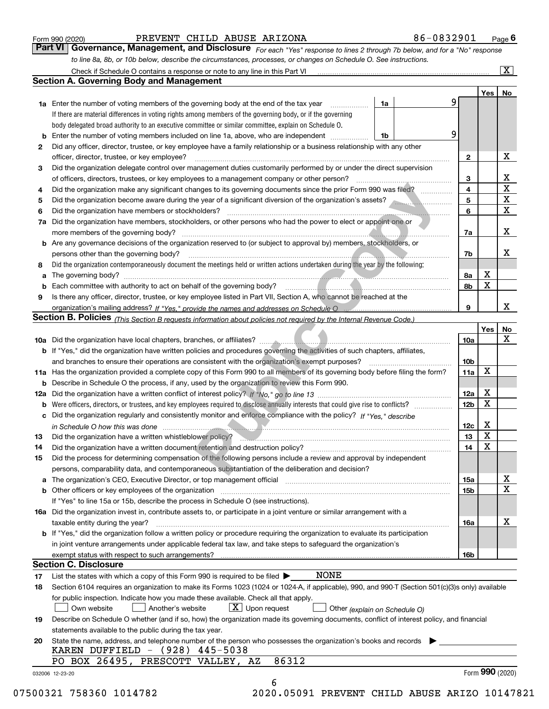|    | PREVENT CHILD ABUSE ARIZONA<br>Form 990 (2020)                                                                                                                                                                                                                                                                                                     |    | 86-0832901 |                 |                         | Page $6$                  |
|----|----------------------------------------------------------------------------------------------------------------------------------------------------------------------------------------------------------------------------------------------------------------------------------------------------------------------------------------------------|----|------------|-----------------|-------------------------|---------------------------|
|    | Governance, Management, and Disclosure For each "Yes" response to lines 2 through 7b below, and for a "No" response<br>Part VI                                                                                                                                                                                                                     |    |            |                 |                         |                           |
|    | to line 8a, 8b, or 10b below, describe the circumstances, processes, or changes on Schedule O. See instructions.                                                                                                                                                                                                                                   |    |            |                 |                         |                           |
|    | Check if Schedule O contains a response or note to any line in this Part VI [11] [12] [13] Check if Schedule O contains a response or note to any line in this Part VI                                                                                                                                                                             |    |            |                 |                         | $\overline{\mathtt{x}}$ ) |
|    | <b>Section A. Governing Body and Management</b>                                                                                                                                                                                                                                                                                                    |    |            |                 |                         |                           |
|    |                                                                                                                                                                                                                                                                                                                                                    |    |            |                 | Yes                     | No                        |
|    | <b>1a</b> Enter the number of voting members of the governing body at the end of the tax year                                                                                                                                                                                                                                                      | 1a | 9          |                 |                         |                           |
|    | If there are material differences in voting rights among members of the governing body, or if the governing                                                                                                                                                                                                                                        |    |            |                 |                         |                           |
|    | body delegated broad authority to an executive committee or similar committee, explain on Schedule O.                                                                                                                                                                                                                                              |    |            |                 |                         |                           |
| b  | Enter the number of voting members included on line 1a, above, who are independent                                                                                                                                                                                                                                                                 | 1b | 9          |                 |                         |                           |
| 2  | Did any officer, director, trustee, or key employee have a family relationship or a business relationship with any other                                                                                                                                                                                                                           |    |            |                 |                         |                           |
|    | officer, director, trustee, or key employee?                                                                                                                                                                                                                                                                                                       |    |            | 2               |                         | X                         |
| 3  | Did the organization delegate control over management duties customarily performed by or under the direct supervision                                                                                                                                                                                                                              |    |            |                 |                         |                           |
|    | of officers, directors, trustees, or key employees to a management company or other person?                                                                                                                                                                                                                                                        |    |            | 3               |                         | x                         |
| 4  | Did the organization make any significant changes to its governing documents since the prior Form 990 was filed?                                                                                                                                                                                                                                   |    |            | 4               |                         | X                         |
| 5  | Did the organization become aware during the year of a significant diversion of the organization's assets?                                                                                                                                                                                                                                         |    |            | 5               |                         | x                         |
| 6  | Did the organization have members or stockholders?                                                                                                                                                                                                                                                                                                 |    |            | 6               |                         | X                         |
| 7a | Did the organization have members, stockholders, or other persons who had the power to elect or appoint one or                                                                                                                                                                                                                                     |    |            |                 |                         |                           |
|    | more members of the governing body?                                                                                                                                                                                                                                                                                                                |    |            | 7a              |                         | X                         |
|    | <b>b</b> Are any governance decisions of the organization reserved to (or subject to approval by) members, stockholders, or                                                                                                                                                                                                                        |    |            |                 |                         |                           |
|    | persons other than the governing body?                                                                                                                                                                                                                                                                                                             |    |            | 7b              |                         | x                         |
| 8  | Did the organization contemporaneously document the meetings held or written actions undertaken during the year by the following:                                                                                                                                                                                                                  |    |            |                 |                         |                           |
| a  |                                                                                                                                                                                                                                                                                                                                                    |    |            | 8а              | х                       |                           |
| b  | Each committee with authority to act on behalf of the governing body? [10] manus and manuscription with authority to act on behalf of the governing body? [10] manuscription with an intervention with a set of the set of the                                                                                                                     |    |            | 8b              | X                       |                           |
| 9  | Is there any officer, director, trustee, or key employee listed in Part VII, Section A, who cannot be reached at the                                                                                                                                                                                                                               |    |            |                 |                         |                           |
|    | organization's mailing address? If "Yes." provide the names and addresses on Schedule O                                                                                                                                                                                                                                                            |    |            | 9               |                         | x                         |
|    | Section B. Policies <i>(This Section B requests information about policies not required by the Internal Revenue Code.)</i>                                                                                                                                                                                                                         |    |            |                 |                         |                           |
|    |                                                                                                                                                                                                                                                                                                                                                    |    |            |                 | Yes                     | No                        |
|    |                                                                                                                                                                                                                                                                                                                                                    |    |            | 10a             |                         | X                         |
|    | <b>b</b> If "Yes," did the organization have written policies and procedures governing the activities of such chapters, affiliates,                                                                                                                                                                                                                |    |            |                 |                         |                           |
|    | and branches to ensure their operations are consistent with the organization's exempt purposes?                                                                                                                                                                                                                                                    |    |            | 10 <sub>b</sub> | X                       |                           |
|    | 11a Has the organization provided a complete copy of this Form 990 to all members of its governing body before filing the form?                                                                                                                                                                                                                    |    |            | 11a             |                         |                           |
|    | <b>b</b> Describe in Schedule O the process, if any, used by the organization to review this Form 990.                                                                                                                                                                                                                                             |    |            | 12a             | х                       |                           |
|    | Were officers, directors, or trustees, and key employees required to disclose annually interests that could give rise to conflicts?                                                                                                                                                                                                                |    |            | 12 <sub>b</sub> | X                       |                           |
| b  | c Did the organization regularly and consistently monitor and enforce compliance with the policy? If "Yes," describe                                                                                                                                                                                                                               |    |            |                 |                         |                           |
|    |                                                                                                                                                                                                                                                                                                                                                    |    |            | 12c             | х                       |                           |
|    | in Schedule O how this was done measured and contact the control of the state of the state of the state of the<br>Did the organization have a written whistleblower policy?<br>material continuum continuum continuum continuum continuum contract a written with the basic contract with the contract of the contract of the contract of the cont |    |            | 13              | $\overline{\textbf{X}}$ |                           |
| 14 | Did the organization have a written document retention and destruction policy?                                                                                                                                                                                                                                                                     |    |            | 14              | X                       |                           |
| 15 | Did the process for determining compensation of the following persons include a review and approval by independent                                                                                                                                                                                                                                 |    |            |                 |                         |                           |
|    | persons, comparability data, and contemporaneous substantiation of the deliberation and decision?                                                                                                                                                                                                                                                  |    |            |                 |                         |                           |
|    | a The organization's CEO, Executive Director, or top management official manufactured content content of the organization's CEO, Executive Director, or top management official manufactured content of the state of the state                                                                                                                     |    |            | 15a             |                         | х                         |
|    | <b>b</b> Other officers or key employees of the organization                                                                                                                                                                                                                                                                                       |    |            | 15b             |                         | X                         |
|    | If "Yes" to line 15a or 15b, describe the process in Schedule O (see instructions).                                                                                                                                                                                                                                                                |    |            |                 |                         |                           |
|    | 16a Did the organization invest in, contribute assets to, or participate in a joint venture or similar arrangement with a                                                                                                                                                                                                                          |    |            |                 |                         |                           |
|    | taxable entity during the year?                                                                                                                                                                                                                                                                                                                    |    |            | 16a             |                         | х                         |
|    | b If "Yes," did the organization follow a written policy or procedure requiring the organization to evaluate its participation                                                                                                                                                                                                                     |    |            |                 |                         |                           |
|    | in joint venture arrangements under applicable federal tax law, and take steps to safeguard the organization's                                                                                                                                                                                                                                     |    |            |                 |                         |                           |
|    |                                                                                                                                                                                                                                                                                                                                                    |    |            | 16b             |                         |                           |
|    | <b>Section C. Disclosure</b>                                                                                                                                                                                                                                                                                                                       |    |            |                 |                         |                           |
| 17 | NONE<br>List the states with which a copy of this Form 990 is required to be filed $\blacktriangleright$                                                                                                                                                                                                                                           |    |            |                 |                         |                           |
| 18 | Section 6104 requires an organization to make its Forms 1023 (1024 or 1024-A, if applicable), 990, and 990-T (Section 501(c)(3)s only) available                                                                                                                                                                                                   |    |            |                 |                         |                           |
|    | for public inspection. Indicate how you made these available. Check all that apply.                                                                                                                                                                                                                                                                |    |            |                 |                         |                           |
|    | $\lfloor x \rfloor$ Upon request<br>Another's website<br>Own website<br>Other (explain on Schedule O)                                                                                                                                                                                                                                              |    |            |                 |                         |                           |
| 19 | Describe on Schedule O whether (and if so, how) the organization made its governing documents, conflict of interest policy, and financial                                                                                                                                                                                                          |    |            |                 |                         |                           |
|    | statements available to the public during the tax year.                                                                                                                                                                                                                                                                                            |    |            |                 |                         |                           |
| 20 | State the name, address, and telephone number of the person who possesses the organization's books and records                                                                                                                                                                                                                                     |    |            |                 |                         |                           |
|    | KAREN DUFFIELD - (928) 445-5038                                                                                                                                                                                                                                                                                                                    |    |            |                 |                         |                           |
|    | 86312<br>PO BOX 26495, PRESCOTT VALLEY, AZ                                                                                                                                                                                                                                                                                                         |    |            |                 |                         |                           |
|    | 032006 12-23-20                                                                                                                                                                                                                                                                                                                                    |    |            |                 |                         | Form 990 (2020)           |
|    | 6                                                                                                                                                                                                                                                                                                                                                  |    |            |                 |                         |                           |

 <sup>07500321 758360 1014782 2020.05091</sup> PREVENT CHILD ABUSE ARIZO 10147821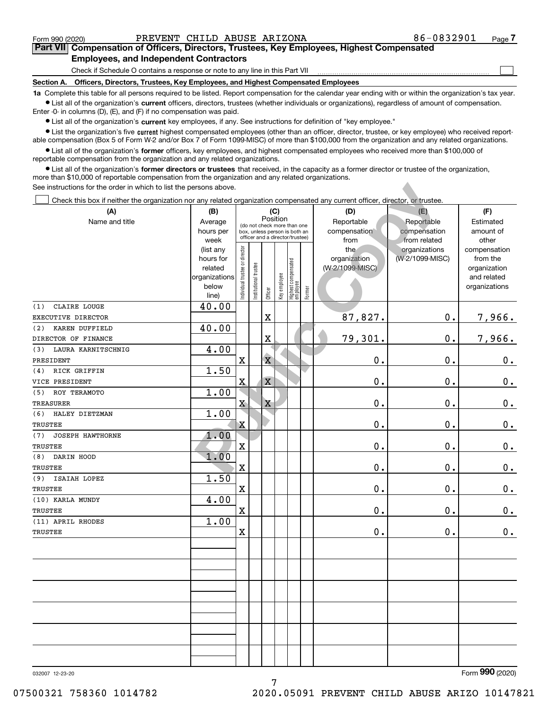$\mathcal{L}^{\text{max}}$ 

# **7Part VII Compensation of Officers, Directors, Trustees, Key Employees, Highest Compensated Employees, and Independent Contractors**

Check if Schedule O contains a response or note to any line in this Part VII

**Section A. Officers, Directors, Trustees, Key Employees, and Highest Compensated Employees**

**1a**  Complete this table for all persons required to be listed. Report compensation for the calendar year ending with or within the organization's tax year. **•** List all of the organization's current officers, directors, trustees (whether individuals or organizations), regardless of amount of compensation.

Enter -0- in columns (D), (E), and (F) if no compensation was paid.

 $\bullet$  List all of the organization's  $\,$ current key employees, if any. See instructions for definition of "key employee."

**•** List the organization's five current highest compensated employees (other than an officer, director, trustee, or key employee) who received reportable compensation (Box 5 of Form W-2 and/or Box 7 of Form 1099-MISC) of more than \$100,000 from the organization and any related organizations.

**•** List all of the organization's former officers, key employees, and highest compensated employees who received more than \$100,000 of reportable compensation from the organization and any related organizations.

**former directors or trustees**  ¥ List all of the organization's that received, in the capacity as a former director or trustee of the organization, more than \$10,000 of reportable compensation from the organization and any related organizations.

| See instructions for the order in which to list the persons above.                                                             |                          |                                   |                       |                         |              |                                 |        |                 |                 |                             |
|--------------------------------------------------------------------------------------------------------------------------------|--------------------------|-----------------------------------|-----------------------|-------------------------|--------------|---------------------------------|--------|-----------------|-----------------|-----------------------------|
| Check this box if neither the organization nor any related organization compensated any current officer, director, or trustee. |                          |                                   |                       |                         |              |                                 |        |                 |                 |                             |
| (A)                                                                                                                            | (B)                      | (C)                               |                       |                         |              |                                 |        | (D)             | (E)             | (F)                         |
| Name and title                                                                                                                 | Average                  |                                   |                       |                         | Position     | (do not check more than one     |        | Reportable      | Reportable      | Estimated                   |
|                                                                                                                                | hours per                |                                   |                       |                         |              | box, unless person is both an   |        | compensation    | compensation    | amount of                   |
|                                                                                                                                | week                     |                                   |                       |                         |              | officer and a director/trustee) |        | from            | from related    | other                       |
|                                                                                                                                | (list any                |                                   |                       |                         |              |                                 |        | the             | organizations   | compensation                |
|                                                                                                                                | hours for                |                                   |                       |                         |              |                                 |        | organization    | (W-2/1099-MISC) | from the                    |
|                                                                                                                                | related<br>organizations |                                   |                       |                         |              |                                 |        | (W-2/1099-MISC) |                 | organization<br>and related |
|                                                                                                                                | below                    |                                   |                       |                         |              |                                 |        |                 |                 | organizations               |
|                                                                                                                                | line)                    | Individual trustee or director    | Institutional trustee | Officer                 | Key employee | Highest compensated<br>employee | Former |                 |                 |                             |
| CLAIRE LOUGE<br>(1)                                                                                                            | 40.00                    |                                   |                       |                         |              |                                 |        |                 |                 |                             |
| EXECUTIVE DIRECTOR                                                                                                             |                          |                                   |                       | $\mathbf X$             |              |                                 |        | 87,827.         | $\mathbf 0$ .   | 7,966.                      |
| (2)<br>KAREN DUFFIELD                                                                                                          | 40.00                    |                                   |                       |                         |              |                                 |        |                 |                 |                             |
| DIRECTOR OF FINANCE                                                                                                            |                          |                                   |                       | $\mathbf X$             |              |                                 |        | 79,301.         | 0.              | 7,966.                      |
| LAURA KARNITSCHNIG<br>(3)                                                                                                      | 4.00                     |                                   |                       |                         |              |                                 |        |                 |                 |                             |
| PRESIDENT                                                                                                                      |                          | $\mathbf x$                       |                       | $\overline{\mathbf{X}}$ |              |                                 |        | 0.              | 0.              | $\mathbf 0$ .               |
| RICK GRIFFIN<br>(4)                                                                                                            | 1.50                     |                                   |                       |                         |              |                                 |        |                 |                 |                             |
| VICE PRESIDENT                                                                                                                 |                          | $\mathbf{X}% _{T}=\mathbf{X}_{T}$ |                       | $\mathbf X$             |              |                                 |        | $\mathbf 0$ .   | 0.              | $\mathbf 0$ .               |
| (5)<br>ROY TERAMOTO                                                                                                            | 1.00                     |                                   |                       |                         |              |                                 |        |                 |                 |                             |
| <b>TREASURER</b>                                                                                                               |                          | $\mathbf{X}$                      |                       | X                       |              |                                 |        | $\mathbf 0$ .   | 0.              | $\mathbf 0$ .               |
| (6)<br>HALEY DIETZMAN                                                                                                          | 1.00                     |                                   |                       |                         |              |                                 |        |                 |                 |                             |
| <b>TRUSTEE</b>                                                                                                                 |                          | $\overline{\mathbf{X}}$           |                       |                         |              |                                 |        | $\mathbf 0$ .   | 0.              | $\mathbf 0$ .               |
| (7)<br><b>JOSEPH HAWTHORNE</b>                                                                                                 | 1.00                     |                                   |                       |                         |              |                                 |        |                 |                 |                             |
| <b>TRUSTEE</b>                                                                                                                 |                          | X                                 |                       |                         |              |                                 |        | $\mathbf 0$ .   | 0.              | $\mathbf 0$ .               |
| DARIN HOOD<br>(8)                                                                                                              | 1.00                     |                                   |                       |                         |              |                                 |        |                 |                 |                             |
| <b>TRUSTEE</b>                                                                                                                 |                          | $\mathbf X$                       |                       |                         |              |                                 |        | 0.              | 0.              | $\mathbf 0$ .               |
| (9)<br>ISAIAH LOPEZ                                                                                                            | 1.50                     |                                   |                       |                         |              |                                 |        |                 |                 |                             |
| <b>TRUSTEE</b>                                                                                                                 |                          | $\mathbf X$                       |                       |                         |              |                                 |        | 0.              | 0.              | $\mathbf 0$ .               |
| (10) KARLA MUNDY                                                                                                               | 4.00                     |                                   |                       |                         |              |                                 |        |                 |                 |                             |
| TRUSTEE                                                                                                                        |                          | $\mathbf X$                       |                       |                         |              |                                 |        | 0.              | 0.              | 0.                          |
| (11) APRIL RHODES                                                                                                              | 1.00                     |                                   |                       |                         |              |                                 |        |                 |                 |                             |
| TRUSTEE                                                                                                                        |                          | $\mathbf X$                       |                       |                         |              |                                 |        | 0.              | 0.              | 0.                          |
|                                                                                                                                |                          |                                   |                       |                         |              |                                 |        |                 |                 |                             |
|                                                                                                                                |                          |                                   |                       |                         |              |                                 |        |                 |                 |                             |
|                                                                                                                                |                          |                                   |                       |                         |              |                                 |        |                 |                 |                             |
|                                                                                                                                |                          |                                   |                       |                         |              |                                 |        |                 |                 |                             |
|                                                                                                                                |                          |                                   |                       |                         |              |                                 |        |                 |                 |                             |
|                                                                                                                                |                          |                                   |                       |                         |              |                                 |        |                 |                 |                             |
|                                                                                                                                |                          |                                   |                       |                         |              |                                 |        |                 |                 |                             |
|                                                                                                                                |                          |                                   |                       |                         |              |                                 |        |                 |                 |                             |
|                                                                                                                                |                          |                                   |                       |                         |              |                                 |        |                 |                 |                             |
|                                                                                                                                |                          |                                   |                       |                         |              |                                 |        |                 |                 |                             |
|                                                                                                                                |                          |                                   |                       |                         |              |                                 |        |                 |                 |                             |
|                                                                                                                                |                          |                                   |                       |                         |              |                                 |        |                 |                 |                             |

7

032007 12-23-20

Form (2020) **990**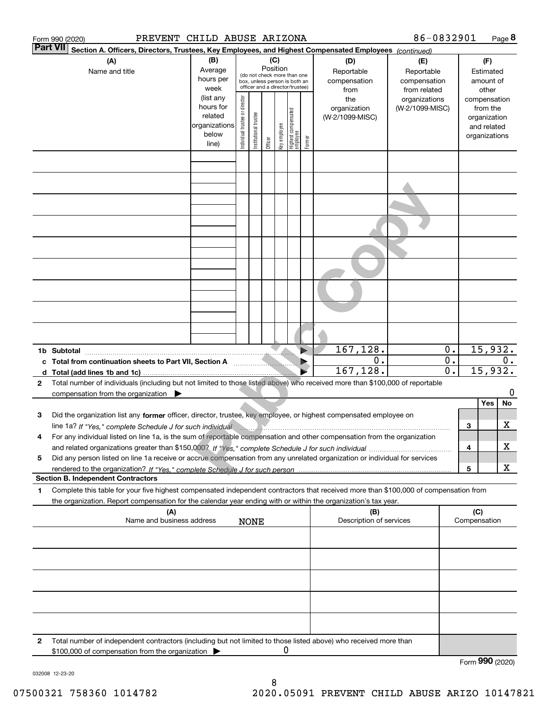|              | PREVENT CHILD ABUSE ARIZONA<br>Form 990 (2020)                                                                                                                                                                                                                     |                                                                                                    |                                |                       |                            |              |                                                                                                                                     |        |                                                                                     | 86-0832901                                                                            |                                         |                          |                                                                                                                    | Page 8 |
|--------------|--------------------------------------------------------------------------------------------------------------------------------------------------------------------------------------------------------------------------------------------------------------------|----------------------------------------------------------------------------------------------------|--------------------------------|-----------------------|----------------------------|--------------|-------------------------------------------------------------------------------------------------------------------------------------|--------|-------------------------------------------------------------------------------------|---------------------------------------------------------------------------------------|-----------------------------------------|--------------------------|--------------------------------------------------------------------------------------------------------------------|--------|
|              | <b>Part VII</b><br>Section A. Officers, Directors, Trustees, Key Employees, and Highest Compensated Employees (continued)                                                                                                                                          |                                                                                                    |                                |                       |                            |              |                                                                                                                                     |        |                                                                                     |                                                                                       |                                         |                          |                                                                                                                    |        |
|              | (A)<br>Name and title                                                                                                                                                                                                                                              | (B)<br>Average<br>hours per<br>week<br>(list any<br>hours for<br>related<br>organizations<br>below | Individual trustee or director | Institutional trustee | (C)<br>Position<br>Officer | Key employee | (do not check more than one<br>box, unless person is both an<br>officer and a director/trustee)<br>Highest compensated<br> employee | Former | (D)<br>Reportable<br>compensation<br>from<br>the<br>organization<br>(W-2/1099-MISC) | (E)<br>Reportable<br>compensation<br>from related<br>organizations<br>(W-2/1099-MISC) |                                         |                          | (F)<br>Estimated<br>amount of<br>other<br>compensation<br>from the<br>organization<br>and related<br>organizations |        |
|              |                                                                                                                                                                                                                                                                    | line)                                                                                              |                                |                       |                            |              |                                                                                                                                     |        |                                                                                     |                                                                                       |                                         |                          |                                                                                                                    |        |
|              |                                                                                                                                                                                                                                                                    |                                                                                                    |                                |                       |                            |              |                                                                                                                                     |        |                                                                                     |                                                                                       |                                         |                          |                                                                                                                    |        |
|              |                                                                                                                                                                                                                                                                    |                                                                                                    |                                |                       |                            |              |                                                                                                                                     |        |                                                                                     |                                                                                       |                                         |                          |                                                                                                                    |        |
|              |                                                                                                                                                                                                                                                                    |                                                                                                    |                                |                       |                            |              |                                                                                                                                     |        |                                                                                     |                                                                                       |                                         |                          |                                                                                                                    |        |
|              |                                                                                                                                                                                                                                                                    |                                                                                                    |                                |                       |                            |              |                                                                                                                                     |        |                                                                                     |                                                                                       |                                         |                          |                                                                                                                    |        |
|              |                                                                                                                                                                                                                                                                    |                                                                                                    |                                |                       |                            |              |                                                                                                                                     |        |                                                                                     |                                                                                       |                                         |                          |                                                                                                                    |        |
|              |                                                                                                                                                                                                                                                                    |                                                                                                    |                                |                       |                            |              |                                                                                                                                     |        |                                                                                     |                                                                                       |                                         |                          |                                                                                                                    |        |
|              |                                                                                                                                                                                                                                                                    |                                                                                                    |                                |                       |                            |              |                                                                                                                                     |        |                                                                                     |                                                                                       |                                         |                          |                                                                                                                    |        |
|              | 1b Subtotal<br>c Total from continuation sheets to Part VII, Section A                                                                                                                                                                                             |                                                                                                    |                                |                       |                            |              |                                                                                                                                     |        | 167, 128.<br>0.<br>167,128.                                                         |                                                                                       | 0.<br>$\mathbf 0$ .<br>$\overline{0}$ . | 15,932.<br>0.<br>15,932. |                                                                                                                    |        |
| $\mathbf{2}$ | Total number of individuals (including but not limited to those listed above) who received more than \$100,000 of reportable                                                                                                                                       |                                                                                                    |                                |                       |                            |              |                                                                                                                                     |        |                                                                                     |                                                                                       |                                         |                          |                                                                                                                    | O      |
|              | compensation from the organization $\triangleright$                                                                                                                                                                                                                |                                                                                                    |                                |                       |                            |              |                                                                                                                                     |        |                                                                                     |                                                                                       |                                         |                          | Yes                                                                                                                | No     |
| з            | Did the organization list any former officer, director, trustee, key employee, or highest compensated employee on                                                                                                                                                  |                                                                                                    |                                |                       |                            |              |                                                                                                                                     |        |                                                                                     |                                                                                       |                                         | 3                        |                                                                                                                    | х      |
| 4            | line 1a? If "Yes," complete Schedule J for such individual manufactured contains and the Yes," complete Schedule J for such individual<br>For any individual listed on line 1a, is the sum of reportable compensation and other compensation from the organization |                                                                                                    |                                |                       |                            |              |                                                                                                                                     |        |                                                                                     |                                                                                       |                                         |                          |                                                                                                                    | х      |
| 5            | Did any person listed on line 1a receive or accrue compensation from any unrelated organization or individual for services                                                                                                                                         |                                                                                                    |                                |                       |                            |              |                                                                                                                                     |        |                                                                                     |                                                                                       |                                         | 4                        |                                                                                                                    |        |
|              | <b>Section B. Independent Contractors</b>                                                                                                                                                                                                                          |                                                                                                    |                                |                       |                            |              |                                                                                                                                     |        |                                                                                     |                                                                                       |                                         | $\overline{\mathbf{5}}$  |                                                                                                                    | x      |
| 1            | Complete this table for your five highest compensated independent contractors that received more than \$100,000 of compensation from<br>the organization. Report compensation for the calendar year ending with or within the organization's tax year.             |                                                                                                    |                                |                       |                            |              |                                                                                                                                     |        |                                                                                     |                                                                                       |                                         |                          |                                                                                                                    |        |
|              | (A)<br>Name and business address                                                                                                                                                                                                                                   |                                                                                                    |                                | <b>NONE</b>           |                            |              |                                                                                                                                     |        | (B)<br>Description of services                                                      |                                                                                       |                                         | (C)<br>Compensation      |                                                                                                                    |        |
|              |                                                                                                                                                                                                                                                                    |                                                                                                    |                                |                       |                            |              |                                                                                                                                     |        |                                                                                     |                                                                                       |                                         |                          |                                                                                                                    |        |
|              |                                                                                                                                                                                                                                                                    |                                                                                                    |                                |                       |                            |              |                                                                                                                                     |        |                                                                                     |                                                                                       |                                         |                          |                                                                                                                    |        |
|              |                                                                                                                                                                                                                                                                    |                                                                                                    |                                |                       |                            |              |                                                                                                                                     |        |                                                                                     |                                                                                       |                                         |                          |                                                                                                                    |        |
|              |                                                                                                                                                                                                                                                                    |                                                                                                    |                                |                       |                            |              |                                                                                                                                     |        |                                                                                     |                                                                                       |                                         |                          |                                                                                                                    |        |
| $\mathbf{2}$ | Total number of independent contractors (including but not limited to those listed above) who received more than<br>\$100,000 of compensation from the organization                                                                                                |                                                                                                    |                                |                       |                            | Ü            |                                                                                                                                     |        |                                                                                     |                                                                                       |                                         |                          |                                                                                                                    |        |
|              |                                                                                                                                                                                                                                                                    |                                                                                                    |                                |                       |                            |              |                                                                                                                                     |        |                                                                                     |                                                                                       |                                         | Form 990 (2020)          |                                                                                                                    |        |

032008 12-23-20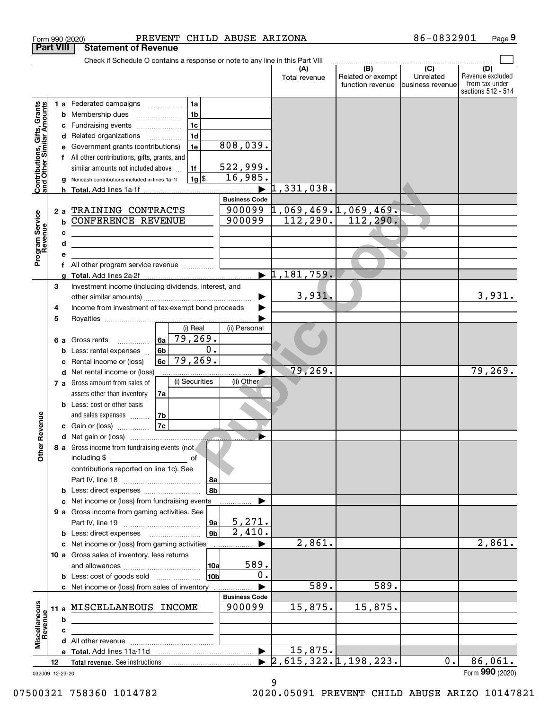| <b>Part VIII</b><br><b>Contributions, Gifts, Grants</b><br>and Other Similar Amounts |    | <b>Statement of Revenue</b><br>Check if Schedule O contains a response or note to any line in this Part VIII         |                                | (A)                                                   | (B)                                   | $\overline{(C)}$              | (D)                                                      |
|--------------------------------------------------------------------------------------|----|----------------------------------------------------------------------------------------------------------------------|--------------------------------|-------------------------------------------------------|---------------------------------------|-------------------------------|----------------------------------------------------------|
|                                                                                      |    |                                                                                                                      |                                |                                                       |                                       |                               |                                                          |
|                                                                                      |    |                                                                                                                      |                                |                                                       |                                       |                               |                                                          |
|                                                                                      |    |                                                                                                                      |                                | Total revenue                                         | Related or exempt<br>function revenue | Unrelated<br>business revenue | Revenue excluded<br>from tax under<br>sections 512 - 514 |
|                                                                                      |    | 1a<br>1 a Federated campaigns                                                                                        |                                |                                                       |                                       |                               |                                                          |
|                                                                                      |    | 1 <sub>b</sub><br><b>b</b> Membership dues<br>$\ldots \ldots \ldots \ldots \ldots$                                   |                                |                                                       |                                       |                               |                                                          |
|                                                                                      | с  | 1 <sub>c</sub><br>Fundraising events                                                                                 |                                |                                                       |                                       |                               |                                                          |
|                                                                                      |    | 1 <sub>d</sub><br>d Related organizations                                                                            |                                |                                                       |                                       |                               |                                                          |
|                                                                                      | е  | 1e<br>Government grants (contributions)                                                                              | 808,039.                       |                                                       |                                       |                               |                                                          |
|                                                                                      |    | f All other contributions, gifts, grants, and                                                                        |                                |                                                       |                                       |                               |                                                          |
|                                                                                      |    | 1f<br>similar amounts not included above                                                                             | 522,999.                       |                                                       |                                       |                               |                                                          |
|                                                                                      | g  | 1g <br>Noncash contributions included in lines 1a-1f                                                                 | 16,985.                        |                                                       |                                       |                               |                                                          |
|                                                                                      |    |                                                                                                                      | <b>Business Code</b>           | 1,331,038.                                            |                                       |                               |                                                          |
|                                                                                      | 2a | TRAINING CONTRACTS                                                                                                   |                                | $900099$ $1,069,469.1,069,469.$                       |                                       |                               |                                                          |
| Program Service<br>Revenue                                                           | b  | <b>CONFERENCE REVENUE</b>                                                                                            | 900099                         | 112, 290.                                             | 112, 290.                             |                               |                                                          |
|                                                                                      | с  | <u> 1989 - Johann Barn, mars ann an t-Amhain Aonaich an t-Aonaich an t-Aonaich ann an t-Aonaich ann an t-Aonaich</u> |                                |                                                       |                                       |                               |                                                          |
|                                                                                      | d  | the control of the control of the control of the control of the control of                                           |                                |                                                       |                                       |                               |                                                          |
|                                                                                      | e  |                                                                                                                      |                                |                                                       |                                       |                               |                                                          |
|                                                                                      | f  | All other program service revenue                                                                                    |                                |                                                       |                                       |                               |                                                          |
|                                                                                      | g  |                                                                                                                      |                                | $\blacktriangleright$ 1,181,759.                      |                                       |                               |                                                          |
| 3                                                                                    |    | Investment income (including dividends, interest, and                                                                |                                |                                                       |                                       |                               |                                                          |
|                                                                                      |    |                                                                                                                      |                                | 3,931.                                                |                                       |                               | 3,931.                                                   |
| 4                                                                                    |    | Income from investment of tax-exempt bond proceeds                                                                   |                                |                                                       |                                       |                               |                                                          |
| 5                                                                                    |    |                                                                                                                      |                                |                                                       |                                       |                               |                                                          |
|                                                                                      |    | (i) Real                                                                                                             | (ii) Personal                  |                                                       |                                       |                               |                                                          |
|                                                                                      |    | 79,269.<br>6a<br>6 a Gross rents<br>$\overline{0}$ .                                                                 |                                |                                                       |                                       |                               |                                                          |
|                                                                                      | b  | 6 <sub>b</sub><br>Less: rental expenses<br>79,269.                                                                   |                                |                                                       |                                       |                               |                                                          |
|                                                                                      | c  | 6c<br>Rental income or (loss)<br>d Net rental income or (loss)                                                       |                                | 79,269.                                               |                                       |                               | 79, 269.                                                 |
|                                                                                      |    | (i) Securities<br>7 a Gross amount from sales of                                                                     | (ii) Other                     |                                                       |                                       |                               |                                                          |
|                                                                                      |    | assets other than inventory<br>7a                                                                                    |                                |                                                       |                                       |                               |                                                          |
|                                                                                      |    | <b>b</b> Less: cost or other basis                                                                                   |                                |                                                       |                                       |                               |                                                          |
|                                                                                      |    | 7b<br>and sales expenses                                                                                             |                                |                                                       |                                       |                               |                                                          |
| evenue                                                                               |    | 7c<br>c Gain or (loss)                                                                                               |                                |                                                       |                                       |                               |                                                          |
|                                                                                      |    | d Net gain or (loss)                                                                                                 |                                |                                                       |                                       |                               |                                                          |
| Other <sub>R</sub>                                                                   |    | 8 a Gross income from fundraising events (not                                                                        |                                |                                                       |                                       |                               |                                                          |
|                                                                                      |    | including \$<br>of                                                                                                   |                                |                                                       |                                       |                               |                                                          |
|                                                                                      |    | contributions reported on line 1c). See                                                                              |                                |                                                       |                                       |                               |                                                          |
|                                                                                      |    | 8a                                                                                                                   |                                |                                                       |                                       |                               |                                                          |
|                                                                                      |    | 8 <sub>b</sub><br><b>b</b> Less: direct expenses                                                                     |                                |                                                       |                                       |                               |                                                          |
|                                                                                      |    | c Net income or (loss) from fundraising events                                                                       |                                |                                                       |                                       |                               |                                                          |
|                                                                                      |    | 9 a Gross income from gaming activities. See                                                                         |                                |                                                       |                                       |                               |                                                          |
|                                                                                      |    | 9a                                                                                                                   | 5,271.<br>$\overline{2,410}$ . |                                                       |                                       |                               |                                                          |
|                                                                                      |    | 9 <sub>b</sub><br><b>b</b> Less: direct expenses <b>manually</b>                                                     |                                | 2,861.                                                |                                       |                               | 2,861.                                                   |
|                                                                                      |    | c Net income or (loss) from gaming activities<br>10 a Gross sales of inventory, less returns                         |                                |                                                       |                                       |                               |                                                          |
|                                                                                      |    | <b>10a</b>                                                                                                           | 589.                           |                                                       |                                       |                               |                                                          |
|                                                                                      |    | 10b<br><b>b</b> Less: cost of goods sold                                                                             | 0.                             |                                                       |                                       |                               |                                                          |
|                                                                                      |    | c Net income or (loss) from sales of inventory                                                                       |                                | 589.                                                  | 589.                                  |                               |                                                          |
|                                                                                      |    |                                                                                                                      | <b>Business Code</b>           |                                                       |                                       |                               |                                                          |
|                                                                                      |    | 11 a MISCELLANEOUS INCOME                                                                                            | 900099                         | 15,875.                                               | 15,875.                               |                               |                                                          |
|                                                                                      | b  |                                                                                                                      |                                |                                                       |                                       |                               |                                                          |
|                                                                                      |    |                                                                                                                      |                                |                                                       |                                       |                               |                                                          |
|                                                                                      | c  |                                                                                                                      |                                |                                                       |                                       |                               |                                                          |
|                                                                                      |    |                                                                                                                      |                                |                                                       |                                       |                               |                                                          |
| Miscellaneous<br>Revenue                                                             |    |                                                                                                                      | $\blacktriangleright$          | 15,875.<br>$\blacktriangleright$ 2,615,322.1,198,223. |                                       | 0.                            | 86,061.                                                  |

9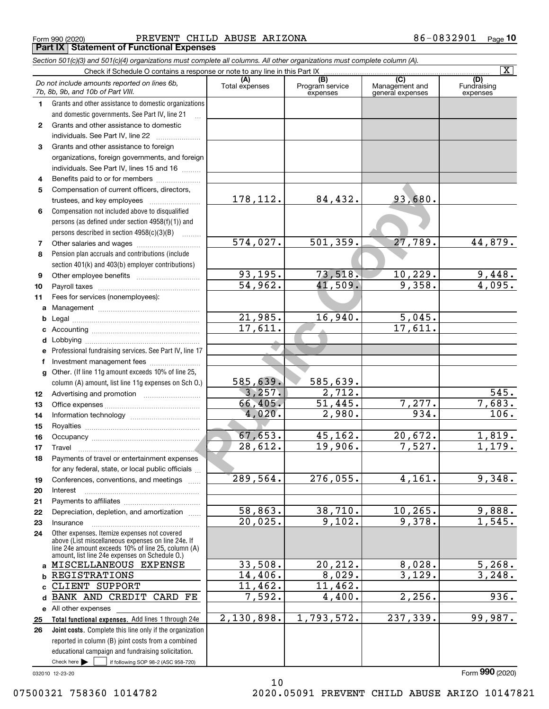Form 990 (2020) PREVENT CHILD ABUSE ARIZONA 86-0832901 <sub>Page</sub> **Part IX Statement of Functional Expenses**

|              | Section 501(c)(3) and 501(c)(4) organizations must complete all columns. All other organizations must complete column (A).                                                                                 |                       |                                    |                                           |                                |
|--------------|------------------------------------------------------------------------------------------------------------------------------------------------------------------------------------------------------------|-----------------------|------------------------------------|-------------------------------------------|--------------------------------|
|              | Check if Schedule O contains a response or note to any line in this Part IX                                                                                                                                |                       |                                    |                                           | $\overline{\mathbf{X}}$        |
|              | Do not include amounts reported on lines 6b,<br>7b, 8b, 9b, and 10b of Part VIII.                                                                                                                          | (A)<br>Total expenses | (B)<br>Program service<br>expenses | (C)<br>Management and<br>general expenses | (D)<br>Fundraising<br>expenses |
| 1.           | Grants and other assistance to domestic organizations                                                                                                                                                      |                       |                                    |                                           |                                |
|              | and domestic governments. See Part IV, line 21                                                                                                                                                             |                       |                                    |                                           |                                |
| $\mathbf{2}$ | Grants and other assistance to domestic                                                                                                                                                                    |                       |                                    |                                           |                                |
|              | individuals. See Part IV, line 22                                                                                                                                                                          |                       |                                    |                                           |                                |
| 3            | Grants and other assistance to foreign                                                                                                                                                                     |                       |                                    |                                           |                                |
|              | organizations, foreign governments, and foreign                                                                                                                                                            |                       |                                    |                                           |                                |
|              | individuals. See Part IV, lines 15 and 16                                                                                                                                                                  |                       |                                    |                                           |                                |
| 4            | Benefits paid to or for members                                                                                                                                                                            |                       |                                    |                                           |                                |
| 5            | Compensation of current officers, directors,                                                                                                                                                               |                       |                                    |                                           |                                |
|              |                                                                                                                                                                                                            | 178, 112.             | 84,432.                            | 93,680.                                   |                                |
| 6            | Compensation not included above to disqualified                                                                                                                                                            |                       |                                    |                                           |                                |
|              | persons (as defined under section 4958(f)(1)) and                                                                                                                                                          |                       |                                    |                                           |                                |
|              | persons described in section 4958(c)(3)(B)                                                                                                                                                                 |                       |                                    | 27,789.                                   |                                |
| 7            |                                                                                                                                                                                                            | 574,027.              | 501, 359.                          |                                           | 44,879.                        |
| 8            | Pension plan accruals and contributions (include                                                                                                                                                           |                       |                                    |                                           |                                |
| 9            | section 401(k) and 403(b) employer contributions)                                                                                                                                                          | 93, 195.              | 73,518.                            | 10,229.                                   |                                |
| 10           |                                                                                                                                                                                                            | 54,962.               | 41,509.                            | 9,358.                                    | $\frac{9,448.}{4,095.}$        |
| 11           | Fees for services (nonemployees):                                                                                                                                                                          |                       |                                    |                                           |                                |
|              |                                                                                                                                                                                                            |                       |                                    |                                           |                                |
| а<br>b       |                                                                                                                                                                                                            | 21,985.               | 16,940.                            | 5,045.                                    |                                |
| с            |                                                                                                                                                                                                            | 17,611.               |                                    | 17,611.                                   |                                |
| d            |                                                                                                                                                                                                            |                       |                                    |                                           |                                |
| е            | Professional fundraising services. See Part IV, line 17                                                                                                                                                    |                       |                                    |                                           |                                |
| f            | Investment management fees                                                                                                                                                                                 |                       |                                    |                                           |                                |
| g            | Other. (If line 11g amount exceeds 10% of line 25,                                                                                                                                                         |                       |                                    |                                           |                                |
|              | column (A) amount, list line 11g expenses on Sch 0.)                                                                                                                                                       | 585,639.              | 585,639.                           |                                           |                                |
| 12           |                                                                                                                                                                                                            | 3,257.                | 2,712.                             |                                           | 545.                           |
| 13           |                                                                                                                                                                                                            | 66,405.               | 51,445.                            | 7,277.                                    | 7,683.                         |
| 14           |                                                                                                                                                                                                            | 4,020.                | 2,980.                             | 934.                                      | 106.                           |
| 15           |                                                                                                                                                                                                            |                       |                                    |                                           |                                |
| 16           |                                                                                                                                                                                                            | 67,653.               | 45,162.                            | 20,672.                                   | 1,819.                         |
| 17           |                                                                                                                                                                                                            | 28,612.               | 19,906.                            | 7,527.                                    | 1,179.                         |
| 18           | Payments of travel or entertainment expenses                                                                                                                                                               |                       |                                    |                                           |                                |
|              | for any federal, state, or local public officials                                                                                                                                                          |                       |                                    |                                           |                                |
| 19           | Conferences, conventions, and meetings                                                                                                                                                                     | 289,564.              | 276,055.                           | 4,161.                                    | 9,348.                         |
| 20           | Interest                                                                                                                                                                                                   |                       |                                    |                                           |                                |
| 21           |                                                                                                                                                                                                            |                       |                                    |                                           |                                |
| 22           | Depreciation, depletion, and amortization                                                                                                                                                                  | 58,863.               | 38,710.                            | 10, 265.                                  | 9,888.                         |
| 23           | Insurance                                                                                                                                                                                                  | 20,025.               | 9,102.                             | 9,378.                                    | 1,545.                         |
| 24           | Other expenses. Itemize expenses not covered<br>above (List miscellaneous expenses on line 24e. If<br>line 24e amount exceeds 10% of line 25, column (A)<br>amount, list line 24e expenses on Schedule O.) |                       |                                    |                                           |                                |
|              | a MISCELLANEOUS EXPENSE                                                                                                                                                                                    | 33,508.               | 20,212.                            | 8,028.                                    | 5,268.                         |
| b            | REGISTRATIONS                                                                                                                                                                                              | 14,406.               | 8,029.                             | 3,129.                                    | 3,248.                         |
| c.           | CLIENT SUPPORT                                                                                                                                                                                             | 11,462.               | 11,462.                            |                                           |                                |
| d            | BANK AND CREDIT CARD FE                                                                                                                                                                                    | 7,592.                | 4,400.                             | 2,256.                                    | 936.                           |
|              | e All other expenses                                                                                                                                                                                       |                       |                                    |                                           |                                |
| 25           | Total functional expenses. Add lines 1 through 24e                                                                                                                                                         | 2,130,898.            | 1,793,572.                         | 237,339.                                  | 99,987.                        |
| 26           | <b>Joint costs.</b> Complete this line only if the organization                                                                                                                                            |                       |                                    |                                           |                                |
|              | reported in column (B) joint costs from a combined                                                                                                                                                         |                       |                                    |                                           |                                |
|              | educational campaign and fundraising solicitation.                                                                                                                                                         |                       |                                    |                                           |                                |
|              | Check here $\blacktriangleright$<br>if following SOP 98-2 (ASC 958-720)                                                                                                                                    |                       |                                    |                                           |                                |
|              | 032010 12-23-20                                                                                                                                                                                            |                       |                                    |                                           | Form 990 (2020)                |

10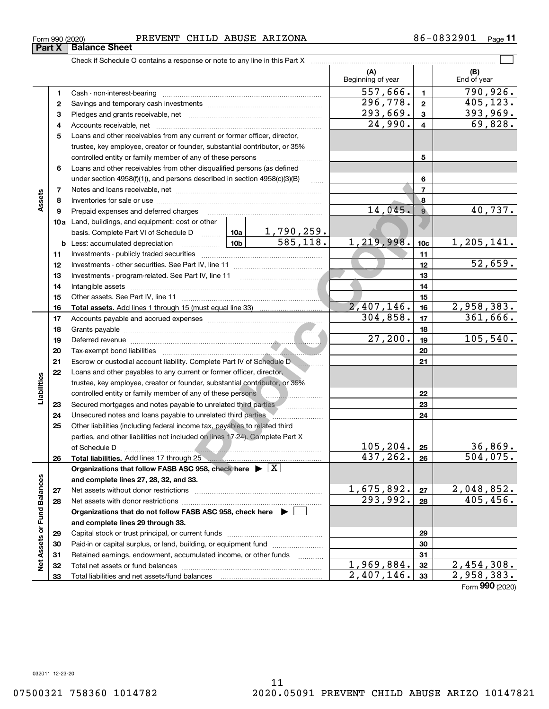#### Form 990 (2020) PREVENT CHILD ABUSE ARIZONA 86-0832901 <sub>Page</sub> **Part X Balance Sheet**

Check if Schedule O contains a response or note to any line in this Part X

|                             |    |                                                                                                                                                                                                                                      |         |                                            | (A)<br>Beginning of year   |                 | (B)<br>End of year      |
|-----------------------------|----|--------------------------------------------------------------------------------------------------------------------------------------------------------------------------------------------------------------------------------------|---------|--------------------------------------------|----------------------------|-----------------|-------------------------|
|                             | 1  | Cash - non-interest-bearing                                                                                                                                                                                                          |         |                                            | 557,666.                   | 1.              | 790,926.                |
|                             | 2  |                                                                                                                                                                                                                                      |         |                                            | 296,778.                   | $\mathbf{2}$    | 405,123.                |
|                             | З  |                                                                                                                                                                                                                                      |         |                                            | 293,669.                   | 3               | 393,969.                |
|                             | 4  |                                                                                                                                                                                                                                      | 24,990. | 4                                          | 69,828.                    |                 |                         |
|                             | 5  | Loans and other receivables from any current or former officer, director,                                                                                                                                                            |         |                                            |                            |                 |                         |
|                             |    | trustee, key employee, creator or founder, substantial contributor, or 35%                                                                                                                                                           |         |                                            |                            |                 |                         |
|                             |    | controlled entity or family member of any of these persons                                                                                                                                                                           |         | 5                                          |                            |                 |                         |
|                             | 6  | Loans and other receivables from other disqualified persons (as defined                                                                                                                                                              |         |                                            |                            |                 |                         |
|                             |    | under section 4958(f)(1)), and persons described in section 4958(c)(3)(B)                                                                                                                                                            |         | <b>Carlos</b>                              |                            | 6               |                         |
|                             | 7  |                                                                                                                                                                                                                                      |         |                                            |                            | 7               |                         |
| Assets                      | 8  |                                                                                                                                                                                                                                      |         | 8                                          |                            |                 |                         |
|                             | 9  | Prepaid expenses and deferred charges [11] [11] prepaid expenses and deferred charges [11] [11] minimum materials                                                                                                                    | 14,045. | 9 <sup>°</sup>                             | 40,737.                    |                 |                         |
|                             |    | <b>10a</b> Land, buildings, and equipment: cost or other                                                                                                                                                                             |         |                                            |                            |                 |                         |
|                             |    | basis. Complete Part VI of Schedule D  [10a ]                                                                                                                                                                                        |         |                                            |                            |                 |                         |
|                             |    | <u>  10b</u><br><b>b</b> Less: accumulated depreciation                                                                                                                                                                              |         | $\frac{1,790,259.}{585,118.}$              | 1,219,998.                 | 10 <sub>c</sub> | 1,205,141.              |
|                             | 11 |                                                                                                                                                                                                                                      |         | 11                                         |                            |                 |                         |
|                             | 12 |                                                                                                                                                                                                                                      |         | 12                                         | 52,659.                    |                 |                         |
|                             |    |                                                                                                                                                                                                                                      |         | 13                                         |                            |                 |                         |
|                             | 13 |                                                                                                                                                                                                                                      |         |                                            |                            |                 |                         |
|                             | 14 |                                                                                                                                                                                                                                      |         | 14                                         |                            |                 |                         |
|                             | 15 |                                                                                                                                                                                                                                      |         |                                            | $2,407,146$ .              | 15              | 2,958,383.              |
|                             | 16 |                                                                                                                                                                                                                                      |         |                                            | 304,858.                   | 16<br>17        | 361,666.                |
|                             | 17 |                                                                                                                                                                                                                                      |         |                                            |                            |                 |                         |
|                             | 18 |                                                                                                                                                                                                                                      | 27,200. | 18<br>19                                   | 105,540.                   |                 |                         |
|                             | 19 | Deferred revenue <b>contract and the contract of the contract of the contract of the contract of the contract of the contract of the contract of the contract of the contract of the contract of the contract of the contract of</b> |         |                                            |                            |                 |                         |
|                             | 20 |                                                                                                                                                                                                                                      |         | 20                                         |                            |                 |                         |
|                             | 21 | Escrow or custodial account liability. Complete Part IV of Schedule Dentity                                                                                                                                                          |         |                                            | 21                         |                 |                         |
|                             | 22 | Loans and other payables to any current or former officer, director,                                                                                                                                                                 |         |                                            |                            |                 |                         |
| Liabilities                 |    | trustee, key employee, creator or founder, substantial contributor, or 35%                                                                                                                                                           |         |                                            |                            |                 |                         |
|                             |    | controlled entity or family member of any of these persons                                                                                                                                                                           |         | 1999 - <b>Maria Barcelon, Amerikan per</b> |                            | 22              |                         |
|                             | 23 | Secured mortgages and notes payable to unrelated third parties                                                                                                                                                                       |         |                                            |                            | 23              |                         |
|                             | 24 | Unsecured notes and loans payable to unrelated third parties <b>Manual</b> Consecured notes and loans                                                                                                                                |         |                                            |                            | 24              |                         |
|                             | 25 | Other liabilities (including federal income tax, payables to related third                                                                                                                                                           |         |                                            |                            |                 |                         |
|                             |    | parties, and other liabilities not included on lines 17-24). Complete Part X                                                                                                                                                         |         |                                            | 105, 204.                  |                 | 36,869.                 |
|                             |    | of Schedule D                                                                                                                                                                                                                        |         |                                            | 437,262.                   | 25              | $\overline{504}$ , 075. |
|                             | 26 |                                                                                                                                                                                                                                      |         |                                            |                            | 26              |                         |
|                             |    | Organizations that follow FASB ASC 958, check here $\blacktriangleright \lfloor \underline{X} \rfloor$                                                                                                                               |         |                                            |                            |                 |                         |
|                             |    | and complete lines 27, 28, 32, and 33.                                                                                                                                                                                               |         |                                            | 1,675,892.                 |                 |                         |
|                             | 27 | Net assets without donor restrictions                                                                                                                                                                                                |         |                                            | 293,992.                   | 27              | 2,048,852.<br>405,456.  |
|                             | 28 | Net assets with donor restrictions                                                                                                                                                                                                   |         |                                            |                            | 28              |                         |
|                             |    | Organizations that do not follow FASB ASC 958, check here $\blacktriangleright$                                                                                                                                                      |         |                                            |                            |                 |                         |
|                             |    | and complete lines 29 through 33.                                                                                                                                                                                                    |         |                                            |                            |                 |                         |
|                             | 29 |                                                                                                                                                                                                                                      |         | 29                                         |                            |                 |                         |
| Net Assets or Fund Balances | 30 | Paid-in or capital surplus, or land, building, or equipment fund                                                                                                                                                                     |         |                                            |                            | 30              |                         |
|                             | 31 | Retained earnings, endowment, accumulated income, or other funds                                                                                                                                                                     |         | 1.1.1.1.1.1.1.1.1                          |                            | 31              |                         |
|                             | 32 |                                                                                                                                                                                                                                      |         |                                            | $\overline{1}$ , 969, 884. | 32              | 2,454,308.              |
|                             | 33 |                                                                                                                                                                                                                                      |         |                                            | 2,407,146.                 | 33              | 2,958,383.              |

 $\mathcal{L}^{\text{max}}$ 

Form (2020) **990**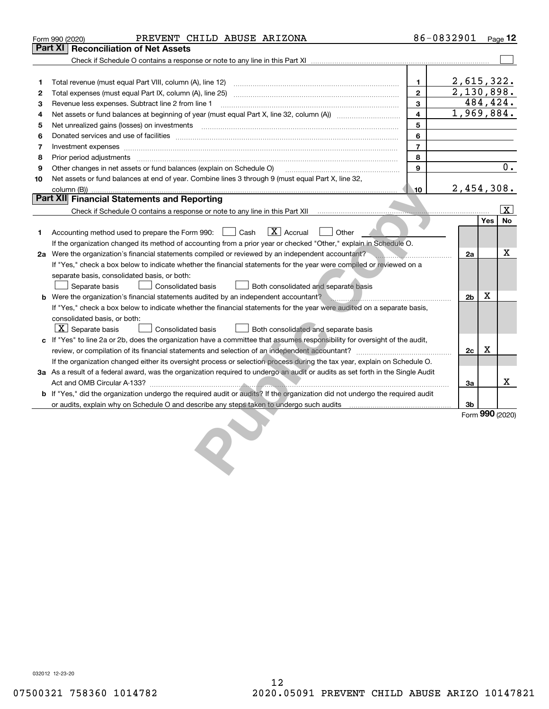|    | PREVENT CHILD ABUSE ARIZONA<br>Form 990 (2020)                                                                                       |                | 86-0832901     |     | Page $12$               |
|----|--------------------------------------------------------------------------------------------------------------------------------------|----------------|----------------|-----|-------------------------|
|    | <b>Part XI   Reconciliation of Net Assets</b>                                                                                        |                |                |     |                         |
|    |                                                                                                                                      |                |                |     |                         |
|    |                                                                                                                                      |                |                |     |                         |
| 1  | Total revenue (must equal Part VIII, column (A), line 12)                                                                            | $\mathbf{1}$   | 2,615,322.     |     |                         |
| 2  |                                                                                                                                      | $\overline{2}$ | 2,130,898.     |     |                         |
| З  | Revenue less expenses. Subtract line 2 from line 1                                                                                   | 3              |                |     | 484,424.                |
| 4  |                                                                                                                                      | 4              | 1,969,884.     |     |                         |
| 5  | Net unrealized gains (losses) on investments [11] matter continuum matter is a set of the set of the set of the                      | 5              |                |     |                         |
| 6  |                                                                                                                                      | 6              |                |     |                         |
| 7  |                                                                                                                                      | $\overline{7}$ |                |     |                         |
| 8  |                                                                                                                                      | 8              |                |     |                         |
| 9  | Other changes in net assets or fund balances (explain on Schedule O)                                                                 | 9              |                |     | 0.                      |
| 10 | Net assets or fund balances at end of year. Combine lines 3 through 9 (must equal Part X, line 32,                                   |                |                |     |                         |
|    | column (B))                                                                                                                          | 10             | 2,454,308.     |     |                         |
|    | <b>Part XII Financial Statements and Reporting</b>                                                                                   |                |                |     |                         |
|    | Check if Schedule O contains a response or note to any line in this Part XII <b>Contains and Check if Schedule O contains</b>        |                |                |     | $\overline{\mathbf{X}}$ |
|    |                                                                                                                                      |                |                | Yes | No                      |
| 1  | $\boxed{\text{X}}$ Accrual<br>Other<br>Accounting method used to prepare the Form 990: <u>[</u> Cash                                 |                |                |     |                         |
|    | If the organization changed its method of accounting from a prior year or checked "Other," explain in Schedule O.                    |                |                |     |                         |
|    | 2a Were the organization's financial statements compiled or reviewed by an independent accountant?                                   |                | 2a             |     | x                       |
|    | If "Yes," check a box below to indicate whether the financial statements for the year were compiled or reviewed on a                 |                |                |     |                         |
|    | separate basis, consolidated basis, or both:                                                                                         |                |                |     |                         |
|    | Separate basis<br>Consolidated basis<br>Both consolidated and separate basis                                                         |                |                |     |                         |
|    | <b>b</b> Were the organization's financial statements audited by an independent accountant?                                          |                | 2 <sub>b</sub> | x   |                         |
|    | If "Yes," check a box below to indicate whether the financial statements for the year were audited on a separate basis,              |                |                |     |                         |
|    | consolidated basis, or both:                                                                                                         |                |                |     |                         |
|    | $X$ Separate basis<br>Consolidated basis<br>Both consolidated and separate basis                                                     |                |                |     |                         |
|    | c If "Yes" to line 2a or 2b, does the organization have a committee that assumes responsibility for oversight of the audit,          |                |                |     |                         |
|    |                                                                                                                                      |                | 2c             | X   |                         |
|    | If the organization changed either its oversight process or selection process during the tax year, explain on Schedule O.            |                |                |     |                         |
|    | 3a As a result of a federal award, was the organization required to undergo an audit or audits as set forth in the Single Audit      |                |                |     |                         |
|    |                                                                                                                                      |                | 3a             |     | x.                      |
|    | <b>b</b> If "Yes," did the organization undergo the required audit or audits? If the organization did not undergo the required audit |                |                |     |                         |
|    | or audits, explain why on Schedule O and describe any steps taken to undergo such audits matured content conte                       |                | 3b             |     |                         |
|    |                                                                                                                                      |                |                |     | Form 990 (2020)         |
|    |                                                                                                                                      |                |                |     |                         |
|    |                                                                                                                                      |                |                |     |                         |
|    |                                                                                                                                      |                |                |     |                         |
|    |                                                                                                                                      |                |                |     |                         |
|    |                                                                                                                                      |                |                |     |                         |

032012 12-23-20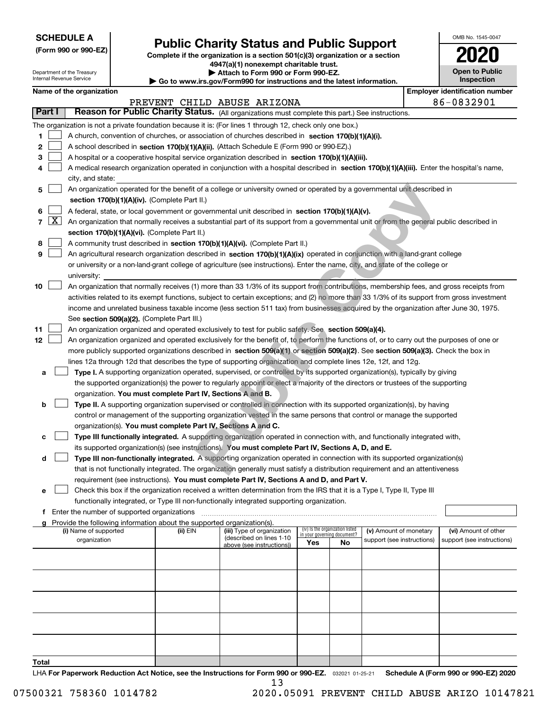| <b>SCHEDULE A</b> |
|-------------------|
|-------------------|

Department of the Treasury Internal Revenue Service

**(Form 990 or 990-EZ)**

# **Public Charity Status and Public Support**

**Complete if the organization is a section 501(c)(3) organization or a section 4947(a)(1) nonexempt charitable trust.**

**| Attach to Form 990 or Form 990-EZ.** 

**| Go to www.irs.gov/Form990 for instructions and the latest information.**

| OMB No 1545-0047                    |
|-------------------------------------|
| 020                                 |
| <b>Open to Public</b><br>Inspection |

| Name of the organization |  |
|--------------------------|--|
|--------------------------|--|

|        | Name of the organization<br><b>Employer identification number</b> |                                                                                                                                              |          |                                                        |                                 |    |                                                      |  |                                                    |  |
|--------|-------------------------------------------------------------------|----------------------------------------------------------------------------------------------------------------------------------------------|----------|--------------------------------------------------------|---------------------------------|----|------------------------------------------------------|--|----------------------------------------------------|--|
|        |                                                                   |                                                                                                                                              |          | PREVENT CHILD ABUSE ARIZONA                            |                                 |    |                                                      |  | 86-0832901                                         |  |
| Part I |                                                                   | Reason for Public Charity Status. (All organizations must complete this part.) See instructions.                                             |          |                                                        |                                 |    |                                                      |  |                                                    |  |
|        |                                                                   | The organization is not a private foundation because it is: (For lines 1 through 12, check only one box.)                                    |          |                                                        |                                 |    |                                                      |  |                                                    |  |
| 1      |                                                                   | A church, convention of churches, or association of churches described in section 170(b)(1)(A)(i).                                           |          |                                                        |                                 |    |                                                      |  |                                                    |  |
| 2      |                                                                   | A school described in section 170(b)(1)(A)(ii). (Attach Schedule E (Form 990 or 990-EZ).)                                                    |          |                                                        |                                 |    |                                                      |  |                                                    |  |
| З      |                                                                   | A hospital or a cooperative hospital service organization described in section 170(b)(1)(A)(iii).                                            |          |                                                        |                                 |    |                                                      |  |                                                    |  |
| 4      |                                                                   | A medical research organization operated in conjunction with a hospital described in section 170(b)(1)(A)(iii). Enter the hospital's name,   |          |                                                        |                                 |    |                                                      |  |                                                    |  |
|        |                                                                   | city, and state:                                                                                                                             |          |                                                        |                                 |    |                                                      |  |                                                    |  |
| 5      |                                                                   | An organization operated for the benefit of a college or university owned or operated by a governmental unit described in                    |          |                                                        |                                 |    |                                                      |  |                                                    |  |
|        |                                                                   | section 170(b)(1)(A)(iv). (Complete Part II.)                                                                                                |          |                                                        |                                 |    |                                                      |  |                                                    |  |
| 6      |                                                                   | A federal, state, or local government or governmental unit described in section 170(b)(1)(A)(v).                                             |          |                                                        |                                 |    |                                                      |  |                                                    |  |
| 7      | $\lfloor x \rfloor$                                               | An organization that normally receives a substantial part of its support from a governmental unit or from the general public described in    |          |                                                        |                                 |    |                                                      |  |                                                    |  |
|        |                                                                   | section 170(b)(1)(A)(vi). (Complete Part II.)                                                                                                |          |                                                        |                                 |    |                                                      |  |                                                    |  |
| 8      |                                                                   | A community trust described in section 170(b)(1)(A)(vi). (Complete Part II.)                                                                 |          |                                                        |                                 |    |                                                      |  |                                                    |  |
| 9      |                                                                   | An agricultural research organization described in section 170(b)(1)(A)(ix) operated in conjunction with a land-grant college                |          |                                                        |                                 |    |                                                      |  |                                                    |  |
|        |                                                                   | or university or a non-land-grant college of agriculture (see instructions). Enter the name, city, and state of the college or               |          |                                                        |                                 |    |                                                      |  |                                                    |  |
|        |                                                                   | university:                                                                                                                                  |          |                                                        |                                 |    |                                                      |  |                                                    |  |
| 10     |                                                                   | An organization that normally receives (1) more than 33 1/3% of its support from contributions, membership fees, and gross receipts from     |          |                                                        |                                 |    |                                                      |  |                                                    |  |
|        |                                                                   | activities related to its exempt functions, subject to certain exceptions; and (2) no more than 33 1/3% of its support from gross investment |          |                                                        |                                 |    |                                                      |  |                                                    |  |
|        |                                                                   | income and unrelated business taxable income (less section 511 tax) from businesses acquired by the organization after June 30, 1975.        |          |                                                        |                                 |    |                                                      |  |                                                    |  |
|        |                                                                   | See section 509(a)(2). (Complete Part III.)                                                                                                  |          |                                                        |                                 |    |                                                      |  |                                                    |  |
| 11     |                                                                   | An organization organized and operated exclusively to test for public safety. See section 509(a)(4).                                         |          |                                                        |                                 |    |                                                      |  |                                                    |  |
| 12     |                                                                   | An organization organized and operated exclusively for the benefit of, to perform the functions of, or to carry out the purposes of one or   |          |                                                        |                                 |    |                                                      |  |                                                    |  |
|        |                                                                   | more publicly supported organizations described in section 509(a)(1) or section 509(a)(2). See section 509(a)(3). Check the box in           |          |                                                        |                                 |    |                                                      |  |                                                    |  |
|        |                                                                   | lines 12a through 12d that describes the type of supporting organization and complete lines 12e, 12f, and 12g.                               |          |                                                        |                                 |    |                                                      |  |                                                    |  |
| а      |                                                                   | Type I. A supporting organization operated, supervised, or controlled by its supported organization(s), typically by giving                  |          |                                                        |                                 |    |                                                      |  |                                                    |  |
|        |                                                                   | the supported organization(s) the power to regularly appoint or elect a majority of the directors or trustees of the supporting              |          |                                                        |                                 |    |                                                      |  |                                                    |  |
|        |                                                                   | organization. You must complete Part IV, Sections A and B.                                                                                   |          |                                                        |                                 |    |                                                      |  |                                                    |  |
| b      |                                                                   | Type II. A supporting organization supervised or controlled in connection with its supported organization(s), by having                      |          |                                                        |                                 |    |                                                      |  |                                                    |  |
|        |                                                                   | control or management of the supporting organization vested in the same persons that control or manage the supported                         |          |                                                        |                                 |    |                                                      |  |                                                    |  |
|        |                                                                   | organization(s). You must complete Part IV, Sections A and C.                                                                                |          |                                                        |                                 |    |                                                      |  |                                                    |  |
|        |                                                                   | Type III functionally integrated. A supporting organization operated in connection with, and functionally integrated with,                   |          |                                                        |                                 |    |                                                      |  |                                                    |  |
|        |                                                                   | its supported organization(s) (see instructions). You must complete Part IV, Sections A, D, and E.                                           |          |                                                        |                                 |    |                                                      |  |                                                    |  |
| d      |                                                                   | Type III non-functionally integrated. A supporting organization operated in connection with its supported organization(s)                    |          |                                                        |                                 |    |                                                      |  |                                                    |  |
|        |                                                                   | that is not functionally integrated. The organization generally must satisfy a distribution requirement and an attentiveness                 |          |                                                        |                                 |    |                                                      |  |                                                    |  |
|        |                                                                   | requirement (see instructions). You must complete Part IV, Sections A and D, and Part V.                                                     |          |                                                        |                                 |    |                                                      |  |                                                    |  |
| е      |                                                                   | Check this box if the organization received a written determination from the IRS that it is a Type I, Type II, Type III                      |          |                                                        |                                 |    |                                                      |  |                                                    |  |
|        |                                                                   | functionally integrated, or Type III non-functionally integrated supporting organization.                                                    |          |                                                        |                                 |    |                                                      |  |                                                    |  |
| f.     |                                                                   | Enter the number of supported organizations                                                                                                  |          |                                                        |                                 |    |                                                      |  |                                                    |  |
|        |                                                                   | g Provide the following information about the supported organization(s).                                                                     |          |                                                        | (iv) Is the organization listed |    |                                                      |  |                                                    |  |
|        |                                                                   | (i) Name of supported<br>organization                                                                                                        | (ii) EIN | (iii) Type of organization<br>(described on lines 1-10 | in your governing document?     |    | (v) Amount of monetary<br>support (see instructions) |  | (vi) Amount of other<br>support (see instructions) |  |
|        |                                                                   |                                                                                                                                              |          | above (see instructions))                              | Yes                             | No |                                                      |  |                                                    |  |
|        |                                                                   |                                                                                                                                              |          |                                                        |                                 |    |                                                      |  |                                                    |  |
|        |                                                                   |                                                                                                                                              |          |                                                        |                                 |    |                                                      |  |                                                    |  |
|        |                                                                   |                                                                                                                                              |          |                                                        |                                 |    |                                                      |  |                                                    |  |
|        |                                                                   |                                                                                                                                              |          |                                                        |                                 |    |                                                      |  |                                                    |  |
|        |                                                                   |                                                                                                                                              |          |                                                        |                                 |    |                                                      |  |                                                    |  |
|        |                                                                   |                                                                                                                                              |          |                                                        |                                 |    |                                                      |  |                                                    |  |
|        |                                                                   |                                                                                                                                              |          |                                                        |                                 |    |                                                      |  |                                                    |  |
|        |                                                                   |                                                                                                                                              |          |                                                        |                                 |    |                                                      |  |                                                    |  |
|        |                                                                   |                                                                                                                                              |          |                                                        |                                 |    |                                                      |  |                                                    |  |
|        |                                                                   |                                                                                                                                              |          |                                                        |                                 |    |                                                      |  |                                                    |  |
| Total  |                                                                   |                                                                                                                                              |          |                                                        |                                 |    |                                                      |  |                                                    |  |

LHA For Paperwork Reduction Act Notice, see the Instructions for Form 990 or 990-EZ. <sub>032021</sub> o1-25-21 Schedule A (Form 990 or 990-EZ) 2020 13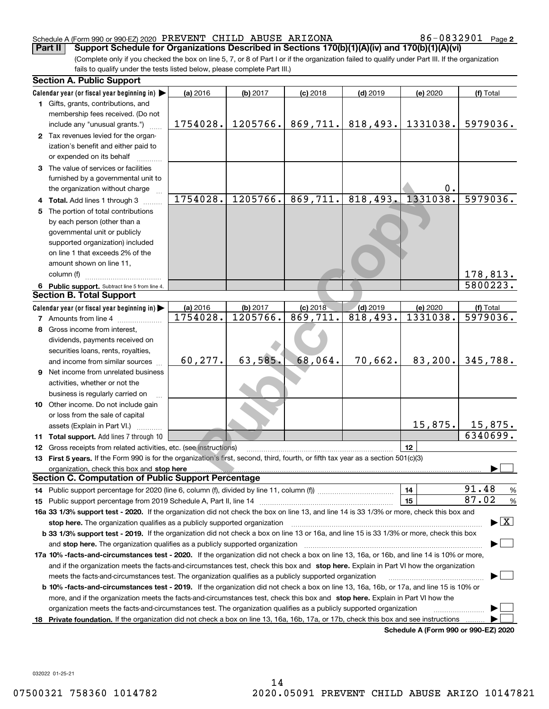#### Schedule A (Form 990 or 990-EZ) 2020 Page PREVENT CHILD ABUSE ARIZONA 86-0832901

86-0832901 Page 2

(Complete only if you checked the box on line 5, 7, or 8 of Part I or if the organization failed to qualify under Part III. If the organization fails to qualify under the tests listed below, please complete Part III.) **Part II Support Schedule for Organizations Described in Sections 170(b)(1)(A)(iv) and 170(b)(1)(A)(vi)**

|    | <b>Section A. Public Support</b>                                                                                                               |          |          |            |            |                                      |                                         |
|----|------------------------------------------------------------------------------------------------------------------------------------------------|----------|----------|------------|------------|--------------------------------------|-----------------------------------------|
|    | Calendar year (or fiscal year beginning in) $\blacktriangleright$                                                                              | (a) 2016 | (b) 2017 | $(c)$ 2018 | $(d)$ 2019 | (e) 2020                             | (f) Total                               |
|    | <b>1</b> Gifts, grants, contributions, and                                                                                                     |          |          |            |            |                                      |                                         |
|    | membership fees received. (Do not                                                                                                              |          |          |            |            |                                      |                                         |
|    | include any "unusual grants.")                                                                                                                 | 1754028. | 1205766. | 869,711.   | 818,493.   | 1331038.                             | 5979036.                                |
|    | 2 Tax revenues levied for the organ-                                                                                                           |          |          |            |            |                                      |                                         |
|    | ization's benefit and either paid to                                                                                                           |          |          |            |            |                                      |                                         |
|    | or expended on its behalf                                                                                                                      |          |          |            |            |                                      |                                         |
|    | 3 The value of services or facilities                                                                                                          |          |          |            |            |                                      |                                         |
|    | furnished by a governmental unit to                                                                                                            |          |          |            |            |                                      |                                         |
|    | the organization without charge                                                                                                                |          |          |            |            | 0.                                   |                                         |
|    | 4 Total. Add lines 1 through 3                                                                                                                 | 1754028. | 1205766. | 869,711.   | 818,493.   | 1331038.                             | 5979036.                                |
|    | 5 The portion of total contributions                                                                                                           |          |          |            |            |                                      |                                         |
|    | by each person (other than a                                                                                                                   |          |          |            |            |                                      |                                         |
|    | governmental unit or publicly                                                                                                                  |          |          |            |            |                                      |                                         |
|    | supported organization) included                                                                                                               |          |          |            |            |                                      |                                         |
|    | on line 1 that exceeds 2% of the                                                                                                               |          |          |            |            |                                      |                                         |
|    | amount shown on line 11,                                                                                                                       |          |          |            |            |                                      |                                         |
|    | column (f)                                                                                                                                     |          |          |            |            |                                      | 178,813.                                |
|    | 6 Public support. Subtract line 5 from line 4.                                                                                                 |          |          |            |            |                                      | 5800223.                                |
|    | <b>Section B. Total Support</b>                                                                                                                |          |          |            |            |                                      |                                         |
|    | Calendar year (or fiscal year beginning in)                                                                                                    | (a) 2016 | (b) 2017 | (c) 2018   | $(d)$ 2019 | (e) 2020                             | (f) Total                               |
|    | <b>7</b> Amounts from line 4                                                                                                                   | 1754028. | 1205766. | 869,711.   | 818,493.   | 1331038.                             | 5979036.                                |
|    | 8 Gross income from interest,                                                                                                                  |          |          |            |            |                                      |                                         |
|    | dividends, payments received on                                                                                                                |          |          |            |            |                                      |                                         |
|    | securities loans, rents, royalties,                                                                                                            |          |          |            |            |                                      |                                         |
|    | and income from similar sources                                                                                                                | 60, 277. | 63,585.  | 68,064.    | 70,662.    | 83,200.                              | 345,788.                                |
|    | 9 Net income from unrelated business                                                                                                           |          |          |            |            |                                      |                                         |
|    | activities, whether or not the                                                                                                                 |          |          |            |            |                                      |                                         |
|    | business is regularly carried on                                                                                                               |          |          |            |            |                                      |                                         |
|    | <b>10</b> Other income. Do not include gain                                                                                                    |          |          |            |            |                                      |                                         |
|    | or loss from the sale of capital                                                                                                               |          |          |            |            |                                      |                                         |
|    | assets (Explain in Part VI.)                                                                                                                   |          |          |            |            | 15,875.                              | $\frac{15,875.}{6340699.}$              |
|    | <b>11 Total support.</b> Add lines 7 through 10                                                                                                |          |          |            |            |                                      |                                         |
|    | 12 Gross receipts from related activities, etc. (see instructions)                                                                             |          |          |            |            | 12                                   |                                         |
|    | 13 First 5 years. If the Form 990 is for the organization's first, second, third, fourth, or fifth tax year as a section 501(c)(3)             |          |          |            |            |                                      |                                         |
|    | organization, check this box and stop here                                                                                                     |          |          |            |            |                                      |                                         |
|    | <b>Section C. Computation of Public Support Percentage</b>                                                                                     |          |          |            |            |                                      |                                         |
|    |                                                                                                                                                |          |          |            |            | 14                                   | 91.48<br>$\frac{9}{6}$                  |
|    |                                                                                                                                                |          |          |            |            | 15                                   | 87.02<br>%                              |
|    | 16a 33 1/3% support test - 2020. If the organization did not check the box on line 13, and line 14 is 33 1/3% or more, check this box and      |          |          |            |            |                                      |                                         |
|    | stop here. The organization qualifies as a publicly supported organization                                                                     |          |          |            |            |                                      | $\blacktriangleright$ $\vert$ X $\vert$ |
|    | b 33 1/3% support test - 2019. If the organization did not check a box on line 13 or 16a, and line 15 is 33 1/3% or more, check this box       |          |          |            |            |                                      |                                         |
|    | and stop here. The organization qualifies as a publicly supported organization                                                                 |          |          |            |            |                                      |                                         |
|    | 17a 10% -facts-and-circumstances test - 2020. If the organization did not check a box on line 13, 16a, or 16b, and line 14 is 10% or more,     |          |          |            |            |                                      |                                         |
|    | and if the organization meets the facts-and-circumstances test, check this box and stop here. Explain in Part VI how the organization          |          |          |            |            |                                      |                                         |
|    | meets the facts-and-circumstances test. The organization qualifies as a publicly supported organization                                        |          |          |            |            |                                      |                                         |
|    | <b>b 10% -facts-and-circumstances test - 2019.</b> If the organization did not check a box on line 13, 16a, 16b, or 17a, and line 15 is 10% or |          |          |            |            |                                      |                                         |
|    | more, and if the organization meets the facts-and-circumstances test, check this box and stop here. Explain in Part VI how the                 |          |          |            |            |                                      |                                         |
|    | organization meets the facts-and-circumstances test. The organization qualifies as a publicly supported organization                           |          |          |            |            |                                      |                                         |
| 18 | Private foundation. If the organization did not check a box on line 13, 16a, 16b, 17a, or 17b, check this box and see instructions             |          |          |            |            | Schedule A (Form 990 or 990-EZ) 2020 |                                         |
|    |                                                                                                                                                |          |          |            |            |                                      |                                         |

**Schedule A (Form 990 or 990-EZ) 2020**

032022 01-25-21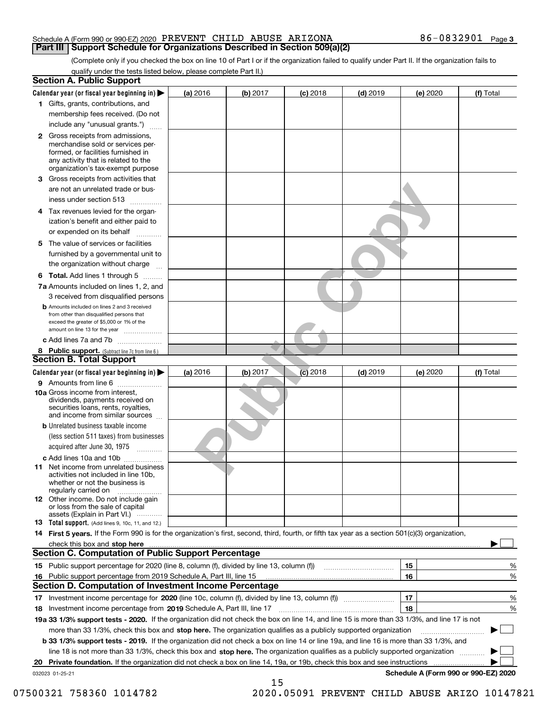#### Schedule A (Form 990 or 990-EZ) 2020 Page PREVENT CHILD ABUSE ARIZONA 86-0832901 **Part III Support Schedule for Organizations Described in Section 509(a)(2)**

(Complete only if you checked the box on line 10 of Part I or if the organization failed to qualify under Part II. If the organization fails to qualify under the tests listed below, please complete Part II.)

|     | <b>Section A. Public Support</b>                                                                                                                                                                |          |          |            |            |          |                                      |
|-----|-------------------------------------------------------------------------------------------------------------------------------------------------------------------------------------------------|----------|----------|------------|------------|----------|--------------------------------------|
|     | Calendar year (or fiscal year beginning in) $\blacktriangleright$                                                                                                                               | (a) 2016 | (b) 2017 | $(c)$ 2018 | $(d)$ 2019 | (e) 2020 | (f) Total                            |
|     | 1 Gifts, grants, contributions, and                                                                                                                                                             |          |          |            |            |          |                                      |
|     | membership fees received. (Do not                                                                                                                                                               |          |          |            |            |          |                                      |
|     | include any "unusual grants.")                                                                                                                                                                  |          |          |            |            |          |                                      |
|     | <b>2</b> Gross receipts from admissions,<br>merchandise sold or services per-<br>formed, or facilities furnished in<br>any activity that is related to the<br>organization's tax-exempt purpose |          |          |            |            |          |                                      |
|     | 3 Gross receipts from activities that<br>are not an unrelated trade or bus-                                                                                                                     |          |          |            |            |          |                                      |
|     | iness under section 513                                                                                                                                                                         |          |          |            |            |          |                                      |
|     | 4 Tax revenues levied for the organ-<br>ization's benefit and either paid to                                                                                                                    |          |          |            |            |          |                                      |
|     | or expended on its behalf                                                                                                                                                                       |          |          |            |            |          |                                      |
|     | 5 The value of services or facilities<br>furnished by a governmental unit to<br>the organization without charge                                                                                 |          |          |            |            |          |                                      |
|     | <b>6 Total.</b> Add lines 1 through 5                                                                                                                                                           |          |          |            |            |          |                                      |
|     | 7a Amounts included on lines 1, 2, and<br>3 received from disqualified persons                                                                                                                  |          |          |            |            |          |                                      |
|     | <b>b</b> Amounts included on lines 2 and 3 received<br>from other than disqualified persons that<br>exceed the greater of \$5,000 or 1% of the<br>amount on line 13 for the year                |          |          |            |            |          |                                      |
|     | c Add lines 7a and 7b                                                                                                                                                                           |          |          |            |            |          |                                      |
|     | 8 Public support. (Subtract line 7c from line 6.)                                                                                                                                               |          |          |            |            |          |                                      |
|     | <b>Section B. Total Support</b>                                                                                                                                                                 |          |          |            |            |          |                                      |
|     | Calendar year (or fiscal year beginning in)                                                                                                                                                     | (a) 2016 | (b) 2017 | $(c)$ 2018 | $(d)$ 2019 | (e) 2020 | (f) Total                            |
|     | 9 Amounts from line 6                                                                                                                                                                           |          |          |            |            |          |                                      |
|     | <b>10a</b> Gross income from interest,<br>dividends, payments received on<br>securities loans, rents, royalties,<br>and income from similar sources                                             |          |          |            |            |          |                                      |
|     | <b>b</b> Unrelated business taxable income                                                                                                                                                      |          |          |            |            |          |                                      |
|     | (less section 511 taxes) from businesses<br>acquired after June 30, 1975                                                                                                                        |          |          |            |            |          |                                      |
|     | c Add lines 10a and 10b                                                                                                                                                                         |          |          |            |            |          |                                      |
|     | 11 Net income from unrelated business<br>activities not included in line 10b,<br>whether or not the business is<br>regularly carried on                                                         |          |          |            |            |          |                                      |
|     | 12 Other income. Do not include gain<br>or loss from the sale of capital<br>assets (Explain in Part VI.)                                                                                        |          |          |            |            |          |                                      |
|     | 13 Total support. (Add lines 9, 10c, 11, and 12.)                                                                                                                                               |          |          |            |            |          |                                      |
|     | 14 First 5 years. If the Form 990 is for the organization's first, second, third, fourth, or fifth tax year as a section 501(c)(3) organization,                                                |          |          |            |            |          |                                      |
|     |                                                                                                                                                                                                 |          |          |            |            |          |                                      |
|     | <b>Section C. Computation of Public Support Percentage</b>                                                                                                                                      |          |          |            |            |          |                                      |
|     |                                                                                                                                                                                                 |          |          |            |            | 15       | %                                    |
| 16. | Public support percentage from 2019 Schedule A, Part III, line 15                                                                                                                               |          |          |            |            | 16       | %                                    |
|     | Section D. Computation of Investment Income Percentage                                                                                                                                          |          |          |            |            |          |                                      |
|     | 17 Investment income percentage for 2020 (line 10c, column (f), divided by line 13, column (f))                                                                                                 |          |          |            |            | 17       | %                                    |
|     | 18 Investment income percentage from 2019 Schedule A, Part III, line 17                                                                                                                         |          |          |            |            | 18       | %                                    |
|     | 19a 33 1/3% support tests - 2020. If the organization did not check the box on line 14, and line 15 is more than 33 1/3%, and line 17 is not                                                    |          |          |            |            |          |                                      |
|     | more than 33 1/3%, check this box and stop here. The organization qualifies as a publicly supported organization                                                                                |          |          |            |            |          |                                      |
|     | b 33 1/3% support tests - 2019. If the organization did not check a box on line 14 or line 19a, and line 16 is more than 33 1/3%, and                                                           |          |          |            |            |          |                                      |
|     | line 18 is not more than 33 1/3%, check this box and stop here. The organization qualifies as a publicly supported organization                                                                 |          |          |            |            |          |                                      |
| 20  | <b>Private foundation.</b> If the organization did not check a box on line 14, 19a, or 19b, check this box and see instructions                                                                 |          |          |            |            | .        |                                      |
|     | 032023 01-25-21                                                                                                                                                                                 |          | 15       |            |            |          | Schedule A (Form 990 or 990-EZ) 2020 |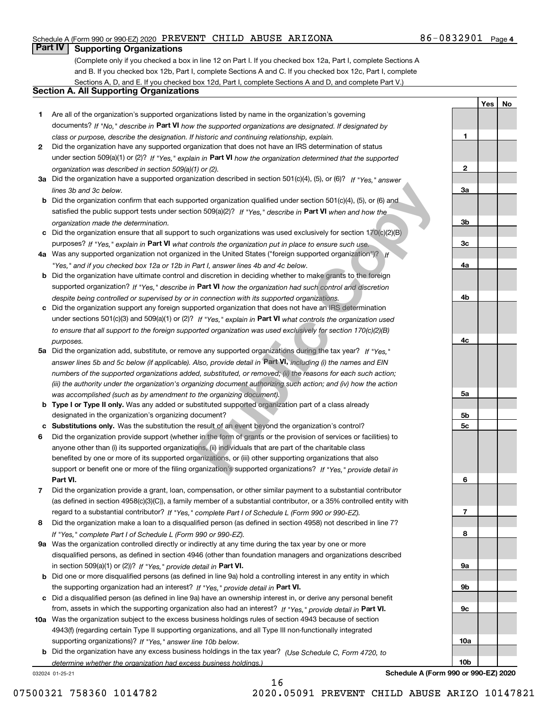#### Schedule A (Form 990 or 990-EZ) 2020 Page PREVENT CHILD ABUSE ARIZONA 86-0832901

### **Part IV Supporting Organizations**

(Complete only if you checked a box in line 12 on Part I. If you checked box 12a, Part I, complete Sections A and B. If you checked box 12b, Part I, complete Sections A and C. If you checked box 12c, Part I, complete Sections A, D, and E. If you checked box 12d, Part I, complete Sections A and D, and complete Part V.)

#### **Section A. All Supporting Organizations**

- **1** Are all of the organization's supported organizations listed by name in the organization's governing documents? If "No," describe in **Part VI** how the supported organizations are designated. If designated by *class or purpose, describe the designation. If historic and continuing relationship, explain.*
- **2** Did the organization have any supported organization that does not have an IRS determination of status under section 509(a)(1) or (2)? If "Yes," explain in Part VI how the organization determined that the supported *organization was described in section 509(a)(1) or (2).*
- **3a** Did the organization have a supported organization described in section 501(c)(4), (5), or (6)? If "Yes," answer *lines 3b and 3c below.*
- **b** Did the organization confirm that each supported organization qualified under section 501(c)(4), (5), or (6) and satisfied the public support tests under section 509(a)(2)? If "Yes," describe in **Part VI** when and how the *organization made the determination.*
- **c**Did the organization ensure that all support to such organizations was used exclusively for section 170(c)(2)(B) purposes? If "Yes," explain in **Part VI** what controls the organization put in place to ensure such use.
- **4a** *If* Was any supported organization not organized in the United States ("foreign supported organization")? *"Yes," and if you checked box 12a or 12b in Part I, answer lines 4b and 4c below.*
- **b** Did the organization have ultimate control and discretion in deciding whether to make grants to the foreign supported organization? If "Yes," describe in **Part VI** how the organization had such control and discretion *despite being controlled or supervised by or in connection with its supported organizations.*
- **c** Did the organization support any foreign supported organization that does not have an IRS determination under sections 501(c)(3) and 509(a)(1) or (2)? If "Yes," explain in **Part VI** what co<u>n</u>trols the organization used *to ensure that all support to the foreign supported organization was used exclusively for section 170(c)(2)(B) purposes.*
- **5a***If "Yes,"* Did the organization add, substitute, or remove any supported organizations during the tax year? answer lines 5b and 5c below (if applicable). Also, provide detail in **Part VI,** including (i) the names and EIN *numbers of the supported organizations added, substituted, or removed; (ii) the reasons for each such action; (iii) the authority under the organization's organizing document authorizing such action; and (iv) how the action was accomplished (such as by amendment to the organizing document).* brted organization qualified under section 501(c)(4), (5), or (6) and<br>on 509(a)(2)? If "Yes," describe in **Part VI** when and how the<br>o such organizations was used exclusively for section 170(c)(2)(B)<br>ontrols the organizati
- **b** Type I or Type II only. Was any added or substituted supported organization part of a class already designated in the organization's organizing document?
- **cSubstitutions only.**  Was the substitution the result of an event beyond the organization's control?
- **6** Did the organization provide support (whether in the form of grants or the provision of services or facilities) to **Part VI.** *If "Yes," provide detail in* support or benefit one or more of the filing organization's supported organizations? anyone other than (i) its supported organizations, (ii) individuals that are part of the charitable class benefited by one or more of its supported organizations, or (iii) other supporting organizations that also
- **7**Did the organization provide a grant, loan, compensation, or other similar payment to a substantial contributor *If "Yes," complete Part I of Schedule L (Form 990 or 990-EZ).* regard to a substantial contributor? (as defined in section 4958(c)(3)(C)), a family member of a substantial contributor, or a 35% controlled entity with
- **8** Did the organization make a loan to a disqualified person (as defined in section 4958) not described in line 7? *If "Yes," complete Part I of Schedule L (Form 990 or 990-EZ).*
- **9a** Was the organization controlled directly or indirectly at any time during the tax year by one or more in section 509(a)(1) or (2))? If "Yes," *provide detail in* <code>Part VI.</code> disqualified persons, as defined in section 4946 (other than foundation managers and organizations described
- **b** Did one or more disqualified persons (as defined in line 9a) hold a controlling interest in any entity in which the supporting organization had an interest? If "Yes," provide detail in P**art VI**.
- **c**Did a disqualified person (as defined in line 9a) have an ownership interest in, or derive any personal benefit from, assets in which the supporting organization also had an interest? If "Yes," provide detail in P**art VI.**
- **10a** Was the organization subject to the excess business holdings rules of section 4943 because of section supporting organizations)? If "Yes," answer line 10b below. 4943(f) (regarding certain Type II supporting organizations, and all Type III non-functionally integrated
- **b** Did the organization have any excess business holdings in the tax year? (Use Schedule C, Form 4720, to *determine whether the organization had excess business holdings.)*

032024 01-25-21

**89a**

**Schedule A (Form 990 or 990-EZ) 2020**

**1**

**2**

**3a**

**3b**

**3c**

**4a**

**4b**

**4c**

**5a**

**5b5c**

**6**

**7**

**9b**

**9c**

**10a**

**10b**

**YesNo**

16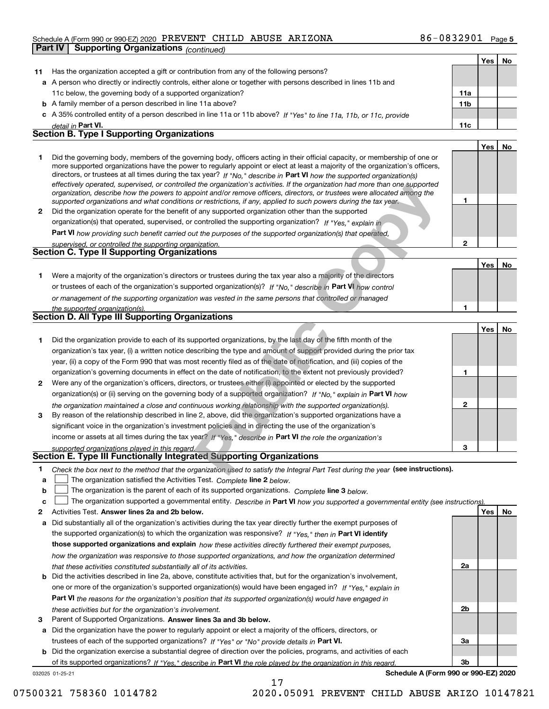#### Schedule A (Form 990 or 990-EZ) 2020 Page PREVENT CHILD ABUSE ARIZONA 86-0832901

| Part IV | Supporting Organizations (continued)                                                                                                                                                                                                                      |                 |            |    |
|---------|-----------------------------------------------------------------------------------------------------------------------------------------------------------------------------------------------------------------------------------------------------------|-----------------|------------|----|
|         |                                                                                                                                                                                                                                                           |                 | Yes        | No |
| 11      | Has the organization accepted a gift or contribution from any of the following persons?                                                                                                                                                                   |                 |            |    |
|         | a A person who directly or indirectly controls, either alone or together with persons described in lines 11b and                                                                                                                                          |                 |            |    |
|         | 11c below, the governing body of a supported organization?                                                                                                                                                                                                | 11a             |            |    |
|         | <b>b</b> A family member of a person described in line 11a above?                                                                                                                                                                                         | 11 <sub>b</sub> |            |    |
|         | c A 35% controlled entity of a person described in line 11a or 11b above? If "Yes" to line 11a, 11b, or 11c, provide                                                                                                                                      |                 |            |    |
|         | detail in Part VI.                                                                                                                                                                                                                                        | 11c             |            |    |
|         | <b>Section B. Type I Supporting Organizations</b>                                                                                                                                                                                                         |                 |            |    |
|         |                                                                                                                                                                                                                                                           |                 | Yes        | No |
| 1       | Did the governing body, members of the governing body, officers acting in their official capacity, or membership of one or                                                                                                                                |                 |            |    |
|         | more supported organizations have the power to regularly appoint or elect at least a majority of the organization's officers,                                                                                                                             |                 |            |    |
|         | directors, or trustees at all times during the tax year? If "No," describe in Part VI how the supported organization(s)<br>effectively operated, supervised, or controlled the organization's activities. If the organization had more than one supported |                 |            |    |
|         | organization, describe how the powers to appoint and/or remove officers, directors, or trustees were allocated among the                                                                                                                                  |                 |            |    |
|         | supported organizations and what conditions or restrictions, if any, applied to such powers during the tax year.                                                                                                                                          | 1               |            |    |
| 2       | Did the organization operate for the benefit of any supported organization other than the supported                                                                                                                                                       |                 |            |    |
|         | organization(s) that operated, supervised, or controlled the supporting organization? If "Yes," explain in                                                                                                                                                |                 |            |    |
|         | <b>Part VI</b> how providing such benefit carried out the purposes of the supported organization(s) that operated,                                                                                                                                        |                 |            |    |
|         | supervised, or controlled the supporting organization.                                                                                                                                                                                                    | $\overline{2}$  |            |    |
|         | <b>Section C. Type II Supporting Organizations</b>                                                                                                                                                                                                        |                 |            |    |
|         |                                                                                                                                                                                                                                                           |                 | Yes        | No |
| 1.      | Were a majority of the organization's directors or trustees during the tax year also a majority of the directors                                                                                                                                          |                 |            |    |
|         | or trustees of each of the organization's supported organization(s)? If "No," describe in Part VI how control                                                                                                                                             |                 |            |    |
|         | or management of the supporting organization was vested in the same persons that controlled or managed                                                                                                                                                    |                 |            |    |
|         | the supported organization(s).                                                                                                                                                                                                                            | 1               |            |    |
|         | Section D. All Type III Supporting Organizations                                                                                                                                                                                                          |                 |            |    |
|         |                                                                                                                                                                                                                                                           |                 | <b>Yes</b> | No |
| 1       | Did the organization provide to each of its supported organizations, by the last day of the fifth month of the                                                                                                                                            |                 |            |    |
|         | organization's tax year, (i) a written notice describing the type and amount of support provided during the prior tax                                                                                                                                     |                 |            |    |
|         | year, (ii) a copy of the Form 990 that was most recently filed as of the date of notification, and (iii) copies of the                                                                                                                                    |                 |            |    |
|         | organization's governing documents in effect on the date of notification, to the extent not previously provided?                                                                                                                                          | 1               |            |    |
| 2       | Were any of the organization's officers, directors, or trustees either (i) appointed or elected by the supported                                                                                                                                          |                 |            |    |
|         | organization(s) or (ii) serving on the governing body of a supported organization? If "No," explain in Part VI how                                                                                                                                        |                 |            |    |
|         | the organization maintained a close and continuous working relationship with the supported organization(s).                                                                                                                                               | $\mathbf{2}$    |            |    |
| 3       | By reason of the relationship described in line 2, above, did the organization's supported organizations have a                                                                                                                                           |                 |            |    |
|         | significant voice in the organization's investment policies and in directing the use of the organization's                                                                                                                                                |                 |            |    |
|         | income or assets at all times during the tax year? If "Yes," describe in Part VI the role the organization's                                                                                                                                              |                 |            |    |
|         | supported organizations played in this regard.                                                                                                                                                                                                            | 3               |            |    |
|         | <b>Section E. Type III Functionally Integrated Supporting Organizations</b>                                                                                                                                                                               |                 |            |    |
| 1.      | Check the box next to the method that the organization used to satisfy the Integral Part Test during the year (see instructions).                                                                                                                         |                 |            |    |

| year, (ii) a copy of the Form 990 that was most recently filed as of the date of notification, and (iii) copies of the |  |
|------------------------------------------------------------------------------------------------------------------------|--|
| organization's governing documents in effect on the date of notification, to the extent not previously provided?       |  |
| Were any of the organization's officers, directors, or trustees either (i) appointed or elected by the supported       |  |
| organization(s) or (ii) serving on the governing body of a supported organization? If "No," explain in Part VI how     |  |
| the organization maintained a close and continuous working relationship with the supported organization(s).            |  |
| By reason of the relationship described in line 2, above, did the organization's supported organizations have a        |  |
| significant voice in the organization's investment policies and in directing the use of the organization's             |  |

### **Section E. Type III Functionally Integrated Supporting Organizations**

| Check the box next to the method that the organization used to satisfy the Integral Part Test during the year (see instructions). |  |  |
|-----------------------------------------------------------------------------------------------------------------------------------|--|--|
|                                                                                                                                   |  |  |

- **a**The organization satisfied the Activities Test. *Complete* line 2 below.  $\mathcal{L}^{\text{max}}$
- **b**The organization is the parent of each of its supported organizations. *Complete* line 3 *below.*  $\mathcal{L}^{\text{max}}$

|  |  | c $\Box$ The organization supported a governmental entity. Describe in Part VI how you supported a governmental entity (see instructions). |  |
|--|--|--------------------------------------------------------------------------------------------------------------------------------------------|--|
|--|--|--------------------------------------------------------------------------------------------------------------------------------------------|--|

17

- **2Answer lines 2a and 2b below. Yes No** Activities Test.
- **a** Did substantially all of the organization's activities during the tax year directly further the exempt purposes of the supported organization(s) to which the organization was responsive? If "Yes," then in **Part VI identify those supported organizations and explain**  *how these activities directly furthered their exempt purposes, how the organization was responsive to those supported organizations, and how the organization determined that these activities constituted substantially all of its activities.*
- **b** Did the activities described in line 2a, above, constitute activities that, but for the organization's involvement, **Part VI**  *the reasons for the organization's position that its supported organization(s) would have engaged in* one or more of the organization's supported organization(s) would have been engaged in? If "Yes," e*xplain in these activities but for the organization's involvement.*
- **3**Parent of Supported Organizations. Answer lines 3a and 3b below.

**a** Did the organization have the power to regularly appoint or elect a majority of the officers, directors, or trustees of each of the supported organizations? If "Yes" or "No" provide details in **Part VI.** 

032025 01-25-21 **b** Did the organization exercise a substantial degree of direction over the policies, programs, and activities of each of its supported organizations? If "Yes," describe in Part VI the role played by the organization in this regard.

**Schedule A (Form 990 or 990-EZ) 2020**

**2a**

**2b**

**3a**

**3b**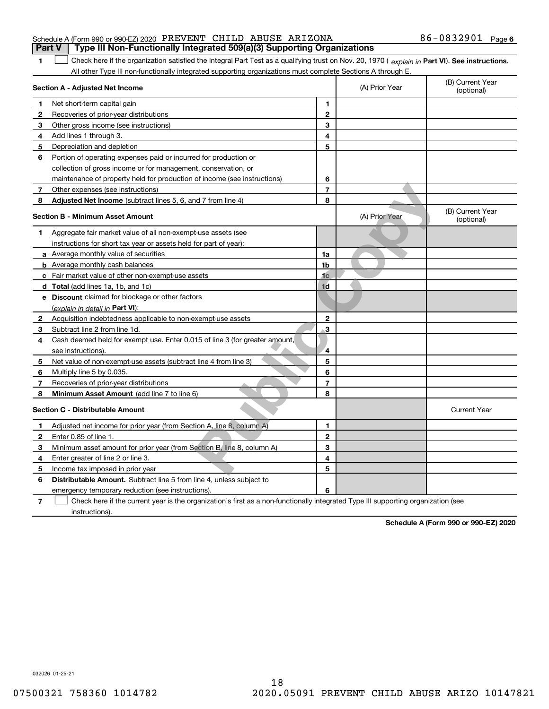| Schedule A (Form 990 or 990-EZ) 2020 PREVENT CHILD ABUSE ARIZONA |  |                                                                                  | $86 - 0832901$ Page 6 |  |
|------------------------------------------------------------------|--|----------------------------------------------------------------------------------|-----------------------|--|
|                                                                  |  | Part V │ Type III Non-Functionally Integrated 509(a)(3) Supporting Organizations |                       |  |

1 Check here if the organization satisfied the Integral Part Test as a qualifying trust on Nov. 20, 1970 (explain in Part VI). See instructions. All other Type III non-functionally integrated supporting organizations must complete Sections A through E.

|                | Section A - Adjusted Net Income                                                                                                   |                         | (A) Prior Year | (B) Current Year<br>(optional) |
|----------------|-----------------------------------------------------------------------------------------------------------------------------------|-------------------------|----------------|--------------------------------|
| 1              | Net short-term capital gain                                                                                                       | 1                       |                |                                |
| $\mathbf{2}$   | Recoveries of prior-year distributions                                                                                            | $\mathbf{2}$            |                |                                |
| з              | Other gross income (see instructions)                                                                                             | 3                       |                |                                |
| 4              | Add lines 1 through 3.                                                                                                            | 4                       |                |                                |
| 5              | Depreciation and depletion                                                                                                        | 5                       |                |                                |
| 6              | Portion of operating expenses paid or incurred for production or                                                                  |                         |                |                                |
|                | collection of gross income or for management, conservation, or                                                                    |                         |                |                                |
|                | maintenance of property held for production of income (see instructions)                                                          | 6                       |                |                                |
| 7              | Other expenses (see instructions)                                                                                                 | $\overline{7}$          |                |                                |
| 8              | Adjusted Net Income (subtract lines 5, 6, and 7 from line 4)                                                                      | 8                       |                |                                |
|                | <b>Section B - Minimum Asset Amount</b>                                                                                           |                         | (A) Prior Year | (B) Current Year<br>(optional) |
| 1.             | Aggregate fair market value of all non-exempt-use assets (see                                                                     |                         |                |                                |
|                | instructions for short tax year or assets held for part of year):                                                                 |                         |                |                                |
|                | <b>a</b> Average monthly value of securities                                                                                      | 1a                      |                |                                |
|                | <b>b</b> Average monthly cash balances                                                                                            | 1b                      |                |                                |
|                | <b>c</b> Fair market value of other non-exempt-use assets                                                                         | 1c                      |                |                                |
|                | d Total (add lines 1a, 1b, and 1c)                                                                                                | 1 <sub>d</sub>          |                |                                |
|                | e Discount claimed for blockage or other factors                                                                                  |                         |                |                                |
|                | (explain in detail in Part VI):                                                                                                   |                         |                |                                |
| 2              | Acquisition indebtedness applicable to non-exempt-use assets                                                                      | $\mathbf{2}$            |                |                                |
| 3              | Subtract line 2 from line 1d.                                                                                                     | 3                       |                |                                |
| 4              | Cash deemed held for exempt use. Enter 0.015 of line 3 (for greater amount,                                                       |                         |                |                                |
|                | see instructions).                                                                                                                | $\overline{\mathbf{4}}$ |                |                                |
| 5              | Net value of non-exempt-use assets (subtract line 4 from line 3)                                                                  | 5                       |                |                                |
| 6              | Multiply line 5 by 0.035.                                                                                                         | 6                       |                |                                |
| 7              | Recoveries of prior-year distributions                                                                                            | $\overline{7}$          |                |                                |
| 8              | Minimum Asset Amount (add line 7 to line 6)                                                                                       | 8                       |                |                                |
|                | <b>Section C - Distributable Amount</b>                                                                                           |                         |                | <b>Current Year</b>            |
| 1              | Adjusted net income for prior year (from Section A, line 8, column A)                                                             | 1                       |                |                                |
| 2              | Enter 0.85 of line 1.                                                                                                             | $\overline{2}$          |                |                                |
| 3              | Minimum asset amount for prior year (from Section B, line 8, column A)                                                            | 3                       |                |                                |
| 4              | Enter greater of line 2 or line 3.                                                                                                | 4                       |                |                                |
| 5              | Income tax imposed in prior year                                                                                                  | 5                       |                |                                |
| 6              | <b>Distributable Amount.</b> Subtract line 5 from line 4, unless subject to                                                       |                         |                |                                |
|                | emergency temporary reduction (see instructions).                                                                                 | 6                       |                |                                |
| $\overline{7}$ | Check here if the current year is the organization's first as a non-functionally integrated Type III supporting organization (see |                         |                |                                |

instructions).

**1**

**Schedule A (Form 990 or 990-EZ) 2020**

032026 01-25-21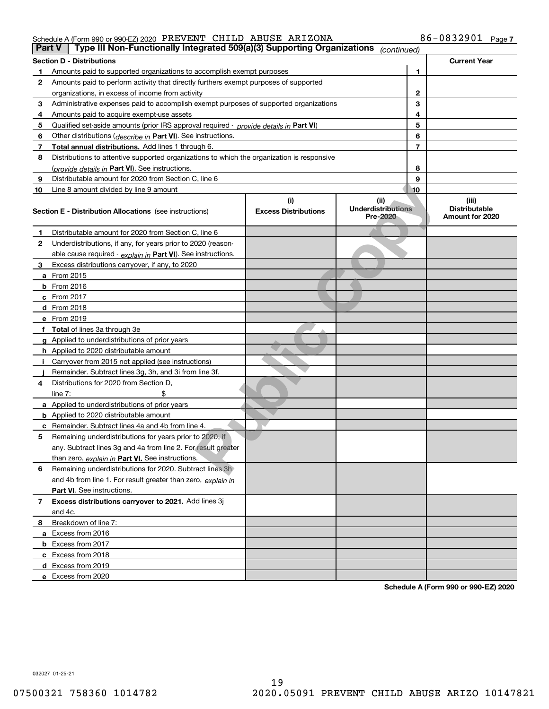#### Schedule A (Form 990 or 990-EZ) 2020 Page PREVENT CHILD ABUSE ARIZONA 86-0832901

| Part V | Type III Non-Functionally Integrated 509(a)(3) Supporting Organizations                    |                                    | (continued)                                   |                |                                                  |
|--------|--------------------------------------------------------------------------------------------|------------------------------------|-----------------------------------------------|----------------|--------------------------------------------------|
|        | <b>Section D - Distributions</b>                                                           |                                    |                                               |                | <b>Current Year</b>                              |
| 1      | Amounts paid to supported organizations to accomplish exempt purposes                      |                                    | 1                                             |                |                                                  |
| 2      | Amounts paid to perform activity that directly furthers exempt purposes of supported       |                                    |                                               |                |                                                  |
|        | organizations, in excess of income from activity                                           |                                    | 2                                             |                |                                                  |
| 3      | Administrative expenses paid to accomplish exempt purposes of supported organizations      |                                    | 3                                             |                |                                                  |
| 4      | Amounts paid to acquire exempt-use assets                                                  |                                    |                                               | 4              |                                                  |
| 5      | Qualified set-aside amounts (prior IRS approval required - provide details in Part VI)     |                                    |                                               | 5              |                                                  |
| 6      | Other distributions ( <i>describe in</i> Part VI). See instructions.                       |                                    |                                               | 6              |                                                  |
| 7      | Total annual distributions. Add lines 1 through 6.                                         |                                    |                                               | $\overline{7}$ |                                                  |
| 8      | Distributions to attentive supported organizations to which the organization is responsive |                                    |                                               |                |                                                  |
|        | (provide details in Part VI). See instructions.                                            |                                    |                                               | 8              |                                                  |
| 9      | Distributable amount for 2020 from Section C, line 6                                       |                                    |                                               | 9              |                                                  |
| 10     | Line 8 amount divided by line 9 amount                                                     |                                    |                                               | 10             |                                                  |
|        | <b>Section E - Distribution Allocations</b> (see instructions)                             | (i)<br><b>Excess Distributions</b> | (ii)<br><b>Underdistributions</b><br>Pre-2020 |                | (iii)<br><b>Distributable</b><br>Amount for 2020 |
| 1      | Distributable amount for 2020 from Section C, line 6                                       |                                    |                                               |                |                                                  |
| 2      | Underdistributions, if any, for years prior to 2020 (reason-                               |                                    |                                               |                |                                                  |
|        | able cause required - explain in Part VI). See instructions.                               |                                    |                                               |                |                                                  |
| 3      | Excess distributions carryover, if any, to 2020                                            |                                    |                                               |                |                                                  |
|        | a From 2015                                                                                |                                    |                                               |                |                                                  |
|        | <b>b</b> From 2016                                                                         |                                    |                                               |                |                                                  |
|        | $c$ From 2017                                                                              |                                    |                                               |                |                                                  |
|        | <b>d</b> From 2018                                                                         |                                    |                                               |                |                                                  |
|        | e From 2019                                                                                |                                    |                                               |                |                                                  |
|        | f Total of lines 3a through 3e                                                             |                                    |                                               |                |                                                  |
|        | g Applied to underdistributions of prior years                                             |                                    |                                               |                |                                                  |
|        | <b>h</b> Applied to 2020 distributable amount                                              |                                    |                                               |                |                                                  |
|        | Carryover from 2015 not applied (see instructions)                                         |                                    |                                               |                |                                                  |
|        | Remainder. Subtract lines 3g, 3h, and 3i from line 3f.                                     |                                    |                                               |                |                                                  |
| 4      | Distributions for 2020 from Section D,                                                     |                                    |                                               |                |                                                  |
|        | line $7:$                                                                                  |                                    |                                               |                |                                                  |
|        | a Applied to underdistributions of prior years                                             |                                    |                                               |                |                                                  |
|        | <b>b</b> Applied to 2020 distributable amount                                              |                                    |                                               |                |                                                  |
|        | c Remainder. Subtract lines 4a and 4b from line 4.                                         |                                    |                                               |                |                                                  |
| 5      | Remaining underdistributions for years prior to 2020, if                                   |                                    |                                               |                |                                                  |
|        | any. Subtract lines 3g and 4a from line 2. For result greater                              |                                    |                                               |                |                                                  |
|        | than zero, explain in Part VI. See instructions.                                           |                                    |                                               |                |                                                  |
| 6      | Remaining underdistributions for 2020. Subtract lines 3h                                   |                                    |                                               |                |                                                  |
|        | and 4b from line 1. For result greater than zero, explain in                               |                                    |                                               |                |                                                  |
|        | Part VI. See instructions.                                                                 |                                    |                                               |                |                                                  |
| 7      | Excess distributions carryover to 2021. Add lines 3j                                       |                                    |                                               |                |                                                  |
|        | and 4c.                                                                                    |                                    |                                               |                |                                                  |
| 8      | Breakdown of line 7:                                                                       |                                    |                                               |                |                                                  |
|        | a Excess from 2016                                                                         |                                    |                                               |                |                                                  |
|        | <b>b</b> Excess from 2017                                                                  |                                    |                                               |                |                                                  |
|        | c Excess from 2018                                                                         |                                    |                                               |                |                                                  |
|        | d Excess from 2019                                                                         |                                    |                                               |                |                                                  |
|        | e Excess from 2020                                                                         |                                    |                                               |                |                                                  |

**Schedule A (Form 990 or 990-EZ) 2020**

032027 01-25-21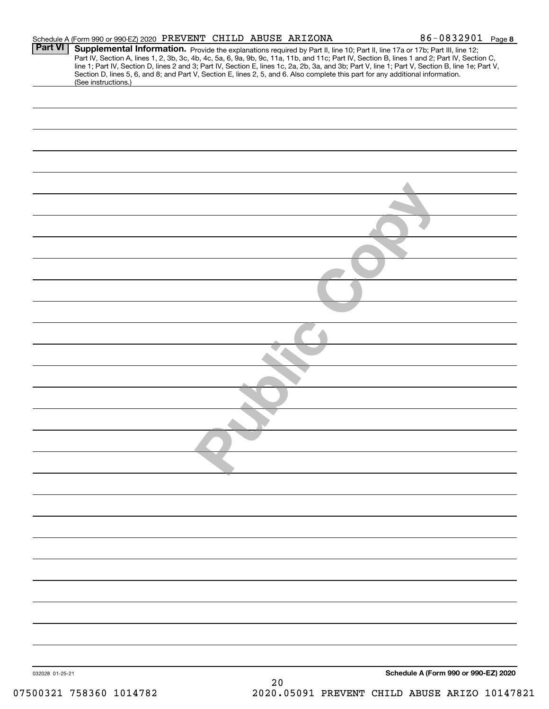|                     | 86-0832901 Page 8                                                                                                                                                                                                                                                                                                                                                                                                                                                                                                                                                                                                                        |
|---------------------|------------------------------------------------------------------------------------------------------------------------------------------------------------------------------------------------------------------------------------------------------------------------------------------------------------------------------------------------------------------------------------------------------------------------------------------------------------------------------------------------------------------------------------------------------------------------------------------------------------------------------------------|
|                     |                                                                                                                                                                                                                                                                                                                                                                                                                                                                                                                                                                                                                                          |
|                     |                                                                                                                                                                                                                                                                                                                                                                                                                                                                                                                                                                                                                                          |
|                     |                                                                                                                                                                                                                                                                                                                                                                                                                                                                                                                                                                                                                                          |
|                     |                                                                                                                                                                                                                                                                                                                                                                                                                                                                                                                                                                                                                                          |
|                     |                                                                                                                                                                                                                                                                                                                                                                                                                                                                                                                                                                                                                                          |
|                     |                                                                                                                                                                                                                                                                                                                                                                                                                                                                                                                                                                                                                                          |
|                     |                                                                                                                                                                                                                                                                                                                                                                                                                                                                                                                                                                                                                                          |
|                     |                                                                                                                                                                                                                                                                                                                                                                                                                                                                                                                                                                                                                                          |
|                     |                                                                                                                                                                                                                                                                                                                                                                                                                                                                                                                                                                                                                                          |
|                     |                                                                                                                                                                                                                                                                                                                                                                                                                                                                                                                                                                                                                                          |
|                     |                                                                                                                                                                                                                                                                                                                                                                                                                                                                                                                                                                                                                                          |
|                     |                                                                                                                                                                                                                                                                                                                                                                                                                                                                                                                                                                                                                                          |
|                     |                                                                                                                                                                                                                                                                                                                                                                                                                                                                                                                                                                                                                                          |
|                     |                                                                                                                                                                                                                                                                                                                                                                                                                                                                                                                                                                                                                                          |
|                     |                                                                                                                                                                                                                                                                                                                                                                                                                                                                                                                                                                                                                                          |
|                     |                                                                                                                                                                                                                                                                                                                                                                                                                                                                                                                                                                                                                                          |
|                     |                                                                                                                                                                                                                                                                                                                                                                                                                                                                                                                                                                                                                                          |
|                     |                                                                                                                                                                                                                                                                                                                                                                                                                                                                                                                                                                                                                                          |
|                     |                                                                                                                                                                                                                                                                                                                                                                                                                                                                                                                                                                                                                                          |
|                     |                                                                                                                                                                                                                                                                                                                                                                                                                                                                                                                                                                                                                                          |
|                     |                                                                                                                                                                                                                                                                                                                                                                                                                                                                                                                                                                                                                                          |
|                     |                                                                                                                                                                                                                                                                                                                                                                                                                                                                                                                                                                                                                                          |
|                     |                                                                                                                                                                                                                                                                                                                                                                                                                                                                                                                                                                                                                                          |
|                     |                                                                                                                                                                                                                                                                                                                                                                                                                                                                                                                                                                                                                                          |
|                     |                                                                                                                                                                                                                                                                                                                                                                                                                                                                                                                                                                                                                                          |
|                     |                                                                                                                                                                                                                                                                                                                                                                                                                                                                                                                                                                                                                                          |
|                     |                                                                                                                                                                                                                                                                                                                                                                                                                                                                                                                                                                                                                                          |
|                     |                                                                                                                                                                                                                                                                                                                                                                                                                                                                                                                                                                                                                                          |
|                     |                                                                                                                                                                                                                                                                                                                                                                                                                                                                                                                                                                                                                                          |
|                     |                                                                                                                                                                                                                                                                                                                                                                                                                                                                                                                                                                                                                                          |
| (See instructions.) | Schedule A (Form 990 or 990-EZ) 2020 PREVENT CHILD ABUSE ARIZONA<br>Supplemental Information. Provide the explanations required by Part II, line 10; Part II, line 17a or 17b; Part III, line 12;<br>Part IV, Section A, lines 1, 2, 3b, 3c, 4b, 4c, 5a, 6, 9a, 9b, 9c, 11a, 11b, and 11c; Part IV, Section B, lines 1 and 2; Part IV, Section C,<br>line 1; Part IV, Section D, lines 2 and 3; Part IV, Section E, lines 1c, 2a, 2b, 3a, and 3b; Part V, line 1; Part V, Section B, line 1e; Part V,<br>Section D, lines 5, 6, and 8; and Part V, Section E, lines 2, 5, and 6. Also complete this part for any additional information. |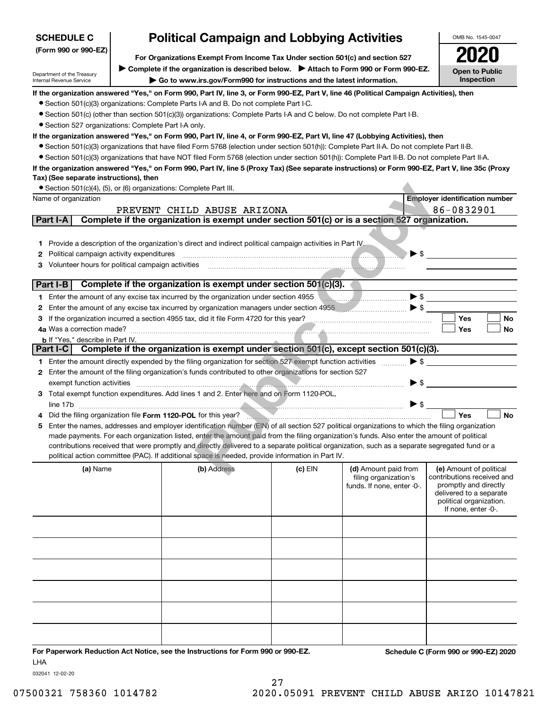| <b>SCHEDULE C</b>                                                    | <b>Political Campaign and Lobbying Activities</b>                                                                                                |           |                                                     | OMB No. 1545-0047                                   |
|----------------------------------------------------------------------|--------------------------------------------------------------------------------------------------------------------------------------------------|-----------|-----------------------------------------------------|-----------------------------------------------------|
| (Form 990 or 990-EZ)                                                 | For Organizations Exempt From Income Tax Under section 501(c) and section 527                                                                    |           |                                                     |                                                     |
|                                                                      | Complete if the organization is described below. Attach to Form 990 or Form 990-EZ.                                                              |           |                                                     |                                                     |
| Department of the Treasury<br>Internal Revenue Service               | Go to www.irs.gov/Form990 for instructions and the latest information.                                                                           |           |                                                     | <b>Open to Public</b><br>Inspection                 |
|                                                                      | If the organization answered "Yes," on Form 990, Part IV, line 3, or Form 990-EZ, Part V, line 46 (Political Campaign Activities), then          |           |                                                     |                                                     |
|                                                                      | • Section 501(c)(3) organizations: Complete Parts I-A and B. Do not complete Part I-C.                                                           |           |                                                     |                                                     |
|                                                                      | • Section 501(c) (other than section 501(c)(3)) organizations: Complete Parts I-A and C below. Do not complete Part I-B.                         |           |                                                     |                                                     |
| • Section 527 organizations: Complete Part I-A only.                 |                                                                                                                                                  |           |                                                     |                                                     |
|                                                                      | If the organization answered "Yes," on Form 990, Part IV, line 4, or Form 990-EZ, Part VI, line 47 (Lobbying Activities), then                   |           |                                                     |                                                     |
|                                                                      | • Section 501(c)(3) organizations that have filed Form 5768 (election under section 501(h)): Complete Part II-A. Do not complete Part II-B.      |           |                                                     |                                                     |
|                                                                      | • Section 501(c)(3) organizations that have NOT filed Form 5768 (election under section 501(h)): Complete Part II-B. Do not complete Part II-A.  |           |                                                     |                                                     |
| Tax) (See separate instructions), then                               | If the organization answered "Yes," on Form 990, Part IV, line 5 (Proxy Tax) (See separate instructions) or Form 990-EZ, Part V, line 35c (Proxy |           |                                                     |                                                     |
| • Section 501(c)(4), (5), or (6) organizations: Complete Part III.   |                                                                                                                                                  |           |                                                     |                                                     |
| Name of organization                                                 |                                                                                                                                                  |           |                                                     | <b>Employer identification number</b>               |
|                                                                      | PREVENT CHILD ABUSE ARIZONA                                                                                                                      |           |                                                     | 86-0832901                                          |
| Part I-A                                                             | Complete if the organization is exempt under section 501(c) or is a section 527 organization.                                                    |           |                                                     |                                                     |
|                                                                      |                                                                                                                                                  |           |                                                     |                                                     |
| 1.                                                                   | Provide a description of the organization's direct and indirect political campaign activities in Part IV                                         |           |                                                     |                                                     |
| Political campaign activity expenditures<br>2                        |                                                                                                                                                  |           | $\blacktriangleright$ \$                            |                                                     |
| Volunteer hours for political campaign activities<br>З               |                                                                                                                                                  |           |                                                     |                                                     |
|                                                                      |                                                                                                                                                  |           |                                                     |                                                     |
| Part I-B                                                             | Complete if the organization is exempt under section 501(c)(3).                                                                                  |           |                                                     |                                                     |
|                                                                      | 1 Enter the amount of any excise tax incurred by the organization under section 4955                                                             |           | $\blacktriangleright$ \$                            |                                                     |
| 2                                                                    | Enter the amount of any excise tax incurred by organization managers under section 4955                                                          |           | $\blacktriangleright$ \$                            |                                                     |
| З                                                                    | If the organization incurred a section 4955 tax, did it file Form 4720 for this year?                                                            |           |                                                     | Yes<br>No                                           |
| 4a Was a correction made?<br><b>b</b> If "Yes," describe in Part IV. |                                                                                                                                                  |           |                                                     | Yes<br>No                                           |
| Part I-C                                                             | Complete if the organization is exempt under section 501(c), except section 501(c)(3).                                                           |           |                                                     |                                                     |
|                                                                      | 1 Enter the amount directly expended by the filing organization for section 527 exempt function activities                                       |           | $\blacktriangleright$ \$                            |                                                     |
|                                                                      | 2 Enter the amount of the filing organization's funds contributed to other organizations for section 527                                         |           |                                                     |                                                     |
| exempt function activities                                           |                                                                                                                                                  |           | $\blacktriangleright$ \$                            |                                                     |
|                                                                      | 3 Total exempt function expenditures. Add lines 1 and 2. Enter here and on Form 1120-POL,                                                        |           |                                                     |                                                     |
| line 17b                                                             |                                                                                                                                                  |           | $\blacktriangleright$ \$                            |                                                     |
|                                                                      | Did the filing organization file Form 1120-POL for this year?                                                                                    |           |                                                     | Yes<br><b>No</b>                                    |
| 5.                                                                   | Enter the names, addresses and employer identification number (EIN) of all section 527 political organizations to which the filing organization  |           |                                                     |                                                     |
|                                                                      | made payments. For each organization listed, enter the amount paid from the filing organization's funds. Also enter the amount of political      |           |                                                     |                                                     |
|                                                                      | contributions received that were promptly and directly delivered to a separate political organization, such as a separate segregated fund or a   |           |                                                     |                                                     |
|                                                                      | political action committee (PAC). If additional space is needed, provide information in Part IV.                                                 |           |                                                     |                                                     |
| (a) Name                                                             | (b) Address                                                                                                                                      | $(c)$ EIN | (d) Amount paid from                                | (e) Amount of political                             |
|                                                                      |                                                                                                                                                  |           | filing organization's<br>funds. If none, enter -0-. | contributions received and<br>promptly and directly |
|                                                                      |                                                                                                                                                  |           |                                                     | delivered to a separate                             |
|                                                                      |                                                                                                                                                  |           |                                                     | political organization.<br>If none, enter -0-.      |
|                                                                      |                                                                                                                                                  |           |                                                     |                                                     |
|                                                                      |                                                                                                                                                  |           |                                                     |                                                     |
|                                                                      |                                                                                                                                                  |           |                                                     |                                                     |
|                                                                      |                                                                                                                                                  |           |                                                     |                                                     |
|                                                                      |                                                                                                                                                  |           |                                                     |                                                     |
|                                                                      |                                                                                                                                                  |           |                                                     |                                                     |
|                                                                      |                                                                                                                                                  |           |                                                     |                                                     |
|                                                                      |                                                                                                                                                  |           |                                                     |                                                     |
|                                                                      |                                                                                                                                                  |           |                                                     |                                                     |
|                                                                      |                                                                                                                                                  |           |                                                     |                                                     |
|                                                                      |                                                                                                                                                  |           |                                                     |                                                     |
|                                                                      |                                                                                                                                                  |           |                                                     |                                                     |
| <b>LHA</b>                                                           | For Paperwork Reduction Act Notice, see the Instructions for Form 990 or 990-EZ.                                                                 |           |                                                     | Schedule C (Form 990 or 990-EZ) 2020                |

032041 12-02-20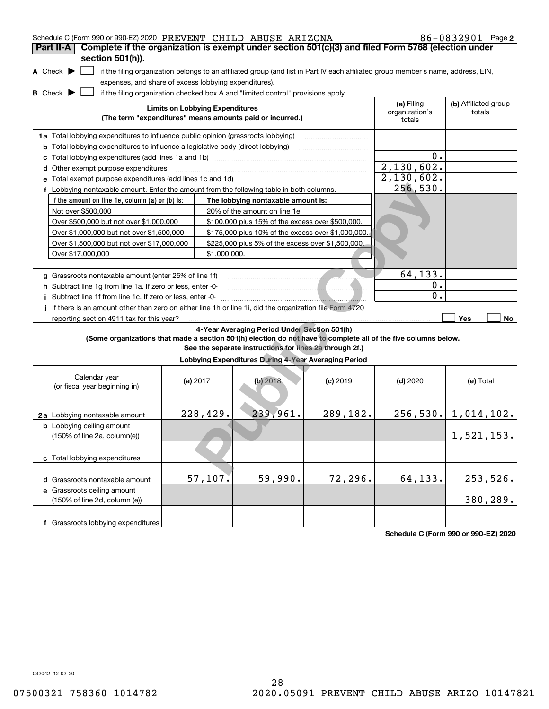| Schedule C (Form 990 or 990-EZ) 2020 PREVENT CHILD ABUSE ARIZONA                                                |                                                                                          |                                        |                                                                                                                                   |                                                                                                                |                                        | 86-0832901 Page 2              |  |
|-----------------------------------------------------------------------------------------------------------------|------------------------------------------------------------------------------------------|----------------------------------------|-----------------------------------------------------------------------------------------------------------------------------------|----------------------------------------------------------------------------------------------------------------|----------------------------------------|--------------------------------|--|
| Complete if the organization is exempt under section 501(c)(3) and filed Form 5768 (election under<br>Part II-A |                                                                                          |                                        |                                                                                                                                   |                                                                                                                |                                        |                                |  |
| section 501(h)).                                                                                                |                                                                                          |                                        |                                                                                                                                   |                                                                                                                |                                        |                                |  |
| A Check $\blacktriangleright$                                                                                   |                                                                                          |                                        | if the filing organization belongs to an affiliated group (and list in Part IV each affiliated group member's name, address, EIN, |                                                                                                                |                                        |                                |  |
| expenses, and share of excess lobbying expenditures).                                                           |                                                                                          |                                        |                                                                                                                                   |                                                                                                                |                                        |                                |  |
| B Check $\blacktriangleright$                                                                                   |                                                                                          |                                        | if the filing organization checked box A and "limited control" provisions apply.                                                  |                                                                                                                |                                        |                                |  |
|                                                                                                                 |                                                                                          | <b>Limits on Lobbying Expenditures</b> | (The term "expenditures" means amounts paid or incurred.)                                                                         |                                                                                                                | (a) Filing<br>organization's<br>totals | (b) Affiliated group<br>totals |  |
| 1a Total lobbying expenditures to influence public opinion (grassroots lobbying)                                |                                                                                          |                                        |                                                                                                                                   |                                                                                                                |                                        |                                |  |
|                                                                                                                 | <b>b</b> Total lobbying expenditures to influence a legislative body (direct lobbying)   |                                        |                                                                                                                                   |                                                                                                                |                                        |                                |  |
|                                                                                                                 |                                                                                          |                                        |                                                                                                                                   |                                                                                                                | 0.                                     |                                |  |
| d Other exempt purpose expenditures                                                                             |                                                                                          |                                        |                                                                                                                                   |                                                                                                                | 2,130,602.                             |                                |  |
| e Total exempt purpose expenditures (add lines 1c and 1d)                                                       |                                                                                          |                                        |                                                                                                                                   | and a complete the contract of the complete the complete the complete the complete the complete the complete t | 2,130,602.                             |                                |  |
|                                                                                                                 | f Lobbying nontaxable amount. Enter the amount from the following table in both columns. |                                        |                                                                                                                                   |                                                                                                                |                                        |                                |  |
| If the amount on line 1e, column (a) or (b) is:                                                                 |                                                                                          |                                        | The lobbying nontaxable amount is:                                                                                                |                                                                                                                |                                        |                                |  |
| Not over \$500,000                                                                                              |                                                                                          |                                        |                                                                                                                                   |                                                                                                                |                                        |                                |  |
| Over \$500,000 but not over \$1,000,000                                                                         |                                                                                          |                                        |                                                                                                                                   |                                                                                                                |                                        |                                |  |
| Over \$1,000,000 but not over \$1,500,000                                                                       |                                                                                          |                                        |                                                                                                                                   |                                                                                                                |                                        |                                |  |
| Over \$1,500,000 but not over \$17,000,000                                                                      |                                                                                          |                                        |                                                                                                                                   |                                                                                                                |                                        |                                |  |
| Over \$17,000,000                                                                                               |                                                                                          |                                        |                                                                                                                                   |                                                                                                                |                                        |                                |  |
|                                                                                                                 |                                                                                          |                                        |                                                                                                                                   |                                                                                                                |                                        |                                |  |
| g Grassroots nontaxable amount (enter 25% of line 1f)                                                           |                                                                                          |                                        |                                                                                                                                   |                                                                                                                | 64,133.                                |                                |  |
| h Subtract line 1g from line 1a. If zero or less, enter -0-                                                     |                                                                                          |                                        |                                                                                                                                   |                                                                                                                | 0.                                     |                                |  |
| i Subtract line 1f from line 1c. If zero or less, enter -0-                                                     |                                                                                          |                                        |                                                                                                                                   |                                                                                                                | 0.                                     |                                |  |
| If there is an amount other than zero on either line 1h or line 1i, did the organization file Form 4720         |                                                                                          |                                        |                                                                                                                                   |                                                                                                                |                                        |                                |  |
| reporting section 4911 tax for this year?                                                                       |                                                                                          |                                        |                                                                                                                                   |                                                                                                                |                                        | Yes<br>No                      |  |
|                                                                                                                 |                                                                                          |                                        | 4-Year Averaging Period Under Section 501(h)                                                                                      |                                                                                                                |                                        |                                |  |
| (Some organizations that made a section 501(h) election do not have to complete all of the five columns below.  |                                                                                          |                                        | See the separate instructions for lines 2a through 2f.)                                                                           |                                                                                                                |                                        |                                |  |
|                                                                                                                 |                                                                                          |                                        | Lobbying Expenditures During 4-Year Averaging Period                                                                              |                                                                                                                |                                        |                                |  |
| Calendar year<br>(or fiscal year beginning in)                                                                  | (a) $2017$                                                                               |                                        | $(b)$ 2018                                                                                                                        | $(c)$ 2019                                                                                                     | $(d)$ 2020                             | (e) Total                      |  |
| 2a Lobbying nontaxable amount                                                                                   |                                                                                          | 228,429.                               | 239,961.                                                                                                                          | 289,182.                                                                                                       |                                        | $256, 530.$ 1, 014, 102.       |  |
| <b>b</b> Lobbying ceiling amount<br>$(150\% \text{ of line } 2a, \text{ column}(e))$                            |                                                                                          |                                        |                                                                                                                                   |                                                                                                                |                                        | 1,521,153.                     |  |
| c Total lobbying expenditures                                                                                   |                                                                                          |                                        |                                                                                                                                   |                                                                                                                |                                        |                                |  |
| d Grassroots nontaxable amount                                                                                  |                                                                                          | 57,107.                                | 59,990.                                                                                                                           | 72,296.                                                                                                        | 64,133.                                | 253,526.                       |  |
| e Grassroots ceiling amount<br>(150% of line 2d, column (e))                                                    |                                                                                          |                                        |                                                                                                                                   |                                                                                                                |                                        | 380,289.                       |  |
| f Grassroots lobbying expenditures                                                                              |                                                                                          |                                        |                                                                                                                                   |                                                                                                                |                                        |                                |  |

**Schedule C (Form 990 or 990-EZ) 2020**

032042 12-02-20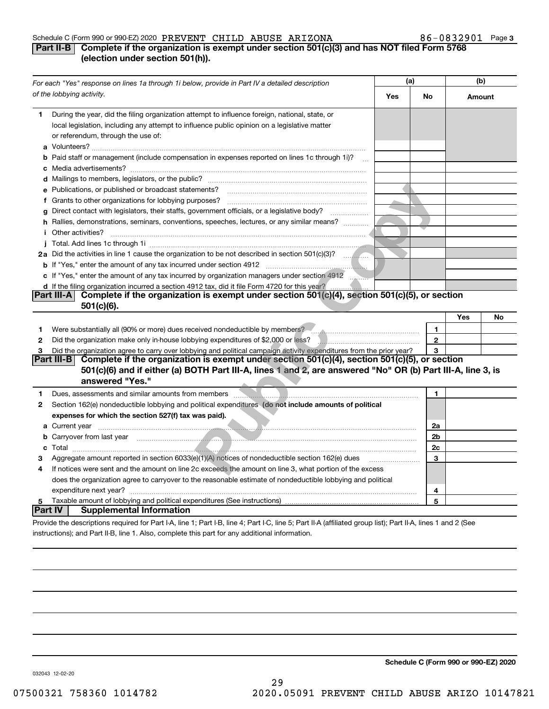#### Schedule C (Form 990 or 990-EZ) 2020 Page PREVENT CHILD ABUSE ARIZONA 86-0832901

#### **3**

#### **Part II-B** Complete if the organization is exempt under section 501(c)(3) and has NOT filed Form 5768 **(election under section 501(h)).**

|                | For each "Yes" response on lines 1a through 1i below, provide in Part IV a detailed description                                                                                                                                           |     | (a)          |        | (b) |  |
|----------------|-------------------------------------------------------------------------------------------------------------------------------------------------------------------------------------------------------------------------------------------|-----|--------------|--------|-----|--|
|                | of the lobbying activity.                                                                                                                                                                                                                 | Yes | No           | Amount |     |  |
| 1.             | During the year, did the filing organization attempt to influence foreign, national, state, or<br>local legislation, including any attempt to influence public opinion on a legislative matter<br>or referendum, through the use of:      |     |              |        |     |  |
|                | <b>b</b> Paid staff or management (include compensation in expenses reported on lines 1c through 1i)?                                                                                                                                     |     |              |        |     |  |
|                |                                                                                                                                                                                                                                           |     |              |        |     |  |
|                | e Publications, or published or broadcast statements?                                                                                                                                                                                     |     |              |        |     |  |
|                | f Grants to other organizations for lobbying purposes?                                                                                                                                                                                    |     |              |        |     |  |
|                | g Direct contact with legislators, their staffs, government officials, or a legislative body?                                                                                                                                             |     |              |        |     |  |
|                | h Rallies, demonstrations, seminars, conventions, speeches, lectures, or any similar means?                                                                                                                                               |     |              |        |     |  |
|                | <i>i</i> Other activities?                                                                                                                                                                                                                |     |              |        |     |  |
|                |                                                                                                                                                                                                                                           |     |              |        |     |  |
|                |                                                                                                                                                                                                                                           |     |              |        |     |  |
|                |                                                                                                                                                                                                                                           |     |              |        |     |  |
|                | c If "Yes," enter the amount of any tax incurred by organization managers under section 4912                                                                                                                                              |     |              |        |     |  |
|                | d If the filing organization incurred a section 4912 tax, did it file Form 4720 for this year?                                                                                                                                            |     |              |        |     |  |
|                | Complete if the organization is exempt under section 501(c)(4), section 501(c)(5), or section<br><b>Part III-A</b>                                                                                                                        |     |              |        |     |  |
|                | 501(c)(6).                                                                                                                                                                                                                                |     |              |        |     |  |
|                |                                                                                                                                                                                                                                           |     |              | Yes    | No  |  |
| 1              | Were substantially all (90% or more) dues received nondeductible by members?                                                                                                                                                              |     | $\mathbf{1}$ |        |     |  |
| $\mathbf{2}$   |                                                                                                                                                                                                                                           |     | $\mathbf{2}$ |        |     |  |
| 3              | Did the organization agree to carry over lobbying and political campaign activity expenditures from the prior year?                                                                                                                       |     | 3            |        |     |  |
|                | Complete if the organization is exempt under section 501(c)(4), section 501(c)(5), or section<br><b>Part III-BI</b><br>501(c)(6) and if either (a) BOTH Part III-A, lines 1 and 2, are answered "No" OR (b) Part III-A, line 3, is        |     |              |        |     |  |
|                | answered "Yes."                                                                                                                                                                                                                           |     |              |        |     |  |
|                |                                                                                                                                                                                                                                           |     |              |        |     |  |
| 1              | Dues, assessments and similar amounts from members                                                                                                                                                                                        |     | 1            |        |     |  |
| 2              | Section 162(e) nondeductible lobbying and political expenditures (do not include amounts of political                                                                                                                                     |     |              |        |     |  |
|                | expenses for which the section 527(f) tax was paid).                                                                                                                                                                                      |     |              |        |     |  |
|                |                                                                                                                                                                                                                                           |     | 2a           |        |     |  |
|                | <b>b</b> Carryover from last year <i>manufacture content of the content of the content of the content of the content of the content of the content of the content of the content of the content of the content of the content of the </i> |     | 2b           |        |     |  |
|                |                                                                                                                                                                                                                                           |     | 2c           |        |     |  |
| з              | Aggregate amount reported in section 6033(e)(1)(A) notices of nondeductible section 162(e) dues                                                                                                                                           |     | 3            |        |     |  |
| 4              | If notices were sent and the amount on line 2c exceeds the amount on line 3, what portion of the excess<br>does the organization agree to carryover to the reasonable estimate of nondeductible lobbying and political                    |     |              |        |     |  |
|                |                                                                                                                                                                                                                                           |     |              |        |     |  |
| 5              | expenditure next year?                                                                                                                                                                                                                    |     | 4<br>5       |        |     |  |
| <b>Part IV</b> | <b>Supplemental Information</b>                                                                                                                                                                                                           |     |              |        |     |  |
|                | Provide the descriptions required for Part I-A, line 1; Part I-B, line 4; Part I-C, line 5; Part II-A (affiliated group list); Part II-A, lines 1 and 2 (See                                                                              |     |              |        |     |  |

instructions); and Part II-B, line 1. Also, complete this part for any additional information.

**Schedule C (Form 990 or 990-EZ) 2020**

032043 12-02-20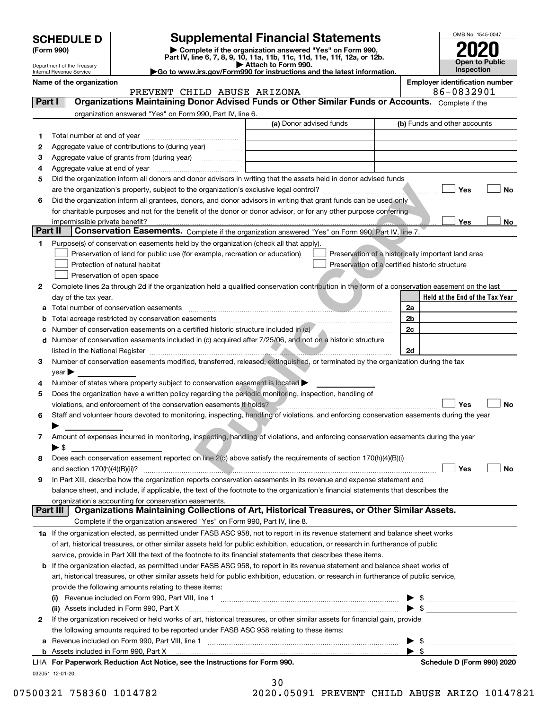Department of the Treasury Internal Revenue Service

| (Form 990) |  |
|------------|--|
|------------|--|

## **SCHEDULE D Supplemental Financial Statements**

(Form 990)<br>
Pepartment of the Treasury<br>
Department of the Treasury<br>
Department of the Treasury<br>
Department of the Treasury<br> **Co to www.irs.gov/Form990 for instructions and the latest information.**<br> **Co to www.irs.gov/Form9** 



|         | Name of the organization<br>PREVENT CHILD ABUSE ARIZONA                                                                                        | <b>Employer identification number</b><br>86-0832901 |  |  |  |
|---------|------------------------------------------------------------------------------------------------------------------------------------------------|-----------------------------------------------------|--|--|--|
| Part I  | Organizations Maintaining Donor Advised Funds or Other Similar Funds or Accounts. Complete if the                                              |                                                     |  |  |  |
|         | organization answered "Yes" on Form 990, Part IV, line 6.                                                                                      |                                                     |  |  |  |
|         | (a) Donor advised funds                                                                                                                        | (b) Funds and other accounts                        |  |  |  |
|         |                                                                                                                                                |                                                     |  |  |  |
| 1       |                                                                                                                                                |                                                     |  |  |  |
| 2       | Aggregate value of contributions to (during year)                                                                                              |                                                     |  |  |  |
| з       | Aggregate value of grants from (during year)                                                                                                   |                                                     |  |  |  |
| 4       |                                                                                                                                                |                                                     |  |  |  |
| 5       | Did the organization inform all donors and donor advisors in writing that the assets held in donor advised funds                               |                                                     |  |  |  |
|         |                                                                                                                                                | Yes<br>No                                           |  |  |  |
| 6       | Did the organization inform all grantees, donors, and donor advisors in writing that grant funds can be used only                              |                                                     |  |  |  |
|         | for charitable purposes and not for the benefit of the donor or donor advisor, or for any other purpose conferring                             |                                                     |  |  |  |
|         |                                                                                                                                                | Yes<br>No                                           |  |  |  |
| Part II | Conservation Easements. Complete if the organization answered "Yes" on Form 990, Part IV, line 7.                                              |                                                     |  |  |  |
| 1       | Purpose(s) of conservation easements held by the organization (check all that apply).                                                          |                                                     |  |  |  |
|         | Preservation of land for public use (for example, recreation or education)                                                                     | Preservation of a historically important land area  |  |  |  |
|         | Protection of natural habitat<br>Preservation of a certified historic structure                                                                |                                                     |  |  |  |
|         | Preservation of open space                                                                                                                     |                                                     |  |  |  |
| 2       | Complete lines 2a through 2d if the organization held a qualified conservation contribution in the form of a conservation easement on the last |                                                     |  |  |  |
|         | day of the tax year.                                                                                                                           | Held at the End of the Tax Year                     |  |  |  |
| а       | Total number of conservation easements                                                                                                         | 2a                                                  |  |  |  |
| b       | Total acreage restricted by conservation easements                                                                                             | 2b                                                  |  |  |  |
| с       |                                                                                                                                                | 2c                                                  |  |  |  |
| d       | Number of conservation easements included in (c) acquired after 7/25/06, and not on a historic structure                                       |                                                     |  |  |  |
|         |                                                                                                                                                | 2d                                                  |  |  |  |
| 3       | Number of conservation easements modified, transferred, released, extinguished, or terminated by the organization during the tax               |                                                     |  |  |  |
|         | year                                                                                                                                           |                                                     |  |  |  |
| 4       | Number of states where property subject to conservation easement is located                                                                    |                                                     |  |  |  |
| 5       | Does the organization have a written policy regarding the periodic monitoring, inspection, handling of                                         |                                                     |  |  |  |
|         | violations, and enforcement of the conservation easements it holds?                                                                            | <b>No</b><br>Yes                                    |  |  |  |
| 6       | Staff and volunteer hours devoted to monitoring, inspecting, handling of violations, and enforcing conservation easements during the year      |                                                     |  |  |  |
|         |                                                                                                                                                |                                                     |  |  |  |
| 7       | Amount of expenses incurred in monitoring, inspecting, handling of violations, and enforcing conservation easements during the year            |                                                     |  |  |  |
|         | $\blacktriangleright$ \$                                                                                                                       |                                                     |  |  |  |
| 8       | Does each conservation easement reported on line 2(d) above satisfy the requirements of section 170(h)(4)(B)(i)                                |                                                     |  |  |  |
|         |                                                                                                                                                | Yes<br>No                                           |  |  |  |
|         | In Part XIII, describe how the organization reports conservation easements in its revenue and expense statement and                            |                                                     |  |  |  |
|         | balance sheet, and include, if applicable, the text of the footnote to the organization's financial statements that describes the              |                                                     |  |  |  |
|         | organization's accounting for conservation easements.                                                                                          |                                                     |  |  |  |
|         | Organizations Maintaining Collections of Art, Historical Treasures, or Other Similar Assets.<br>Part III                                       |                                                     |  |  |  |
|         | Complete if the organization answered "Yes" on Form 990, Part IV, line 8.                                                                      |                                                     |  |  |  |
|         | 1a If the organization elected, as permitted under FASB ASC 958, not to report in its revenue statement and balance sheet works                |                                                     |  |  |  |
|         | of art, historical treasures, or other similar assets held for public exhibition, education, or research in furtherance of public              |                                                     |  |  |  |
|         | service, provide in Part XIII the text of the footnote to its financial statements that describes these items.                                 |                                                     |  |  |  |
|         |                                                                                                                                                |                                                     |  |  |  |
| b       | If the organization elected, as permitted under FASB ASC 958, to report in its revenue statement and balance sheet works of                    |                                                     |  |  |  |
|         | art, historical treasures, or other similar assets held for public exhibition, education, or research in furtherance of public service,        |                                                     |  |  |  |
|         | provide the following amounts relating to these items:                                                                                         |                                                     |  |  |  |
|         | (I)                                                                                                                                            | $\frac{1}{2}$                                       |  |  |  |
|         | (ii) Assets included in Form 990, Part X                                                                                                       | $\blacktriangleright$ \$                            |  |  |  |
| 2       | If the organization received or held works of art, historical treasures, or other similar assets for financial gain, provide                   |                                                     |  |  |  |
|         | the following amounts required to be reported under FASB ASC 958 relating to these items:                                                      |                                                     |  |  |  |
| а       |                                                                                                                                                | \$                                                  |  |  |  |
| b       | Assets included in Form 990, Part X                                                                                                            | -\$<br>▶                                            |  |  |  |
|         | LHA For Paperwork Reduction Act Notice, see the Instructions for Form 990.                                                                     | Schedule D (Form 990) 2020                          |  |  |  |

032051 12-01-20

30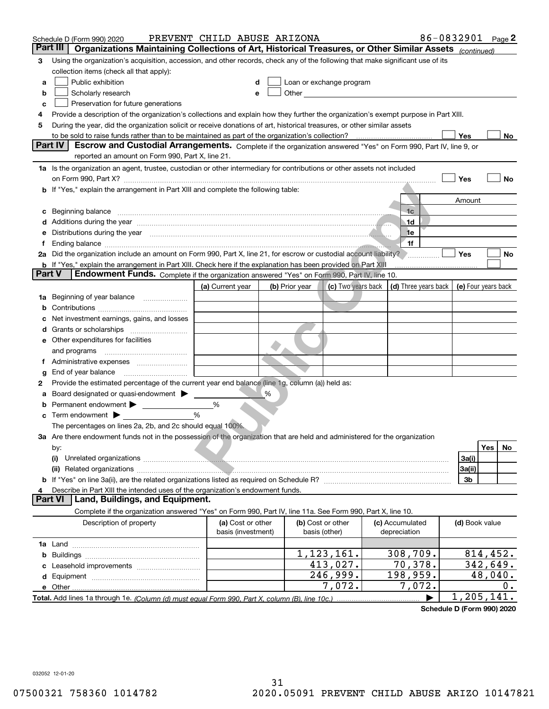|    | PREVENT CHILD ABUSE ARIZONA<br>Schedule D (Form 990) 2020                                                                                                                                                                      |                                         |   |                                    |                                                                                                                                                                                                                               |                                                         | 86-0832901 Page 2 |  |                |                     |  |
|----|--------------------------------------------------------------------------------------------------------------------------------------------------------------------------------------------------------------------------------|-----------------------------------------|---|------------------------------------|-------------------------------------------------------------------------------------------------------------------------------------------------------------------------------------------------------------------------------|---------------------------------------------------------|-------------------|--|----------------|---------------------|--|
|    | Part III<br>Organizations Maintaining Collections of Art, Historical Treasures, or Other Similar Assets (continued)                                                                                                            |                                         |   |                                    |                                                                                                                                                                                                                               |                                                         |                   |  |                |                     |  |
| з  | Using the organization's acquisition, accession, and other records, check any of the following that make significant use of its                                                                                                |                                         |   |                                    |                                                                                                                                                                                                                               |                                                         |                   |  |                |                     |  |
|    | collection items (check all that apply):                                                                                                                                                                                       |                                         |   |                                    |                                                                                                                                                                                                                               |                                                         |                   |  |                |                     |  |
| а  | Public exhibition                                                                                                                                                                                                              |                                         |   |                                    | Loan or exchange program                                                                                                                                                                                                      |                                                         |                   |  |                |                     |  |
| b  | Scholarly research                                                                                                                                                                                                             |                                         |   |                                    | Other and the contract of the contract of the contract of the contract of the contract of the contract of the contract of the contract of the contract of the contract of the contract of the contract of the contract of the |                                                         |                   |  |                |                     |  |
| с  | Preservation for future generations                                                                                                                                                                                            |                                         |   |                                    |                                                                                                                                                                                                                               |                                                         |                   |  |                |                     |  |
| 4  | Provide a description of the organization's collections and explain how they further the organization's exempt purpose in Part XIII.                                                                                           |                                         |   |                                    |                                                                                                                                                                                                                               |                                                         |                   |  |                |                     |  |
| 5  | During the year, did the organization solicit or receive donations of art, historical treasures, or other similar assets                                                                                                       |                                         |   |                                    |                                                                                                                                                                                                                               |                                                         |                   |  |                |                     |  |
|    |                                                                                                                                                                                                                                |                                         |   |                                    |                                                                                                                                                                                                                               |                                                         |                   |  | Yes            | No                  |  |
|    | Part IV<br>Escrow and Custodial Arrangements. Complete if the organization answered "Yes" on Form 990, Part IV, line 9, or                                                                                                     |                                         |   |                                    |                                                                                                                                                                                                                               |                                                         |                   |  |                |                     |  |
|    | reported an amount on Form 990, Part X, line 21.                                                                                                                                                                               |                                         |   |                                    |                                                                                                                                                                                                                               |                                                         |                   |  |                |                     |  |
|    | 1a Is the organization an agent, trustee, custodian or other intermediary for contributions or other assets not included                                                                                                       |                                         |   |                                    |                                                                                                                                                                                                                               |                                                         |                   |  |                |                     |  |
|    |                                                                                                                                                                                                                                |                                         |   |                                    |                                                                                                                                                                                                                               |                                                         |                   |  | Yes            | No                  |  |
|    | b If "Yes," explain the arrangement in Part XIII and complete the following table:                                                                                                                                             |                                         |   |                                    |                                                                                                                                                                                                                               |                                                         |                   |  |                |                     |  |
|    |                                                                                                                                                                                                                                |                                         |   |                                    |                                                                                                                                                                                                                               |                                                         |                   |  | Amount         |                     |  |
| c  | Beginning balance www.communication.com/www.communication.com/www.communication.com/www.communication.com                                                                                                                      |                                         |   |                                    |                                                                                                                                                                                                                               |                                                         | 1 <sub>c</sub>    |  |                |                     |  |
|    |                                                                                                                                                                                                                                |                                         |   |                                    |                                                                                                                                                                                                                               |                                                         | .1d               |  |                |                     |  |
| е  | Distributions during the year measurement contains and the contract of the year measurement of the year measurement of the state of the state of the state of the state of the state of the state of the state of the state of |                                         |   |                                    |                                                                                                                                                                                                                               |                                                         | 1e<br>1f          |  |                |                     |  |
| f  | 2a Did the organization include an amount on Form 990, Part X, line 21, for escrow or custodial account liability?                                                                                                             |                                         |   |                                    |                                                                                                                                                                                                                               |                                                         |                   |  | Yes            | No                  |  |
|    | <b>b</b> If "Yes," explain the arrangement in Part XIII. Check here if the explanation has been provided on Part XIII                                                                                                          |                                         |   |                                    |                                                                                                                                                                                                                               |                                                         |                   |  |                |                     |  |
|    | <b>Part V</b><br>Endowment Funds. Complete if the organization answered "Yes" on Form 990, Part IV, line 10.                                                                                                                   |                                         |   |                                    |                                                                                                                                                                                                                               |                                                         |                   |  |                |                     |  |
|    |                                                                                                                                                                                                                                | (a) Current year                        |   | (b) Prior year                     |                                                                                                                                                                                                                               |                                                         |                   |  |                | (e) Four years back |  |
| 1a | Beginning of year balance                                                                                                                                                                                                      |                                         |   |                                    |                                                                                                                                                                                                                               | (c) Two years back $\vert$ (d) Three years back $\vert$ |                   |  |                |                     |  |
| b  |                                                                                                                                                                                                                                |                                         |   |                                    |                                                                                                                                                                                                                               |                                                         |                   |  |                |                     |  |
|    | Net investment earnings, gains, and losses                                                                                                                                                                                     |                                         |   |                                    |                                                                                                                                                                                                                               |                                                         |                   |  |                |                     |  |
|    |                                                                                                                                                                                                                                |                                         |   |                                    |                                                                                                                                                                                                                               |                                                         |                   |  |                |                     |  |
|    | e Other expenditures for facilities                                                                                                                                                                                            |                                         |   |                                    |                                                                                                                                                                                                                               |                                                         |                   |  |                |                     |  |
|    | and programs                                                                                                                                                                                                                   |                                         |   |                                    |                                                                                                                                                                                                                               |                                                         |                   |  |                |                     |  |
|    | f Administrative expenses                                                                                                                                                                                                      |                                         |   |                                    |                                                                                                                                                                                                                               |                                                         |                   |  |                |                     |  |
| g  |                                                                                                                                                                                                                                |                                         |   |                                    |                                                                                                                                                                                                                               |                                                         |                   |  |                |                     |  |
| 2  | Provide the estimated percentage of the current year end balance (line 1g, column (a)) held as:                                                                                                                                |                                         |   |                                    |                                                                                                                                                                                                                               |                                                         |                   |  |                |                     |  |
| а  | Board designated or quasi-endowment                                                                                                                                                                                            |                                         | % |                                    |                                                                                                                                                                                                                               |                                                         |                   |  |                |                     |  |
|    | Permanent endowment >                                                                                                                                                                                                          | %                                       |   |                                    |                                                                                                                                                                                                                               |                                                         |                   |  |                |                     |  |
|    | <b>c</b> Term endowment $\blacktriangleright$                                                                                                                                                                                  | %                                       |   |                                    |                                                                                                                                                                                                                               |                                                         |                   |  |                |                     |  |
|    | The percentages on lines 2a, 2b, and 2c should equal 100%.                                                                                                                                                                     |                                         |   |                                    |                                                                                                                                                                                                                               |                                                         |                   |  |                |                     |  |
|    | 3a Are there endowment funds not in the possession of the organization that are held and administered for the organization                                                                                                     |                                         |   |                                    |                                                                                                                                                                                                                               |                                                         |                   |  |                |                     |  |
|    | by:                                                                                                                                                                                                                            |                                         |   |                                    |                                                                                                                                                                                                                               |                                                         |                   |  |                | <b>Yes</b><br>No    |  |
|    | (i)                                                                                                                                                                                                                            |                                         |   |                                    |                                                                                                                                                                                                                               |                                                         |                   |  | 3a(i)          |                     |  |
|    |                                                                                                                                                                                                                                |                                         |   |                                    |                                                                                                                                                                                                                               |                                                         |                   |  | 3a(ii)         |                     |  |
|    |                                                                                                                                                                                                                                |                                         |   |                                    |                                                                                                                                                                                                                               |                                                         |                   |  | 3b             |                     |  |
| 4  | Describe in Part XIII the intended uses of the organization's endowment funds.                                                                                                                                                 |                                         |   |                                    |                                                                                                                                                                                                                               |                                                         |                   |  |                |                     |  |
|    | <b>Part VI</b><br>Land, Buildings, and Equipment.                                                                                                                                                                              |                                         |   |                                    |                                                                                                                                                                                                                               |                                                         |                   |  |                |                     |  |
|    | Complete if the organization answered "Yes" on Form 990, Part IV, line 11a. See Form 990, Part X, line 10.                                                                                                                     |                                         |   |                                    |                                                                                                                                                                                                                               |                                                         |                   |  |                |                     |  |
|    | Description of property                                                                                                                                                                                                        | (a) Cost or other<br>basis (investment) |   | (b) Cost or other<br>basis (other) |                                                                                                                                                                                                                               |                                                         | (c) Accumulated   |  | (d) Book value |                     |  |
|    |                                                                                                                                                                                                                                |                                         |   |                                    |                                                                                                                                                                                                                               |                                                         | depreciation      |  |                |                     |  |
|    |                                                                                                                                                                                                                                |                                         |   |                                    | 1, 123, 161.                                                                                                                                                                                                                  |                                                         | 308,709.          |  |                | 814,452.            |  |
| b  |                                                                                                                                                                                                                                |                                         |   |                                    | 413,027.                                                                                                                                                                                                                      |                                                         | 70,378.           |  |                | 342,649.            |  |
| c  |                                                                                                                                                                                                                                |                                         |   |                                    | 246,999.                                                                                                                                                                                                                      |                                                         | 198,959.          |  |                | 48,040.             |  |
| d  |                                                                                                                                                                                                                                |                                         |   |                                    | 7,072.                                                                                                                                                                                                                        |                                                         | 7,072.            |  |                | 0.                  |  |
|    |                                                                                                                                                                                                                                |                                         |   |                                    |                                                                                                                                                                                                                               |                                                         |                   |  |                | 1,205,141.          |  |
|    |                                                                                                                                                                                                                                |                                         |   |                                    |                                                                                                                                                                                                                               |                                                         |                   |  |                |                     |  |

**Schedule D (Form 990) 2020**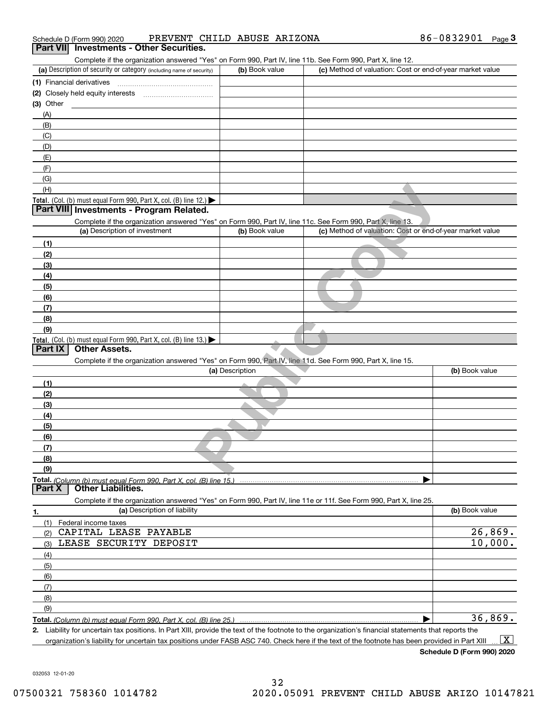|                                                                                                                                                                                                                                                                                                        | 86-0832901<br>Page $3$ |
|--------------------------------------------------------------------------------------------------------------------------------------------------------------------------------------------------------------------------------------------------------------------------------------------------------|------------------------|
| Part VII Investments - Other Securities.                                                                                                                                                                                                                                                               |                        |
| Complete if the organization answered "Yes" on Form 990, Part IV, line 11b. See Form 990, Part X, line 12.<br>(a) Description of security or category (including name of security)<br>(b) Book value<br>(c) Method of valuation: Cost or end-of-year market value                                      |                        |
| (1) Financial derivatives                                                                                                                                                                                                                                                                              |                        |
|                                                                                                                                                                                                                                                                                                        |                        |
| $(3)$ Other                                                                                                                                                                                                                                                                                            |                        |
| (A)                                                                                                                                                                                                                                                                                                    |                        |
| (B)                                                                                                                                                                                                                                                                                                    |                        |
| (C)                                                                                                                                                                                                                                                                                                    |                        |
| (D)                                                                                                                                                                                                                                                                                                    |                        |
| (E)                                                                                                                                                                                                                                                                                                    |                        |
| (F)                                                                                                                                                                                                                                                                                                    |                        |
| (G)                                                                                                                                                                                                                                                                                                    |                        |
| (H)                                                                                                                                                                                                                                                                                                    |                        |
| Total. (Col. (b) must equal Form 990, Part X, col. (B) line 12.) $\blacktriangleright$                                                                                                                                                                                                                 |                        |
| Part VIII Investments - Program Related.                                                                                                                                                                                                                                                               |                        |
| Complete if the organization answered "Yes" on Form 990, Part IV, line 11c. See Form 990, Part X, line 13.<br>(a) Description of investment<br>(b) Book value<br>(c) Method of valuation: Cost or end-of-year market value                                                                             |                        |
|                                                                                                                                                                                                                                                                                                        |                        |
| (1)                                                                                                                                                                                                                                                                                                    |                        |
| (2)<br>(3)                                                                                                                                                                                                                                                                                             |                        |
| (4)                                                                                                                                                                                                                                                                                                    |                        |
| (5)                                                                                                                                                                                                                                                                                                    |                        |
| (6)                                                                                                                                                                                                                                                                                                    |                        |
| (7)                                                                                                                                                                                                                                                                                                    |                        |
| (8)                                                                                                                                                                                                                                                                                                    |                        |
| (9)                                                                                                                                                                                                                                                                                                    |                        |
| Total. (Col. (b) must equal Form 990, Part X, col. (B) line 13.)                                                                                                                                                                                                                                       |                        |
| <b>Other Assets.</b><br>Part IX                                                                                                                                                                                                                                                                        |                        |
| Complete if the organization answered "Yes" on Form 990, Part IV, line 11d. See Form 990, Part X, line 15.                                                                                                                                                                                             |                        |
| (a) Description                                                                                                                                                                                                                                                                                        | (b) Book value         |
| (1)                                                                                                                                                                                                                                                                                                    |                        |
| (2)                                                                                                                                                                                                                                                                                                    |                        |
| (3)                                                                                                                                                                                                                                                                                                    |                        |
| (4)                                                                                                                                                                                                                                                                                                    |                        |
| (5)                                                                                                                                                                                                                                                                                                    |                        |
| (6)                                                                                                                                                                                                                                                                                                    |                        |
| (7)<br>(8)                                                                                                                                                                                                                                                                                             |                        |
| (9)                                                                                                                                                                                                                                                                                                    |                        |
| Total. (Column (b) must equal Form 990. Part X. col. (B) line 15.) ……………………………………………………………………                                                                                                                                                                                                          |                        |
| Part X<br><b>Other Liabilities.</b>                                                                                                                                                                                                                                                                    |                        |
| Complete if the organization answered "Yes" on Form 990, Part IV, line 11e or 11f. See Form 990, Part X, line 25.                                                                                                                                                                                      |                        |
| (a) Description of liability<br>1.                                                                                                                                                                                                                                                                     | (b) Book value         |
| (1)<br>Federal income taxes                                                                                                                                                                                                                                                                            |                        |
| CAPITAL LEASE PAYABLE<br>(2)                                                                                                                                                                                                                                                                           | 26,869.                |
| LEASE SECURITY DEPOSIT<br>(3)                                                                                                                                                                                                                                                                          | 10,000.                |
| (4)                                                                                                                                                                                                                                                                                                    |                        |
| (5)                                                                                                                                                                                                                                                                                                    |                        |
| (6)                                                                                                                                                                                                                                                                                                    |                        |
| (7)                                                                                                                                                                                                                                                                                                    |                        |
| (8)                                                                                                                                                                                                                                                                                                    |                        |
| (9)                                                                                                                                                                                                                                                                                                    |                        |
|                                                                                                                                                                                                                                                                                                        | 36,869.                |
| 2. Liability for uncertain tax positions. In Part XIII, provide the text of the footnote to the organization's financial statements that reports the<br>organization's liability for uncertain tax positions under FASB ASC 740. Check here if the text of the footnote has been provided in Part XIII | $\boxed{\text{X}}$     |

032053 12-01-20

**Schedule D (Form 990) 2020**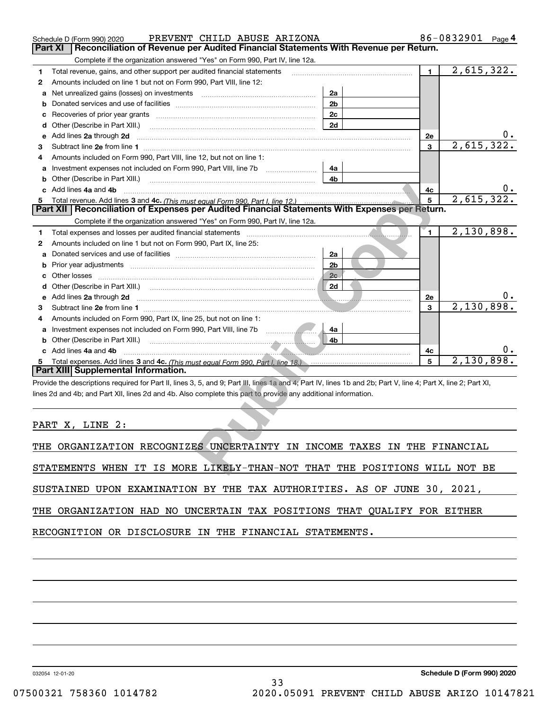|   | PREVENT CHILD ABUSE ARIZONA<br>Schedule D (Form 990) 2020                                                                                                                                                                            |                |                | 86-0832901<br>Page 4 |  |  |  |  |
|---|--------------------------------------------------------------------------------------------------------------------------------------------------------------------------------------------------------------------------------------|----------------|----------------|----------------------|--|--|--|--|
|   | Reconciliation of Revenue per Audited Financial Statements With Revenue per Return.<br>Part XI                                                                                                                                       |                |                |                      |  |  |  |  |
|   | Complete if the organization answered "Yes" on Form 990, Part IV, line 12a.                                                                                                                                                          |                |                |                      |  |  |  |  |
| 1 | Total revenue, gains, and other support per audited financial statements                                                                                                                                                             | $\blacksquare$ | 2,615,322.     |                      |  |  |  |  |
| 2 | Amounts included on line 1 but not on Form 990, Part VIII, line 12:                                                                                                                                                                  |                |                |                      |  |  |  |  |
| a | Net unrealized gains (losses) on investments [11] [11] Net unrealized gains (losses) on investments                                                                                                                                  | 2a             |                |                      |  |  |  |  |
| b |                                                                                                                                                                                                                                      | 2 <sub>b</sub> |                |                      |  |  |  |  |
| c |                                                                                                                                                                                                                                      | 2c             |                |                      |  |  |  |  |
|   |                                                                                                                                                                                                                                      | 2d             |                |                      |  |  |  |  |
| е | Add lines 2a through 2d                                                                                                                                                                                                              |                | 2e             |                      |  |  |  |  |
| 3 |                                                                                                                                                                                                                                      |                | 3              | 2,615,322.           |  |  |  |  |
| 4 | Amounts included on Form 990, Part VIII, line 12, but not on line 1:                                                                                                                                                                 |                |                |                      |  |  |  |  |
| a | Investment expenses not included on Form 990, Part VIII, line 7b                                                                                                                                                                     | 4a             |                |                      |  |  |  |  |
| b | Other (Describe in Part XIII.) <b>Construction Contract Construction</b> Chern Construction Chern Chern Chern Chern Chern Chern Chern Chern Chern Chern Chern Chern Chern Chern Chern Chern Chern Chern Chern Chern Chern Chern Che  | 4b             |                |                      |  |  |  |  |
|   | c Add lines 4a and 4b                                                                                                                                                                                                                |                | 4c             |                      |  |  |  |  |
|   |                                                                                                                                                                                                                                      |                | 5              | 2,615,322.           |  |  |  |  |
|   | Part XII   Reconciliation of Expenses per Audited Financial Statements With Expenses per Return.                                                                                                                                     |                |                |                      |  |  |  |  |
|   | Complete if the organization answered "Yes" on Form 990, Part IV, line 12a.                                                                                                                                                          |                |                |                      |  |  |  |  |
| 1 | Total expenses and losses per audited financial statements [11] [12] manuscription and contract the statements                                                                                                                       |                | $\blacksquare$ | 2,130,898.           |  |  |  |  |
| 2 | Amounts included on line 1 but not on Form 990, Part IX, line 25:                                                                                                                                                                    |                |                |                      |  |  |  |  |
| а |                                                                                                                                                                                                                                      | 2a             |                |                      |  |  |  |  |
| b |                                                                                                                                                                                                                                      | 2 <sub>b</sub> |                |                      |  |  |  |  |
| c |                                                                                                                                                                                                                                      | 2c             |                |                      |  |  |  |  |
| d |                                                                                                                                                                                                                                      | 2d             |                |                      |  |  |  |  |
| е | Add lines 2a through 2d <b>contract and the contract of the contract of the contract of the contract of the contract of the contract of the contract of the contract of the contract of the contract of the contract of the cont</b> |                | 2e             |                      |  |  |  |  |
| 3 |                                                                                                                                                                                                                                      |                | 3              | 2,130,898            |  |  |  |  |
|   | Amounts included on Form 990, Part IX, line 25, but not on line 1:                                                                                                                                                                   |                |                |                      |  |  |  |  |
| a | $\frac{1}{2}$<br>Investment expenses not included on Form 990, Part VIII, line 7b                                                                                                                                                    | 4a             |                |                      |  |  |  |  |
|   |                                                                                                                                                                                                                                      | 4b             |                |                      |  |  |  |  |
|   | c Add lines 4a and 4b                                                                                                                                                                                                                |                | 4c             |                      |  |  |  |  |
| 5 | Total expenses. Add lines 3 and 4c. (This must equal Form 990, Part I. line 18.) <b>Conserverse Expenses</b> . Add lines 3 and 4c. (This must equal Form 990, Part I. line 18.)                                                      |                | 5              | 2,130,898            |  |  |  |  |
|   | Part XIII Supplemental Information.                                                                                                                                                                                                  |                |                |                      |  |  |  |  |
|   | Provide the descriptions required for Part II, lines 3, 5, and 9; Part III, lines 1a and 4; Part IV, lines 1b and 2b; Part V, line 4; Part X, line 2; Part XI,                                                                       |                |                |                      |  |  |  |  |
|   | lines 2d and 4b; and Part XII, lines 2d and 4b. Also complete this part to provide any additional information.                                                                                                                       |                |                |                      |  |  |  |  |
|   |                                                                                                                                                                                                                                      |                |                |                      |  |  |  |  |
|   |                                                                                                                                                                                                                                      |                |                |                      |  |  |  |  |
|   | PART X, LINE 2:                                                                                                                                                                                                                      |                |                |                      |  |  |  |  |
|   |                                                                                                                                                                                                                                      |                |                |                      |  |  |  |  |
|   | THE ORGANIZATION RECOGNIZES UNCERTAINTY IN INCOME TAXES IN THE FINANCIAL                                                                                                                                                             |                |                |                      |  |  |  |  |
|   |                                                                                                                                                                                                                                      |                |                |                      |  |  |  |  |
|   | STATEMENTS WHEN IT IS MORE LIKELY-THAN-NOT THAT THE POSITIONS WILL NOT BE                                                                                                                                                            |                |                |                      |  |  |  |  |

|  | THE ORGANIZATION RECOGNIZES UNCERTAINTY IN INCOME TAXES IN THE FINANCIAL |  |  |  |  |  |  |  |  |
|--|--------------------------------------------------------------------------|--|--|--|--|--|--|--|--|
|--|--------------------------------------------------------------------------|--|--|--|--|--|--|--|--|

SUSTAINED UPON EXAMINATION BY THE TAX AUTHORITIES. AS OF JUNE 30, 2021,

THE ORGANIZATION HAD NO UNCERTAIN TAX POSITIONS THAT QUALIFY FOR EITHER

RECOGNITION OR DISCLOSURE IN THE FINANCIAL STATEMENTS.

032054 12-01-20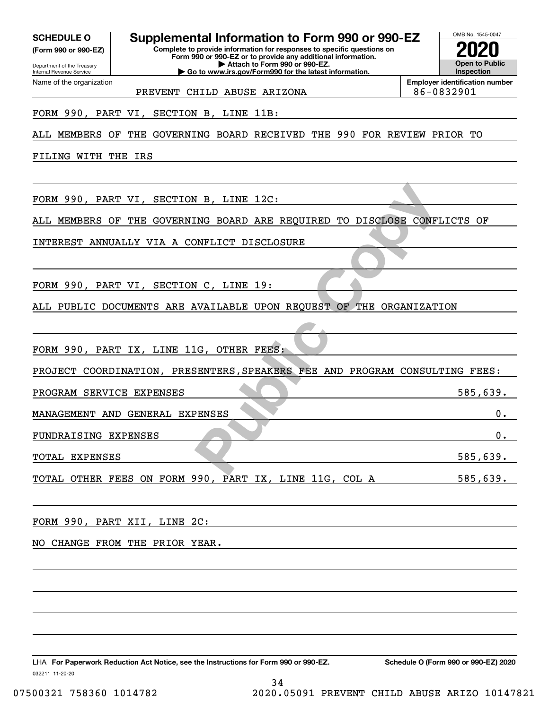**(Form 990 or 990-EZ)**

Department of the Treasury Internal Revenue Service Name of the organization

**SCHEDULE O Supplemental Information to Form 990 or 990-EZ**

**Complete to provide information for responses to specific questions on Form 990 or 990-EZ or to provide any additional information. | Attach to Form 990 or 990-EZ. | Go to www.irs.gov/Form990 for the latest information.**

**Open to Public Inspection2020**

OMB No. 1545-0047

**Employer identification number**

PREVENT CHILD ABUSE ARIZONA **86-0832901** 

FORM 990, PART VI, SECTION B, LINE 11B:

ALL MEMBERS OF THE GOVERNING BOARD RECEIVED THE 990 FOR REVIEW PRIOR TO

FILING WITH THE IRS

FORM 990, PART VI, SECTION B, LINE 12C:

N B, LINE 12C:<br>
INFLICT DISCLOSURE<br>
NELLET DISCLOSURE<br>
NAILABLE UPON REQUEST OF THE ORGANIZATI<br>
IG, OTHER FEES:<br>
PENSES, SPEAKERS FEE AND PROGRAM CONSULT<br>
PENSES<br>
PENSES ALL MEMBERS OF THE GOVERNING BOARD ARE REQUIRED TO DISCLOSE CONFLICTS OF

INTEREST ANNUALLY VIA A CONFLICT DISCLOSURE

FORM 990, PART VI, SECTION C, LINE 19:

ALL PUBLIC DOCUMENTS ARE AVAILABLE UPON REQUEST OF THE ORGANIZATION

FORM 990, PART IX, LINE 11G, OTHER FEES:

PROJECT COORDINATION, PRESENTERS,SPEAKERS FEE AND PROGRAM CONSULTING FEES:

PROGRAM SERVICE EXPENSES 585,639.

MANAGEMENT AND GENERAL EXPENSES 0.

FUNDRAISING EXPENSES 0.

TOTAL EXPENSES 585,639.

TOTAL OTHER FEES ON FORM 990, PART IX, LINE 11G, COL A 585,639.

34

FORM 990, PART XII, LINE 2C:

NO CHANGE FROM THE PRIOR YEAR.

032211 11-20-20 LHA For Paperwork Reduction Act Notice, see the Instructions for Form 990 or 990-EZ. Schedule O (Form 990 or 990-EZ) 2020